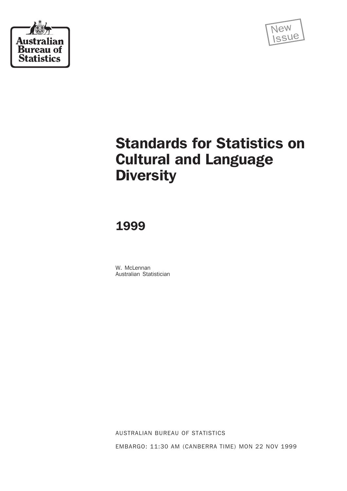



# Standards for Statistics on Cultural and Language **Diversity**

1999

W. McLennan Australian Statistician

AUSTRALIAN BUREAU OF STATISTICS EMBARGO: 11:30 AM (CANBERRA TIME) MON 22 NOV 1999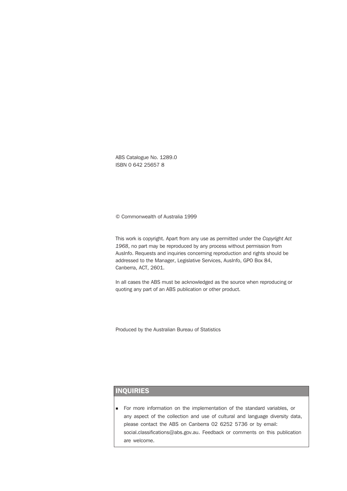ABS Catalogue No. 1289.0 ISBN 0 642 25657 8

© Commonwealth of Australia 1999

This work is copyright. Apart from any use as permitted under the *Copyright Act 1968*, no part may be reproduced by any process without permission from AusInfo. Requests and inquiries concerning reproduction and rights should be addressed to the Manager, Legislative Services, AusInfo, GPO Box 84, Canberra, ACT, 2601.

In all cases the ABS must be acknowledged as the source when reproducing or quoting any part of an ABS publication or other product.

Produced by the Australian Bureau of Statistics

# INQUIRIES

<sup>n</sup> For more information on the implementation of the standard variables, or any aspect of the collection and use of cultural and language diversity data, please contact the ABS on Canberra 02 6252 5736 or by email: social.classifications@abs.gov.au. Feedback or comments on this publication are welcome.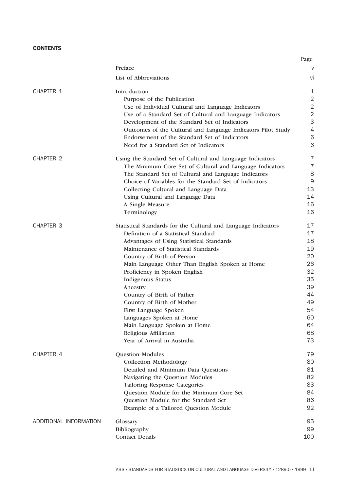# **CONTENTS**

|                        |                                                                | Page           |
|------------------------|----------------------------------------------------------------|----------------|
|                        | Preface                                                        | V              |
|                        | List of Abbreviations                                          | Vİ             |
| CHAPTER 1              | Introduction                                                   | 1              |
|                        | Purpose of the Publication                                     | $\overline{2}$ |
|                        | Use of Individual Cultural and Language Indicators             | $\overline{2}$ |
|                        | Use of a Standard Set of Cultural and Language Indicators      | $\overline{2}$ |
|                        | Development of the Standard Set of Indicators                  | 3              |
|                        | Outcomes of the Cultural and Language Indicators Pilot Study   | $\overline{4}$ |
|                        | Endorsement of the Standard Set of Indicators                  | 6              |
|                        | Need for a Standard Set of Indicators                          | 6              |
| <b>CHAPTER 2</b>       | Using the Standard Set of Cultural and Language Indicators     | 7              |
|                        | The Minimum Core Set of Cultural and Language Indicators       | $\overline{7}$ |
|                        | The Standard Set of Cultural and Language Indicators           | 8              |
|                        | Choice of Variables for the Standard Set of Indicators         | 9              |
|                        | Collecting Cultural and Language Data                          | 13             |
|                        | Using Cultural and Language Data                               | 14             |
|                        | A Single Measure                                               | 16             |
|                        | Terminology                                                    | 16             |
| <b>CHAPTER 3</b>       | Statistical Standards for the Cultural and Language Indicators | 17             |
|                        | Definition of a Statistical Standard                           | 17             |
|                        | Advantages of Using Statistical Standards                      | 18             |
|                        | Maintenance of Statistical Standards                           | 19             |
|                        | Country of Birth of Person                                     | 20             |
|                        | Main Language Other Than English Spoken at Home                | 26             |
|                        | Proficiency in Spoken English                                  | 32             |
|                        | Indigenous Status                                              | 35             |
|                        | Ancestry                                                       | 39             |
|                        | Country of Birth of Father                                     | 44             |
|                        | Country of Birth of Mother                                     | 49             |
|                        | First Language Spoken                                          | 54             |
|                        | Languages Spoken at Home                                       | 60             |
|                        | Main Language Spoken at Home                                   | 64             |
|                        | Religious Affiliation                                          | 68             |
|                        | Year of Arrival in Australia                                   | 73             |
| CHAPTER 4              | Question Modules                                               | 79             |
|                        | Collection Methodology                                         | 80             |
|                        | Detailed and Minimum Data Questions                            | 81             |
|                        | Navigating the Question Modules                                | 82             |
|                        | <b>Tailoring Response Categories</b>                           | 83             |
|                        | Question Module for the Minimum Core Set                       | 84             |
|                        | Question Module for the Standard Set                           | 86             |
|                        | Example of a Tailored Question Module                          | 92             |
| ADDITIONAL INFORMATION | Glossary                                                       | 95             |
|                        | Bibliography                                                   | 99             |
|                        | <b>Contact Details</b>                                         | 100            |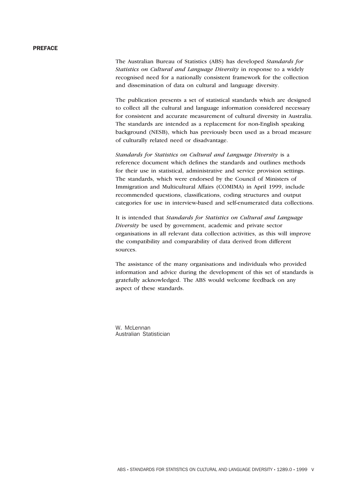# PREFACE

The Australian Bureau of Statistics (ABS) has developed *Standards for Statistics on Cultural and Language Diversity* in response to a widely recognised need for a nationally consistent framework for the collection and dissemination of data on cultural and language diversity.

The publication presents a set of statistical standards which are designed to collect all the cultural and language information considered necessary for consistent and accurate measurement of cultural diversity in Australia. The standards are intended as a replacement for non-English speaking background (NESB), which has previously been used as a broad measure of culturally related need or disadvantage.

*Standards for Statistics on Cultural and Language Diversity* is a reference document which defines the standards and outlines methods for their use in statistical, administrative and service provision settings. The standards, which were endorsed by the Council of Ministers of Immigration and Multicultural Affairs (COMIMA) in April 1999, include recommended questions, classifications, coding structures and output categories for use in interview-based and self-enumerated data collections.

It is intended that *Standards for Statistics on Cultural and Language Diversity* be used by government, academic and private sector organisations in all relevant data collection activities, as this will improve the compatibility and comparability of data derived from different sources.

The assistance of the many organisations and individuals who provided information and advice during the development of this set of standards is gratefully acknowledged. The ABS would welcome feedback on any aspect of these standards.

W. McLennan Australian Statistician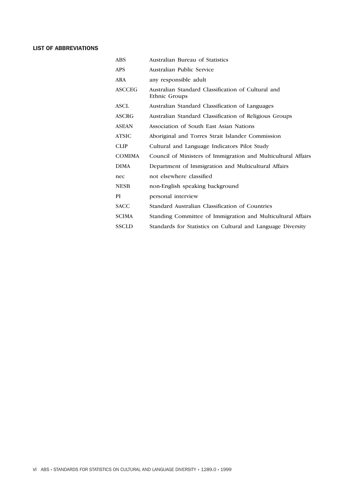# LIST OF ABBREVIATIONS

| ABS           | Australian Bureau of Statistics                                     |
|---------------|---------------------------------------------------------------------|
| APS           | Australian Public Service                                           |
| ARA           | any responsible adult                                               |
| ASCCEG        | Australian Standard Classification of Cultural and<br>Ethnic Groups |
| ASCL          | Australian Standard Classification of Languages                     |
| ASCRG         | Australian Standard Classification of Religious Groups              |
| ASEAN         | Association of South East Asian Nations                             |
| ATSIC         | Aboriginal and Torres Strait Islander Commission                    |
| CLIP          | Cultural and Language Indicators Pilot Study                        |
| <b>COMIMA</b> | Council of Ministers of Immigration and Multicultural Affairs       |
| DIMA          | Department of Immigration and Multicultural Affairs                 |
| nec           | not elsewhere classified                                            |
| NESB          | non-English speaking background                                     |
| PI            | personal interview                                                  |
| <b>SACC</b>   | Standard Australian Classification of Countries                     |
| SCIMA         | Standing Committee of Immigration and Multicultural Affairs         |
| SSCLD         | Standards for Statistics on Cultural and Language Diversity         |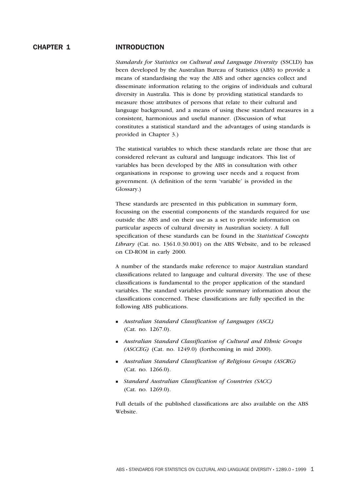### CHAPTER 1 INTRODUCTION

*Standards for Statistics on Cultural and Language Diversity* (SSCLD) has been developed by the Australian Bureau of Statistics (ABS) to provide a means of standardising the way the ABS and other agencies collect and disseminate information relating to the origins of individuals and cultural diversity in Australia. This is done by providing statistical standards to measure those attributes of persons that relate to their cultural and language background, and a means of using these standard measures in a consistent, harmonious and useful manner. (Discussion of what constitutes a statistical standard and the advantages of using standards is provided in Chapter 3.)

The statistical variables to which these standards relate are those that are considered relevant as cultural and language indicators. This list of variables has been developed by the ABS in consultation with other organisations in response to growing user needs and a request from government. (A definition of the term 'variable' is provided in the Glossary.)

These standards are presented in this publication in summary form, focussing on the essential components of the standards required for use outside the ABS and on their use as a set to provide information on particular aspects of cultural diversity in Australian society. A full specification of these standards can be found in the *Statistical Concepts Library* (Cat. no. 1361.0.30.001) on the ABS Website, and to be released on CD-ROM in early 2000.

A number of the standards make reference to major Australian standard classifications related to language and cultural diversity. The use of these classifications is fundamental to the proper application of the standard variables. The standard variables provide summary information about the classifications concerned. These classifications are fully specified in the following ABS publications.

- <sup>n</sup> *Australian Standard Classification of Languages (ASCL)* (Cat. no. 1267.0).
- **n** Australian Standard Classification of Cultural and Ethnic Groups *(ASCCEG)* (Cat. no. 1249.0) (forthcoming in mid 2000).
- **n** *Australian Standard Classification of Religious Groups (ASCRG)* (Cat. no. 1266.0).
- <sup>n</sup> *Standard Australian Classification of Countries (SACC)* (Cat. no. 1269.0).

Full details of the published classifications are also available on the ABS Website.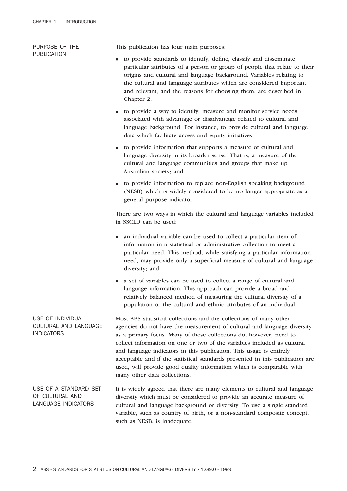| PURPOSE OF THE<br><b>PUBLICATION</b>                            | This publication has four main purposes:                                                                                                                                                                                                                                                                                                                                                                                                                                                                                                                       |
|-----------------------------------------------------------------|----------------------------------------------------------------------------------------------------------------------------------------------------------------------------------------------------------------------------------------------------------------------------------------------------------------------------------------------------------------------------------------------------------------------------------------------------------------------------------------------------------------------------------------------------------------|
|                                                                 | to provide standards to identify, define, classify and disseminate<br>٠<br>particular attributes of a person or group of people that relate to their<br>origins and cultural and language background. Variables relating to<br>the cultural and language attributes which are considered important<br>and relevant, and the reasons for choosing them, are described in<br>Chapter 2;                                                                                                                                                                          |
|                                                                 | to provide a way to identify, measure and monitor service needs<br>п<br>associated with advantage or disadvantage related to cultural and<br>language background. For instance, to provide cultural and language<br>data which facilitate access and equity initiatives;                                                                                                                                                                                                                                                                                       |
|                                                                 | to provide information that supports a measure of cultural and<br>п<br>language diversity in its broader sense. That is, a measure of the<br>cultural and language communities and groups that make up<br>Australian society; and                                                                                                                                                                                                                                                                                                                              |
|                                                                 | to provide information to replace non-English speaking background<br>(NESB) which is widely considered to be no longer appropriate as a<br>general purpose indicator.                                                                                                                                                                                                                                                                                                                                                                                          |
|                                                                 | There are two ways in which the cultural and language variables included<br>in SSCLD can be used:                                                                                                                                                                                                                                                                                                                                                                                                                                                              |
|                                                                 | an individual variable can be used to collect a particular item of<br>п<br>information in a statistical or administrative collection to meet a<br>particular need. This method, while satisfying a particular information<br>need, may provide only a superficial measure of cultural and language<br>diversity; and                                                                                                                                                                                                                                           |
|                                                                 | a set of variables can be used to collect a range of cultural and<br>language information. This approach can provide a broad and<br>relatively balanced method of measuring the cultural diversity of a<br>population or the cultural and ethnic attributes of an individual.                                                                                                                                                                                                                                                                                  |
| USE OF INDIVIDUAL<br>CULTURAL AND LANGUAGE<br><b>INDICATORS</b> | Most ABS statistical collections and the collections of many other<br>agencies do not have the measurement of cultural and language diversity<br>as a primary focus. Many of these collections do, however, need to<br>collect information on one or two of the variables included as cultural<br>and language indicators in this publication. This usage is entirely<br>acceptable and if the statistical standards presented in this publication are<br>used, will provide good quality information which is comparable with<br>many other data collections. |
| USE OF A STANDARD SET<br>OF CULTURAL AND<br>LANGUAGE INDICATORS | It is widely agreed that there are many elements to cultural and language<br>diversity which must be considered to provide an accurate measure of<br>cultural and language background or diversity. To use a single standard<br>variable, such as country of birth, or a non-standard composite concept,                                                                                                                                                                                                                                                       |

such as NESB, is inadequate.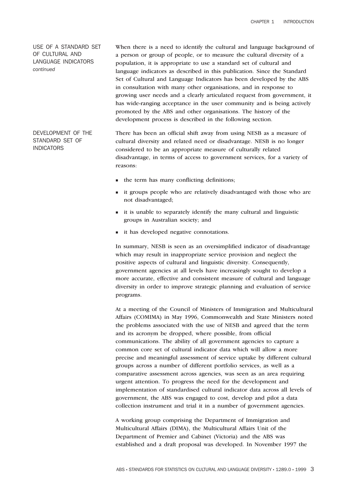USE OF A STANDARD SET OF CULTURAL AND LANGUAGE INDICATORS *continued*

DEVELOPMENT OF THE STANDARD SET OF

INDICATORS

When there is a need to identify the cultural and language background of a person or group of people, or to measure the cultural diversity of a population, it is appropriate to use a standard set of cultural and language indicators as described in this publication. Since the Standard Set of Cultural and Language Indicators has been developed by the ABS in consultation with many other organisations, and in response to growing user needs and a clearly articulated request from government, it has wide-ranging acceptance in the user community and is being actively promoted by the ABS and other organisations. The history of the development process is described in the following section.

There has been an official shift away from using NESB as a measure of cultural diversity and related need or disadvantage. NESB is no longer considered to be an appropriate measure of culturally related disadvantage, in terms of access to government services, for a variety of reasons:

- n the term has many conflicting definitions;
- <sup>n</sup> it groups people who are relatively disadvantaged with those who are not disadvantaged;
- <sup>n</sup> it is unable to separately identify the many cultural and linguistic groups in Australian society; and
- <sup>n</sup> it has developed negative connotations.

In summary, NESB is seen as an oversimplified indicator of disadvantage which may result in inappropriate service provision and neglect the positive aspects of cultural and linguistic diversity. Consequently, government agencies at all levels have increasingly sought to develop a more accurate, effective and consistent measure of cultural and language diversity in order to improve strategic planning and evaluation of service programs.

At a meeting of the Council of Ministers of Immigration and Multicultural Affairs (COMIMA) in May 1996, Commonwealth and State Ministers noted the problems associated with the use of NESB and agreed that the term and its acronym be dropped, where possible, from official communications. The ability of all government agencies to capture a common core set of cultural indicator data which will allow a more precise and meaningful assessment of service uptake by different cultural groups across a number of different portfolio services, as well as a comparative assessment across agencies, was seen as an area requiring urgent attention. To progress the need for the development and implementation of standardised cultural indicator data across all levels of government, the ABS was engaged to cost, develop and pilot a data collection instrument and trial it in a number of government agencies.

A working group comprising the Department of Immigration and Multicultural Affairs (DIMA), the Multicultural Affairs Unit of the Department of Premier and Cabinet (Victoria) and the ABS was established and a draft proposal was developed. In November 1997 the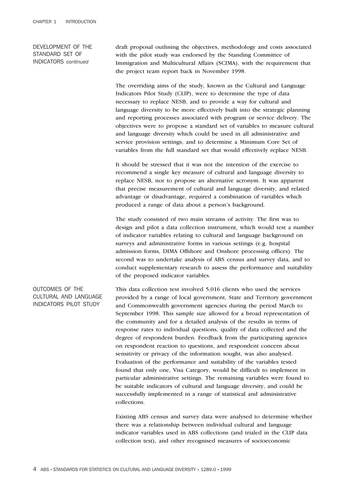DEVELOPMENT OF THE STANDARD SET OF INDICATORS *continued*

draft proposal outlining the objectives, methodology and costs associated with the pilot study was endorsed by the Standing Committee of Immigration and Multicultural Affairs (SCIMA), with the requirement that the project team report back in November 1998.

The overriding aims of the study, known as the Cultural and Language Indicators Pilot Study (CLIP), were to determine the type of data necessary to replace NESB, and to provide a way for cultural and language diversity to be more effectively built into the strategic planning and reporting processes associated with program or service delivery. The objectives were to propose a standard set of variables to measure cultural and language diversity which could be used in all administrative and service provision settings, and to determine a Minimum Core Set of variables from the full standard set that would effectively replace NESB.

It should be stressed that it was not the intention of the exercise to recommend a single key measure of cultural and language diversity to replace NESB, nor to propose an alternative acronym. It was apparent that precise measurement of cultural and language diversity, and related advantage or disadvantage, required a combination of variables which produced a range of data about a person's background.

The study consisted of two main streams of activity. The first was to design and pilot a data collection instrument, which would test a number of indicator variables relating to cultural and language background on surveys and administrative forms in various settings (e.g. hospital admission forms, DIMA Offshore and Onshore processing offices). The second was to undertake analysis of ABS census and survey data, and to conduct supplementary research to assess the performance and suitability of the proposed indicator variables.

## OUTCOMES OF THE CULTURAL AND LANGUAGE INDICATORS PILOT STUDY

This data collection test involved 5,016 clients who used the services provided by a range of local government, State and Territory government and Commonwealth government agencies during the period March to September 1998. This sample size allowed for a broad representation of the community and for a detailed analysis of the results in terms of response rates to individual questions, quality of data collected and the degree of respondent burden. Feedback from the participating agencies on respondent reaction to questions, and respondent concern about sensitivity or privacy of the information sought, was also analysed. Evaluation of the performance and suitability of the variables tested found that only one, Visa Category, would be difficult to implement in particular administrative settings. The remaining variables were found to be suitable indicators of cultural and language diversity, and could be successfully implemented in a range of statistical and administrative collections.

Existing ABS census and survey data were analysed to determine whether there was a relationship between individual cultural and language indicator variables used in ABS collections (and trialed in the CLIP data collection test), and other recognised measures of socioeconomic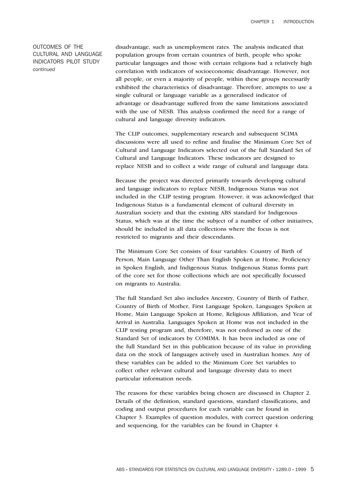OUTCOMES OF THE CULTURAL AND LANGUAGE INDICATORS PILOT STUDY *continued*

disadvantage, such as unemployment rates. The analysis indicated that population groups from certain countries of birth, people who spoke particular languages and those with certain religions had a relatively high correlation with indicators of socioeconomic disadvantage. However, not all people, or even a majority of people, within these groups necessarily exhibited the characteristics of disadvantage. Therefore, attempts to use a single cultural or language variable as a generalised indicator of advantage or disadvantage suffered from the same limitations associated with the use of NESB. This analysis confirmed the need for a range of cultural and language diversity indicators.

The CLIP outcomes, supplementary research and subsequent SCIMA discussions were all used to refine and finalise the Minimum Core Set of Cultural and Language Indicators selected out of the full Standard Set of Cultural and Language Indicators. These indicators are designed to replace NESB and to collect a wide range of cultural and language data.

Because the project was directed primarily towards developing cultural and language indicators to replace NESB, Indigenous Status was not included in the CLIP testing program. However, it was acknowledged that Indigenous Status is a fundamental element of cultural diversity in Australian society and that the existing ABS standard for Indigenous Status, which was at the time the subject of a number of other initiatives, should be included in all data collections where the focus is not restricted to migrants and their descendants.

The Minimum Core Set consists of four variables: Country of Birth of Person, Main Language Other Than English Spoken at Home, Proficiency in Spoken English, and Indigenous Status. Indigenous Status forms part of the core set for those collections which are not specifically focussed on migrants to Australia.

The full Standard Set also includes Ancestry, Country of Birth of Father, Country of Birth of Mother, First Language Spoken, Languages Spoken at Home, Main Language Spoken at Home, Religious Affiliation, and Year of Arrival in Australia. Languages Spoken at Home was not included in the CLIP testing program and, therefore, was not endorsed as one of the Standard Set of indicators by COMIMA. It has been included as one of the full Standard Set in this publication because of its value in providing data on the stock of languages actively used in Australian homes. Any of these variables can be added to the Minimum Core Set variables to collect other relevant cultural and language diversity data to meet particular information needs.

The reasons for these variables being chosen are discussed in Chapter 2. Details of the definition, standard questions, standard classifications, and coding and output procedures for each variable can be found in Chapter 3. Examples of question modules, with correct question ordering and sequencing, for the variables can be found in Chapter 4.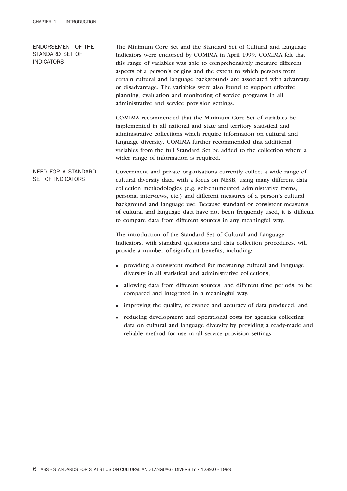ENDORSEMENT OF THE STANDARD SET OF INDICATORS The Minimum Core Set and the Standard Set of Cultural and Language Indicators were endorsed by COMIMA in April 1999. COMIMA felt that this range of variables was able to comprehensively measure different aspects of a person's origins and the extent to which persons from certain cultural and language backgrounds are associated with advantage or disadvantage. The variables were also found to support effective planning, evaluation and monitoring of service programs in all administrative and service provision settings. COMIMA recommended that the Minimum Core Set of variables be implemented in all national and state and territory statistical and administrative collections which require information on cultural and language diversity. COMIMA further recommended that additional variables from the full Standard Set be added to the collection where a wider range of information is required. NEED FOR A STANDARD SET OF INDICATORS Government and private organisations currently collect a wide range of cultural diversity data, with a focus on NESB, using many different data collection methodologies (e.g. self-enumerated administrative forms, personal interviews, etc.) and different measures of a person's cultural background and language use. Because standard or consistent measures of cultural and language data have not been frequently used, it is difficult to compare data from different sources in any meaningful way. The introduction of the Standard Set of Cultural and Language Indicators, with standard questions and data collection procedures, will provide a number of significant benefits, including: <sup>n</sup> providing a consistent method for measuring cultural and language diversity in all statistical and administrative collections; <sup>n</sup> allowing data from different sources, and different time periods, to be compared and integrated in a meaningful way; <sup>n</sup> improving the quality, relevance and accuracy of data produced; and <sup>n</sup> reducing development and operational costs for agencies collecting data on cultural and language diversity by providing a ready-made and reliable method for use in all service provision settings.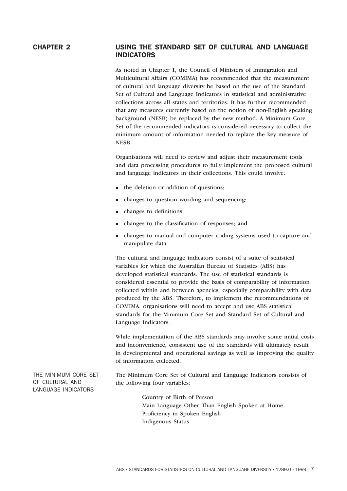# CHAPTER 2 USING THE STANDARD SET OF CULTURAL AND LANGUAGE INDICATORS

As noted in Chapter 1, the Council of Ministers of Immigration and Multicultural Affairs (COMIMA) has recommended that the measurement of cultural and language diversity be based on the use of the Standard Set of Cultural and Language Indicators in statistical and administrative collections across all states and territories. It has further recommended that any measures currently based on the notion of non-English speaking background (NESB) be replaced by the new method. A Minimum Core Set of the recommended indicators is considered necessary to collect the minimum amount of information needed to replace the key measure of NESB.

Organisations will need to review and adjust their measurement tools and data processing procedures to fully implement the proposed cultural and language indicators in their collections. This could involve:

- n the deletion or addition of questions;
- n changes to question wording and sequencing;
- n changes to definitions;
- <sup>n</sup> changes to the classification of responses; and
- <sup>n</sup> changes to manual and computer coding systems used to capture and manipulate data.

The cultural and language indicators consist of a suite of statistical variables for which the Australian Bureau of Statistics (ABS) has developed statistical standards. The use of statistical standards is considered essential to provide the basis of comparability of information collected within and between agencies, especially comparability with data produced by the ABS. Therefore, to implement the recommendations of COMIMA, organisations will need to accept and use ABS statistical standards for the Minimum Core Set and Standard Set of Cultural and Language Indicators.

While implementation of the ABS standards may involve some initial costs and inconvenience, consistent use of the standards will ultimately result in developmental and operational savings as well as improving the quality of information collected.

THE MINIMUM CORE SET OF CULTURAL AND LANGUAGE INDICATORS

The Minimum Core Set of Cultural and Language Indicators consists of the following four variables:

> Country of Birth of Person Main Language Other Than English Spoken at Home Proficiency in Spoken English Indigenous Status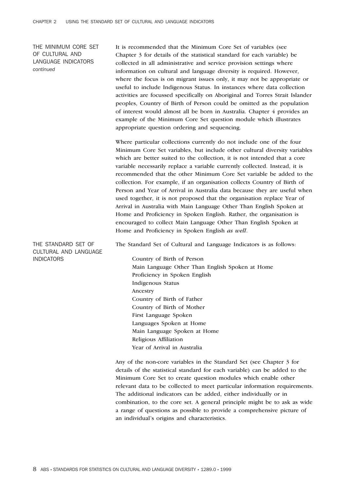THE MINIMUM CORE SET OF CULTURAL AND LANGUAGE INDICATORS *continued*

It is recommended that the Minimum Core Set of variables (see Chapter 3 for details of the statistical standard for each variable) be collected in all administrative and service provision settings where information on cultural and language diversity is required. However, where the focus is on migrant issues only, it may not be appropriate or useful to include Indigenous Status. In instances where data collection activities are focussed specifically on Aboriginal and Torres Strait Islander peoples, Country of Birth of Person could be omitted as the population of interest would almost all be born in Australia. Chapter 4 provides an example of the Minimum Core Set question module which illustrates appropriate question ordering and sequencing.

Where particular collections currently do not include one of the four Minimum Core Set variables, but include other cultural diversity variables which are better suited to the collection, it is not intended that a core variable necessarily replace a variable currently collected. Instead, it is recommended that the other Minimum Core Set variable be added to the collection. For example, if an organisation collects Country of Birth of Person and Year of Arrival in Australia data because they are useful when used together, it is not proposed that the organisation replace Year of Arrival in Australia with Main Language Other Than English Spoken at Home and Proficiency in Spoken English. Rather, the organisation is encouraged to collect Main Language Other Than English Spoken at Home and Proficiency in Spoken English *as well*.

THE STANDARD SET OF CULTURAL AND LANGUAGE INDICATORS

The Standard Set of Cultural and Language Indicators is as follows: Country of Birth of Person Main Language Other Than English Spoken at Home Proficiency in Spoken English

Indigenous Status Ancestry Country of Birth of Father Country of Birth of Mother First Language Spoken Languages Spoken at Home Main Language Spoken at Home Religious Affiliation Year of Arrival in Australia

Any of the non-core variables in the Standard Set (see Chapter 3 for details of the statistical standard for each variable) can be added to the Minimum Core Set to create question modules which enable other relevant data to be collected to meet particular information requirements. The additional indicators can be added, either individually or in combination, to the core set. A general principle might be to ask as wide a range of questions as possible to provide a comprehensive picture of an individual's origins and characteristics.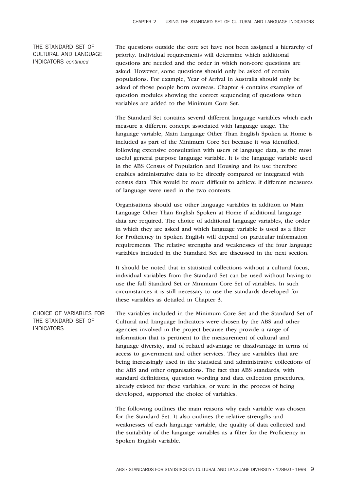# THE STANDARD SET OF CULTURAL AND LANGUAGE INDICATORS *continued*

The questions outside the core set have not been assigned a hierarchy of priority. Individual requirements will determine which additional questions are needed and the order in which non-core questions are asked. However, some questions should only be asked of certain populations. For example, Year of Arrival in Australia should only be asked of those people born overseas. Chapter 4 contains examples of question modules showing the correct sequencing of questions when variables are added to the Minimum Core Set.

The Standard Set contains several different language variables which each measure a different concept associated with language usage. The language variable, Main Language Other Than English Spoken at Home is included as part of the Minimum Core Set because it was identified, following extensive consultation with users of language data, as the most useful general purpose language variable. It is the language variable used in the ABS Census of Population and Housing and its use therefore enables administrative data to be directly compared or integrated with census data. This would be more difficult to achieve if different measures of language were used in the two contexts.

Organisations should use other language variables in addition to Main Language Other Than English Spoken at Home if additional language data are required. The choice of additional language variables, the order in which they are asked and which language variable is used as a filter for Proficiency in Spoken English will depend on particular information requirements. The relative strengths and weaknesses of the four language variables included in the Standard Set are discussed in the next section.

It should be noted that in statistical collections without a cultural focus, individual variables from the Standard Set can be used without having to use the full Standard Set or Minimum Core Set of variables. In such circumstances it is still necessary to use the standards developed for these variables as detailed in Chapter 3.

CHOICE OF VARIABLES FOR THE STANDARD SET OF **INDICATORS** The variables included in the Minimum Core Set and the Standard Set of Cultural and Language Indicators were chosen by the ABS and other agencies involved in the project because they provide a range of information that is pertinent to the measurement of cultural and language diversity, and of related advantage or disadvantage in terms of access to government and other services. They are variables that are being increasingly used in the statistical and administrative collections of the ABS and other organisations. The fact that ABS standards, with standard definitions, question wording and data collection procedures, already existed for these variables, or were in the process of being developed, supported the choice of variables.

> The following outlines the main reasons why each variable was chosen for the Standard Set. It also outlines the relative strengths and weaknesses of each language variable, the quality of data collected and the suitability of the language variables as a filter for the Proficiency in Spoken English variable.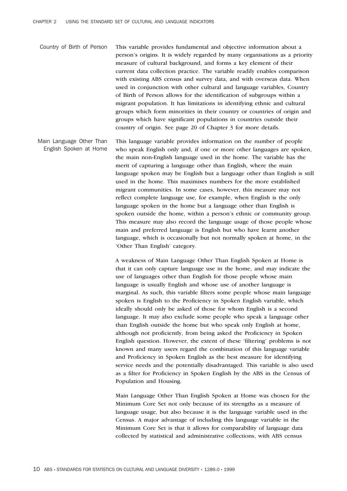Country of Birth of Person This variable provides fundamental and objective information about a person's origins. It is widely regarded by many organisations as a priority measure of cultural background, and forms a key element of their current data collection practice. The variable readily enables comparison with existing ABS census and survey data, and with overseas data. When used in conjunction with other cultural and language variables, Country of Birth of Person allows for the identification of subgroups within a migrant population. It has limitations in identifying ethnic and cultural groups which form minorities in their country or countries of origin and groups which have significant populations in countries outside their country of origin. See page 20 of Chapter 3 for more details.

Main Language Other Than English Spoken at Home This language variable provides information on the number of people who speak English only and, if one or more other languages are spoken, the main non-English language used in the home. The variable has the merit of capturing a language other than English, where the main language spoken may be English but a language other than English is still used in the home. This maximises numbers for the more established migrant communities. In some cases, however, this measure may not reflect complete language use, for example, when English is the only language spoken in the home but a language other than English is spoken outside the home, within a person's ethnic or community group. This measure may also record the language usage of those people whose main and preferred language is English but who have learnt another language, which is occasionally but not normally spoken at home, in the 'Other Than English' category.

> A weakness of Main Language Other Than English Spoken at Home is that it can only capture language use in the home, and may indicate the use of languages other than English for those people whose main language is usually English and whose use of another language is marginal. As such, this variable filters some people whose main language spoken is English to the Proficiency in Spoken English variable, which ideally should only be asked of those for whom English is a second language. It may also exclude some people who speak a language other than English outside the home but who speak only English at home, although not proficiently, from being asked the Proficiency in Spoken English question. However, the extent of these 'filtering' problems is not known and many users regard the combination of this language variable and Proficiency in Spoken English as the best measure for identifying service needs and the potentially disadvantaged. This variable is also used as a filter for Proficiency in Spoken English by the ABS in the Census of Population and Housing.

Main Language Other Than English Spoken at Home was chosen for the Minimum Core Set not only because of its strengths as a measure of language usage, but also because it is the language variable used in the Census. A major advantage of including this language variable in the Minimum Core Set is that it allows for comparability of language data collected by statistical and administrative collections, with ABS census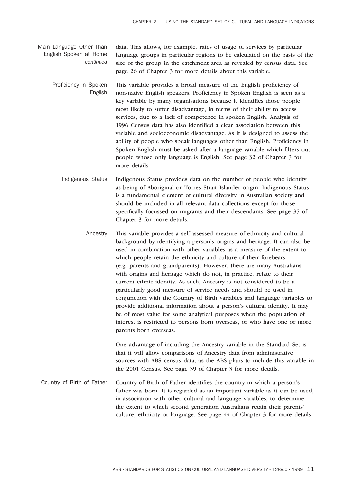- Main Language Other Than English Spoken at Home *continued* data. This allows, for example, rates of usage of services by particular language groups in particular regions to be calculated on the basis of the size of the group in the catchment area as revealed by census data. See page 26 of Chapter 3 for more details about this variable.
	- Proficiency in Spoken English This variable provides a broad measure of the English proficiency of non-native English speakers. Proficiency in Spoken English is seen as a key variable by many organisations because it identifies those people most likely to suffer disadvantage, in terms of their ability to access services, due to a lack of competence in spoken English. Analysis of 1996 Census data has also identified a clear association between this variable and socioeconomic disadvantage. As it is designed to assess the ability of people who speak languages other than English, Proficiency in Spoken English must be asked after a language variable which filters out people whose only language is English. See page 32 of Chapter 3 for more details.
		- Indigenous Status Indigenous Status provides data on the number of people who identify as being of Aboriginal or Torres Strait Islander origin. Indigenous Status is a fundamental element of cultural diversity in Australian society and should be included in all relevant data collections except for those specifically focussed on migrants and their descendants. See page 35 of Chapter 3 for more details.
			- Ancestry This variable provides a self-assessed measure of ethnicity and cultural background by identifying a person's origins and heritage. It can also be used in combination with other variables as a measure of the extent to which people retain the ethnicity and culture of their forebears (e.g. parents and grandparents). However, there are many Australians with origins and heritage which do not, in practice, relate to their current ethnic identity. As such, Ancestry is not considered to be a particularly good measure of service needs and should be used in conjunction with the Country of Birth variables and language variables to provide additional information about a person's cultural identity. It may be of most value for some analytical purposes when the population of interest is restricted to persons born overseas, or who have one or more parents born overseas.

One advantage of including the Ancestry variable in the Standard Set is that it will allow comparisons of Ancestry data from administrative sources with ABS census data, as the ABS plans to include this variable in the 2001 Census. See page 39 of Chapter 3 for more details.

Country of Birth of Father Country of Birth of Father identifies the country in which a person's father was born. It is regarded as an important variable as it can be used, in association with other cultural and language variables, to determine the extent to which second generation Australians retain their parents' culture, ethnicity or language. See page 44 of Chapter 3 for more details.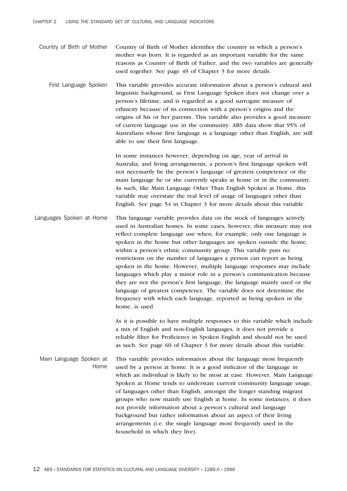- Country of Birth of Mother Country of Birth of Mother identifies the country in which a person's mother was born. It is regarded as an important variable for the same reasons as Country of Birth of Father, and the two variables are generally used together. See page 49 of Chapter 3 for more details.
	- First Language Spoken This variable provides accurate information about a person's cultural and linguistic background, as First Language Spoken does not change over a person's lifetime, and is regarded as a good surrogate measure of ethnicity because of its connection with a person's origins and the origins of his or her parents. This variable also provides a good measure of current language use in the community. ABS data show that 95% of Australians whose first language is a language other than English, are still able to use their first language.

In some instances however, depending on age, year of arrival in Australia, and living arrangements, a person's first language spoken will not necessarily be the person's language of greatest competence or the main language he or she currently speaks at home or in the community. As such, like Main Language Other Than English Spoken at Home, this variable may overstate the real level of usage of languages other than English. See page 54 in Chapter 3 for more details about this variable.

Languages Spoken at Home This language variable provides data on the stock of languages actively used in Australian homes. In some cases, however, this measure may not reflect complete language use when, for example, only one language is spoken in the home but other languages are spoken outside the home, within a person's ethnic community group. This variable puts no restrictions on the number of languages a person can report as being spoken in the home. However, multiple language responses may include languages which play a minor role in a person's communication because they are not the person's first language, the language mainly used or the language of greatest competence. The variable does not determine the frequency with which each language, reported as being spoken in the home, is used.

> As it is possible to have multiple responses to this variable which include a mix of English and non-English languages, it does not provide a reliable filter for Proficiency in Spoken English and should not be used as such. See page 60 of Chapter 3 for more details about this variable.

Main Language Spoken at Home This variable provides information about the language most frequently used by a person at home. It is a good indicator of the language in which an individual is likely to be most at ease. However, Main Language Spoken at Home tends to understate current community language usage, of languages other than English, amongst the longer standing migrant groups who now mainly use English at home. In some instances, it does not provide information about a person's cultural and language background but rather information about an aspect of their living arrangements (i.e. the single language most frequently used in the household in which they live).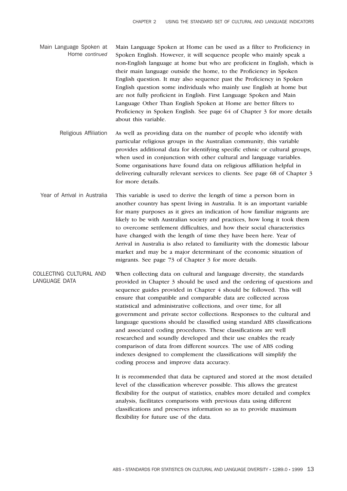Main Language Spoken at Home *continued* Main Language Spoken at Home can be used as a filter to Proficiency in Spoken English. However, it will sequence people who mainly speak a non-English language at home but who are proficient in English, which is their main language outside the home, to the Proficiency in Spoken English question. It may also sequence past the Proficiency in Spoken English question some individuals who mainly use English at home but are not fully proficient in English. First Language Spoken and Main Language Other Than English Spoken at Home are better filters to Proficiency in Spoken English. See page 64 of Chapter 3 for more details about this variable.

Religious Affiliation As well as providing data on the number of people who identify with particular religious groups in the Australian community, this variable provides additional data for identifying specific ethnic or cultural groups, when used in conjunction with other cultural and language variables. Some organisations have found data on religious affiliation helpful in delivering culturally relevant services to clients. See page 68 of Chapter 3 for more details.

Year of Arrival in Australia This variable is used to derive the length of time a person born in another country has spent living in Australia. It is an important variable for many purposes as it gives an indication of how familiar migrants are likely to be with Australian society and practices, how long it took them to overcome settlement difficulties, and how their social characteristics have changed with the length of time they have been here. Year of Arrival in Australia is also related to familiarity with the domestic labour market and may be a major determinant of the economic situation of migrants. See page 73 of Chapter 3 for more details.

COLLECTING CULTURAL AND LANGUAGE DATA When collecting data on cultural and language diversity, the standards provided in Chapter 3 should be used and the ordering of questions and sequence guides provided in Chapter 4 should be followed. This will ensure that compatible and comparable data are collected across statistical and administrative collections, and over time, for all government and private sector collections. Responses to the cultural and language questions should be classified using standard ABS classifications and associated coding procedures. These classifications are well researched and soundly developed and their use enables the ready comparison of data from different sources. The use of ABS coding indexes designed to complement the classifications will simplify the coding process and improve data accuracy.

> It is recommended that data be captured and stored at the most detailed level of the classification wherever possible. This allows the greatest flexibility for the output of statistics, enables more detailed and complex analysis, facilitates comparisons with previous data using different classifications and preserves information so as to provide maximum flexibility for future use of the data.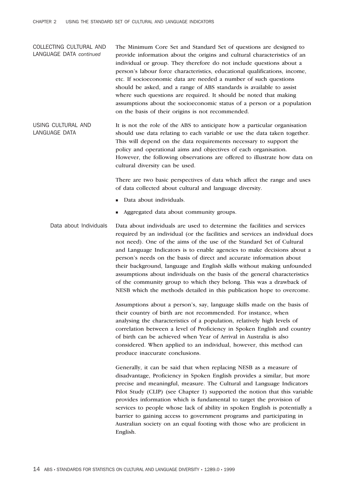COLLECTING CULTURAL AND LANGUAGE DATA *continued* The Minimum Core Set and Standard Set of questions are designed to provide information about the origins and cultural characteristics of an individual or group. They therefore do not include questions about a person's labour force characteristics, educational qualifications, income, etc. If socioeconomic data are needed a number of such questions should be asked, and a range of ABS standards is available to assist where such questions are required. It should be noted that making assumptions about the socioeconomic status of a person or a population on the basis of their origins is not recommended.

USING CULTURAL AND LANGUAGE DATA It is not the role of the ABS to anticipate how a particular organisation should use data relating to each variable or use the data taken together. This will depend on the data requirements necessary to support the policy and operational aims and objectives of each organisation. However, the following observations are offered to illustrate how data on cultural diversity can be used.

> There are two basic perspectives of data which affect the range and uses of data collected about cultural and language diversity.

- Data about individuals.
- <sup>n</sup> Aggregated data about community groups.

Data about Individuals Data about individuals are used to determine the facilities and services required by an individual (or the facilities and services an individual does not need). One of the aims of the use of the Standard Set of Cultural and Language Indicators is to enable agencies to make decisions about a person's needs on the basis of direct and accurate information about their background, language and English skills without making unfounded assumptions about individuals on the basis of the general characteristics of the community group to which they belong. This was a drawback of NESB which the methods detailed in this publication hope to overcome.

> Assumptions about a person's, say, language skills made on the basis of their country of birth are not recommended. For instance, when analysing the characteristics of a population, relatively high levels of correlation between a level of Proficiency in Spoken English and country of birth can be achieved when Year of Arrival in Australia is also considered. When applied to an individual, however, this method can produce inaccurate conclusions.

Generally, it can be said that when replacing NESB as a measure of disadvantage, Proficiency in Spoken English provides a similar, but more precise and meaningful, measure. The Cultural and Language Indicators Pilot Study (CLIP) (see Chapter 1) supported the notion that this variable provides information which is fundamental to target the provision of services to people whose lack of ability in spoken English is potentially a barrier to gaining access to government programs and participating in Australian society on an equal footing with those who are proficient in English.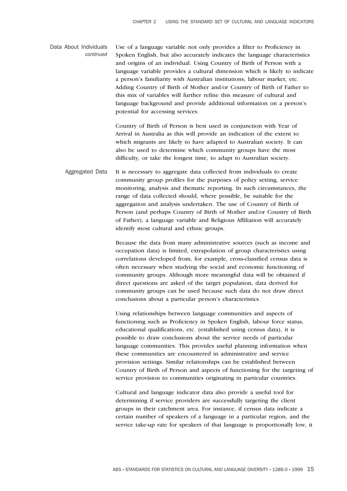Data About Individuals *continued* Use of a language variable not only provides a filter to Proficiency in Spoken English, but also accurately indicates the language characteristics and origins of an individual. Using Country of Birth of Person with a language variable provides a cultural dimension which is likely to indicate a person's familiarity with Australian institutions, labour market, etc. Adding Country of Birth of Mother and/or Country of Birth of Father to this mix of variables will further refine this measure of cultural and language background and provide additional information on a person's potential for accessing services.

> Country of Birth of Person is best used in conjunction with Year of Arrival in Australia as this will provide an indication of the extent to which migrants are likely to have adapted to Australian society. It can also be used to determine which community groups have the most difficulty, or take the longest time, to adapt to Australian society.

Aggregated Data It is necessary to aggregate data collected from individuals to create community group profiles for the purposes of policy setting, service monitoring, analysis and thematic reporting. In such circumstances, the range of data collected should, where possible, be suitable for the aggregation and analysis undertaken. The use of Country of Birth of Person (and perhaps Country of Birth of Mother and/or Country of Birth of Father), a language variable and Religious Affiliation will accurately identify most cultural and ethnic groups.

> Because the data from many administrative sources (such as income and occupation data) is limited, extrapolation of group characteristics using correlations developed from, for example, cross-classified census data is often necessary when studying the social and economic functioning of community groups. Although more meaningful data will be obtained if direct questions are asked of the target population, data derived for community groups can be used because such data do not draw direct conclusions about a particular person's characteristics.

Using relationships between language communities and aspects of functioning such as Proficiency in Spoken English, labour force status, educational qualifications, etc. (established using census data), it is possible to draw conclusions about the service needs of particular language communities. This provides useful planning information when these communities are encountered in administrative and service provision settings. Similar relationships can be established between Country of Birth of Person and aspects of functioning for the targeting of service provision to communities originating in particular countries.

Cultural and language indicator data also provide a useful tool for determining if service providers are successfully targeting the client groups in their catchment area. For instance, if census data indicate a certain number of speakers of a language in a particular region, and the service take-up rate for speakers of that language is proportionally low, it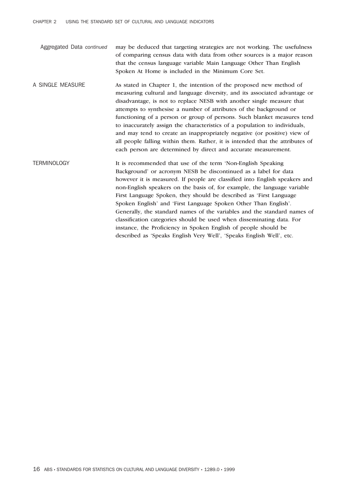- Aggregated Data *continued* may be deduced that targeting strategies are not working. The usefulness of comparing census data with data from other sources is a major reason that the census language variable Main Language Other Than English Spoken At Home is included in the Minimum Core Set.
- A SINGLE MEASURE As stated in Chapter 1, the intention of the proposed new method of measuring cultural and language diversity, and its associated advantage or disadvantage, is not to replace NESB with another single measure that attempts to synthesise a number of attributes of the background or functioning of a person or group of persons. Such blanket measures tend to inaccurately assign the characteristics of a population to individuals, and may tend to create an inappropriately negative (or positive) view of all people falling within them. Rather, it is intended that the attributes of each person are determined by direct and accurate measurement.
- TERMINOLOGY It is recommended that use of the term 'Non-English Speaking Background' or acronym NESB be discontinued as a label for data however it is measured. If people are classified into English speakers and non-English speakers on the basis of, for example, the language variable First Language Spoken, they should be described as 'First Language Spoken English' and 'First Language Spoken Other Than English'. Generally, the standard names of the variables and the standard names of classification categories should be used when disseminating data. For instance, the Proficiency in Spoken English of people should be described as 'Speaks English Very Well', 'Speaks English Well', etc.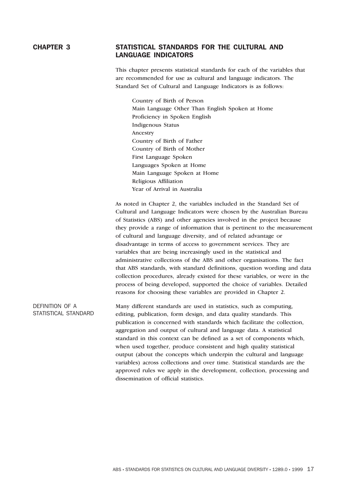# CHAPTER 3 STATISTICAL STANDARDS FOR THE CULTURAL AND LANGUAGE INDICATORS

This chapter presents statistical standards for each of the variables that are recommended for use as cultural and language indicators. The Standard Set of Cultural and Language Indicators is as follows:

Country of Birth of Person Main Language Other Than English Spoken at Home Proficiency in Spoken English Indigenous Status Ancestry Country of Birth of Father Country of Birth of Mother First Language Spoken Languages Spoken at Home Main Language Spoken at Home Religious Affiliation Year of Arrival in Australia

As noted in Chapter 2, the variables included in the Standard Set of Cultural and Language Indicators were chosen by the Australian Bureau of Statistics (ABS) and other agencies involved in the project because they provide a range of information that is pertinent to the measurement of cultural and language diversity, and of related advantage or disadvantage in terms of access to government services. They are variables that are being increasingly used in the statistical and administrative collections of the ABS and other organisations. The fact that ABS standards, with standard definitions, question wording and data collection procedures, already existed for these variables, or were in the process of being developed, supported the choice of variables. Detailed reasons for choosing these variables are provided in Chapter 2.

DEFINITION OF A STATISTICAL STANDARD Many different standards are used in statistics, such as computing, editing, publication, form design, and data quality standards. This publication is concerned with standards which facilitate the collection, aggregation and output of cultural and language data. A statistical standard in this context can be defined as a set of components which, when used together, produce consistent and high quality statistical output (about the concepts which underpin the cultural and language variables) across collections and over time. Statistical standards are the approved rules we apply in the development, collection, processing and dissemination of official statistics.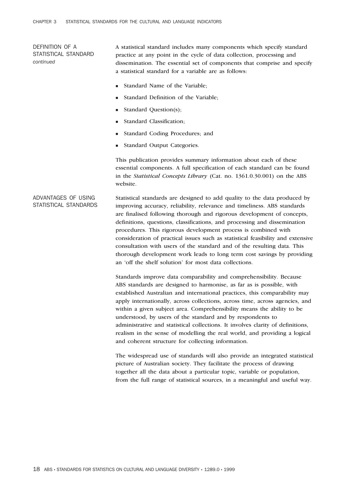DEFINITION OF A STATISTICAL STANDARD *continued*

A statistical standard includes many components which specify standard practice at any point in the cycle of data collection, processing and dissemination. The essential set of components that comprise and specify a statistical standard for a variable are as follows:

- Standard Name of the Variable;
- Standard Definition of the Variable;
- Standard Question(s);
- **n** Standard Classification;
- <sup>n</sup> Standard Coding Procedures; and
- Standard Output Categories.

This publication provides summary information about each of these essential components. A full specification of each standard can be found in the *Statistical Concepts Library* (Cat. no. 1361.0.30.001) on the ABS website.

ADVANTAGES OF USING STATISTICAL STANDARDS Statistical standards are designed to add quality to the data produced by improving accuracy, reliability, relevance and timeliness. ABS standards are finalised following thorough and rigorous development of concepts, definitions, questions, classifications, and processing and dissemination procedures. This rigorous development process is combined with consideration of practical issues such as statistical feasibility and extensive consultation with users of the standard and of the resulting data. This thorough development work leads to long term cost savings by providing an 'off the shelf solution' for most data collections.

> Standards improve data comparability and comprehensibility. Because ABS standards are designed to harmonise, as far as is possible, with established Australian and international practices, this comparability may apply internationally, across collections, across time, across agencies, and within a given subject area. Comprehensibility means the ability to be understood, by users of the standard and by respondents to administrative and statistical collections. It involves clarity of definitions, realism in the sense of modelling the real world, and providing a logical and coherent structure for collecting information.

> The widespread use of standards will also provide an integrated statistical picture of Australian society. They facilitate the process of drawing together all the data about a particular topic, variable or population, from the full range of statistical sources, in a meaningful and useful way.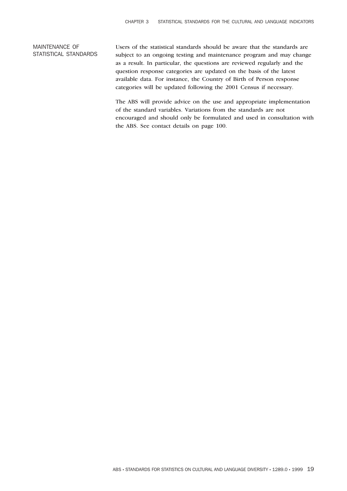# MAINTENANCE OF STATISTICAL STANDARDS

Users of the statistical standards should be aware that the standards are subject to an ongoing testing and maintenance program and may change as a result. In particular, the questions are reviewed regularly and the question response categories are updated on the basis of the latest available data. For instance, the Country of Birth of Person response categories will be updated following the 2001 Census if necessary.

The ABS will provide advice on the use and appropriate implementation of the standard variables. Variations from the standards are not encouraged and should only be formulated and used in consultation with the ABS. See contact details on page 100.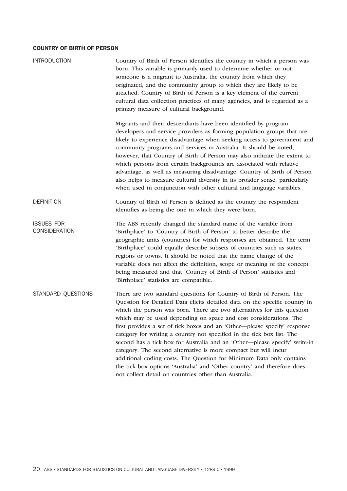| <b>INTRODUCTION</b>                       | Country of Birth of Person identifies the country in which a person was<br>born. This variable is primarily used to determine whether or not<br>someone is a migrant to Australia, the country from which they<br>originated, and the community group to which they are likely to be<br>attached. Country of Birth of Person is a key element of the current<br>cultural data collection practices of many agencies, and is regarded as a<br>primary measure of cultural background.                                                                                                                                                                                                                                                                                                                                    |
|-------------------------------------------|-------------------------------------------------------------------------------------------------------------------------------------------------------------------------------------------------------------------------------------------------------------------------------------------------------------------------------------------------------------------------------------------------------------------------------------------------------------------------------------------------------------------------------------------------------------------------------------------------------------------------------------------------------------------------------------------------------------------------------------------------------------------------------------------------------------------------|
|                                           | Migrants and their descendants have been identified by program<br>developers and service providers as forming population groups that are<br>likely to experience disadvantage when seeking access to government and<br>community programs and services in Australia. It should be noted,<br>however, that Country of Birth of Person may also indicate the extent to<br>which persons from certain backgrounds are associated with relative<br>advantage, as well as measuring disadvantage. Country of Birth of Person<br>also helps to measure cultural diversity in its broader sense, particularly<br>when used in conjunction with other cultural and language variables.                                                                                                                                          |
| <b>DEFINITION</b>                         | Country of Birth of Person is defined as the country the respondent<br>identifies as being the one in which they were born.                                                                                                                                                                                                                                                                                                                                                                                                                                                                                                                                                                                                                                                                                             |
| <b>ISSUES FOR</b><br><b>CONSIDERATION</b> | The ABS recently changed the standard name of the variable from<br>'Birthplace' to 'Country of Birth of Person' to better describe the<br>geographic units (countries) for which responses are obtained. The term<br>'Birthplace' could equally describe subsets of countries such as states,<br>regions or towns. It should be noted that the name change of the<br>variable does not affect the definition, scope or meaning of the concept<br>being measured and that 'Country of Birth of Person' statistics and<br>'Birthplace' statistics are compatible.                                                                                                                                                                                                                                                         |
| STANDARD QUESTIONS                        | There are two standard questions for Country of Birth of Person. The<br>Question for Detailed Data elicits detailed data on the specific country in<br>which the person was born. There are two alternatives for this question<br>which may be used depending on space and cost considerations. The<br>first provides a set of tick boxes and an 'Other-please specify' response<br>category for writing a country not specified in the tick box list. The<br>second has a tick box for Australia and an 'Other-please specify' write-in<br>category. The second alternative is more compact but will incur<br>additional coding costs. The Question for Minimum Data only contains<br>the tick box options 'Australia' and 'Other country' and therefore does<br>not collect detail on countries other than Australia. |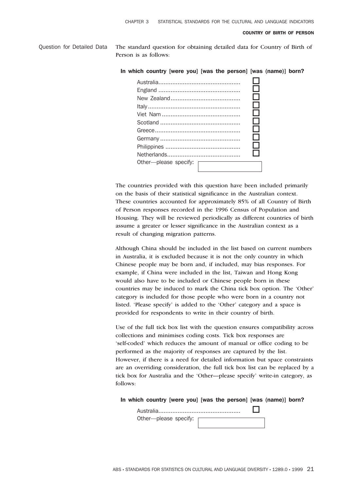Question for Detailed Data The standard question for obtaining detailed data for Country of Birth of Person is as follows:

#### In which country [were you] [was the person] [was (name)] born?

|                                  |  | $\mathbf{I}$                |
|----------------------------------|--|-----------------------------|
|                                  |  | $\mathcal{L}_{\mathcal{A}}$ |
|                                  |  |                             |
|                                  |  | $\sim$                      |
|                                  |  | $\mathcal{L}$               |
|                                  |  | . I                         |
|                                  |  | i.                          |
|                                  |  |                             |
| Other---please specify: $\Gamma$ |  |                             |
|                                  |  |                             |

The countries provided with this question have been included primarily on the basis of their statistical significance in the Australian context. These countries accounted for approximately 85% of all Country of Birth of Person responses recorded in the 1996 Census of Population and Housing. They will be reviewed periodically as different countries of birth assume a greater or lesser significance in the Australian context as a result of changing migration patterns.

Although China should be included in the list based on current numbers in Australia, it is excluded because it is not the only country in which Chinese people may be born and, if included, may bias responses. For example, if China were included in the list, Taiwan and Hong Kong would also have to be included or Chinese people born in these countries may be induced to mark the China tick box option. The 'Other' category is included for those people who were born in a country not listed. 'Please specify' is added to the 'Other' category and a space is provided for respondents to write in their country of birth.

Use of the full tick box list with the question ensures compatibility across collections and minimises coding costs. Tick box responses are 'self-coded' which reduces the amount of manual or office coding to be performed as the majority of responses are captured by the list. However, if there is a need for detailed information but space constraints are an overriding consideration, the full tick box list can be replaced by a tick box for Australia and the 'Other—please specify' write-in category, as follows:

#### In which country [were you] [was the person] [was (name)] born?

Australia............................................... o Other—please specify: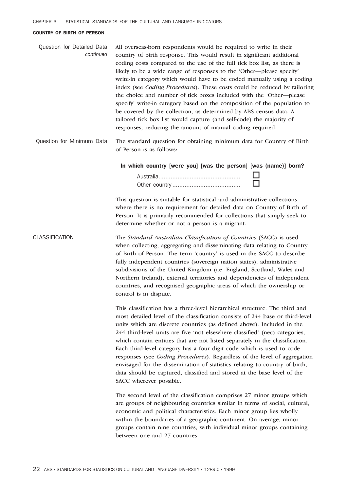| Question for Detailed Data | All overseas-born respondents would be required to write in their                |
|----------------------------|----------------------------------------------------------------------------------|
| continued                  | country of birth response. This would result in significant additional           |
|                            | coding costs compared to the use of the full tick box list, as there is          |
|                            | likely to be a wide range of responses to the 'Other—please specify'             |
|                            | write-in category which would have to be coded manually using a coding           |
|                            | index (see <i>Coding Procedures</i> ). These costs could be reduced by tailoring |
|                            | the choice and number of tick boxes included with the 'Other—please              |
|                            | specify' write-in category based on the composition of the population to         |
|                            | be covered by the collection, as determined by ABS census data. A                |
|                            | tailored tick box list would capture (and self-code) the majority of             |
|                            | responses, reducing the amount of manual coding required.                        |

Question for Minimum Data The standard question for obtaining minimum data for Country of Birth of Person is as follows:

In which country [were you] [was the person] [was (name)] born?

This question is suitable for statistical and administrative collections where there is no requirement for detailed data on Country of Birth of Person. It is primarily recommended for collections that simply seek to determine whether or not a person is a migrant.

CLASSIFICATION The *Standard Australian Classification of Countries* (SACC) is used when collecting, aggregating and disseminating data relating to Country of Birth of Person. The term 'country' is used in the SACC to describe fully independent countries (sovereign nation states), administrative subdivisions of the United Kingdom (i.e. England, Scotland, Wales and Northern Ireland), external territories and dependencies of independent countries, and recognised geographic areas of which the ownership or control is in dispute.

> This classification has a three-level hierarchical structure. The third and most detailed level of the classification consists of 244 base or third-level units which are discrete countries (as defined above). Included in the 244 third-level units are five 'not elsewhere classified' (nec) categories, which contain entities that are not listed separately in the classification. Each third-level category has a four digit code which is used to code responses (see *Coding Procedures*). Regardless of the level of aggregation envisaged for the dissemination of statistics relating to country of birth, data should be captured, classified and stored at the base level of the SACC wherever possible.

The second level of the classification comprises 27 minor groups which are groups of neighbouring countries similar in terms of social, cultural, economic and political characteristics. Each minor group lies wholly within the boundaries of a geographic continent. On average, minor groups contain nine countries, with individual minor groups containing between one and 27 countries.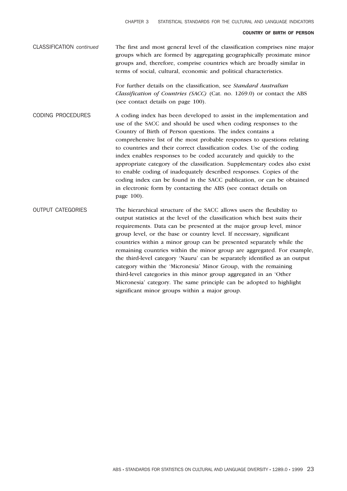CLASSIFICATION *continued* The first and most general level of the classification comprises nine major groups which are formed by aggregating geographically proximate minor groups and, therefore, comprise countries which are broadly similar in terms of social, cultural, economic and political characteristics.

> For further details on the classification, see *Standard Australian Classification of Countries (SACC)* (Cat. no. 1269.0) or contact the ABS (see contact details on page 100).

CODING PROCEDURES A coding index has been developed to assist in the implementation and use of the SACC and should be used when coding responses to the Country of Birth of Person questions. The index contains a comprehensive list of the most probable responses to questions relating to countries and their correct classification codes. Use of the coding index enables responses to be coded accurately and quickly to the appropriate category of the classification. Supplementary codes also exist to enable coding of inadequately described responses. Copies of the coding index can be found in the SACC publication, or can be obtained in electronic form by contacting the ABS (see contact details on page 100).

OUTPUT CATEGORIES The hierarchical structure of the SACC allows users the flexibility to output statistics at the level of the classification which best suits their requirements. Data can be presented at the major group level, minor group level, or the base or country level. If necessary, significant countries within a minor group can be presented separately while the remaining countries within the minor group are aggregated. For example, the third-level category 'Nauru' can be separately identified as an output category within the 'Micronesia' Minor Group, with the remaining third-level categories in this minor group aggregated in an 'Other Micronesia' category. The same principle can be adopted to highlight significant minor groups within a major group.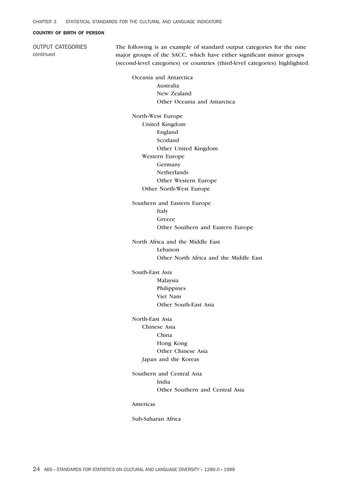OUTPUT CATEGORIES *continued*

The following is an example of standard output categories for the nine major groups of the SACC, which have either significant minor groups (second-level categories) or countries (third-level categories) highlighted.

Oceania and Antarctica Australia New Zealand Other Oceania and Antarctica

North-West Europe United Kingdom England Scotland Other United Kingdom Western Europe Germany Netherlands Other Western Europe Other North-West Europe

Southern and Eastern Europe Italy Greece Other Southern and Eastern Europe

North Africa and the Middle East Lebanon Other North Africa and the Middle East

South-East Asia Malaysia Philippines Viet Nam Other South-East Asia

North-East Asia Chinese Asia China Hong Kong Other Chinese Asia Japan and the Koreas

Southern and Central Asia India Other Southern and Central Asia

Americas

Sub-Saharan Africa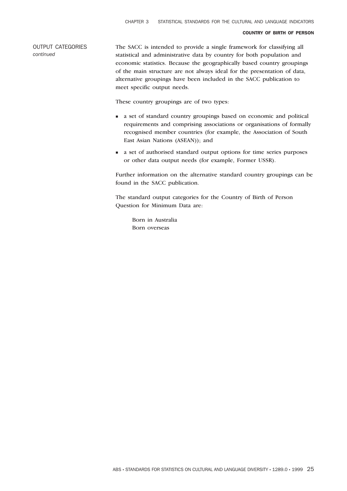OUTPUT CATEGORIES *continued*

The SACC is intended to provide a single framework for classifying all statistical and administrative data by country for both population and economic statistics. Because the geographically based country groupings of the main structure are not always ideal for the presentation of data, alternative groupings have been included in the SACC publication to meet specific output needs.

These country groupings are of two types:

- <sup>n</sup> a set of standard country groupings based on economic and political requirements and comprising associations or organisations of formally recognised member countries (for example, the Association of South East Asian Nations (ASEAN)); and
- <sup>n</sup> a set of authorised standard output options for time series purposes or other data output needs (for example, Former USSR).

Further information on the alternative standard country groupings can be found in the SACC publication.

The standard output categories for the Country of Birth of Person Question for Minimum Data are:

Born in Australia Born overseas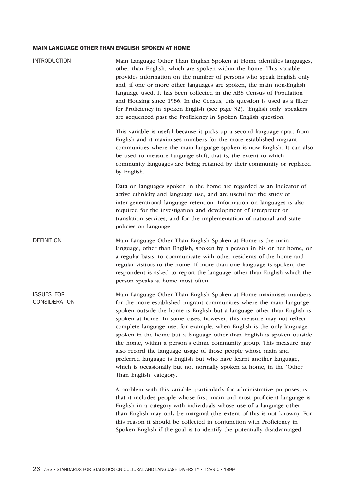| <b>INTRODUCTION</b>                | Main Language Other Than English Spoken at Home identifies languages,<br>other than English, which are spoken within the home. This variable<br>provides information on the number of persons who speak English only<br>and, if one or more other languages are spoken, the main non-English<br>language used. It has been collected in the ABS Census of Population<br>and Housing since 1986. In the Census, this question is used as a filter<br>for Proficiency in Spoken English (see page 32). 'English only' speakers<br>are sequenced past the Proficiency in Spoken English question.                                                                                                                                                                     |
|------------------------------------|--------------------------------------------------------------------------------------------------------------------------------------------------------------------------------------------------------------------------------------------------------------------------------------------------------------------------------------------------------------------------------------------------------------------------------------------------------------------------------------------------------------------------------------------------------------------------------------------------------------------------------------------------------------------------------------------------------------------------------------------------------------------|
|                                    | This variable is useful because it picks up a second language apart from<br>English and it maximises numbers for the more established migrant<br>communities where the main language spoken is now English. It can also<br>be used to measure language shift, that is, the extent to which<br>community languages are being retained by their community or replaced<br>by English.                                                                                                                                                                                                                                                                                                                                                                                 |
|                                    | Data on languages spoken in the home are regarded as an indicator of<br>active ethnicity and language use, and are useful for the study of<br>inter-generational language retention. Information on languages is also<br>required for the investigation and development of interpreter or<br>translation services, and for the implementation of national and state<br>policies on language.                                                                                                                                                                                                                                                                                                                                                                       |
| <b>DEFINITION</b>                  | Main Language Other Than English Spoken at Home is the main<br>language, other than English, spoken by a person in his or her home, on<br>a regular basis, to communicate with other residents of the home and<br>regular visitors to the home. If more than one language is spoken, the<br>respondent is asked to report the language other than English which the<br>person speaks at home most often.                                                                                                                                                                                                                                                                                                                                                           |
| <b>ISSUES FOR</b><br>CONSIDERATION | Main Language Other Than English Spoken at Home maximises numbers<br>for the more established migrant communities where the main language<br>spoken outside the home is English but a language other than English is<br>spoken at home. In some cases, however, this measure may not reflect<br>complete language use, for example, when English is the only language<br>spoken in the home but a language other than English is spoken outside<br>the home, within a person's ethnic community group. This measure may<br>also record the language usage of those people whose main and<br>preferred language is English but who have learnt another language,<br>which is occasionally but not normally spoken at home, in the 'Other<br>Than English' category. |
|                                    | A problem with this variable, particularly for administrative purposes, is<br>that it includes people whose first, main and most proficient language is<br>English in a category with individuals whose use of a language other<br>than English may only be marginal (the extent of this is not known). For<br>this reason it should be collected in conjunction with Proficiency in<br>Spoken English if the goal is to identify the potentially disadvantaged.                                                                                                                                                                                                                                                                                                   |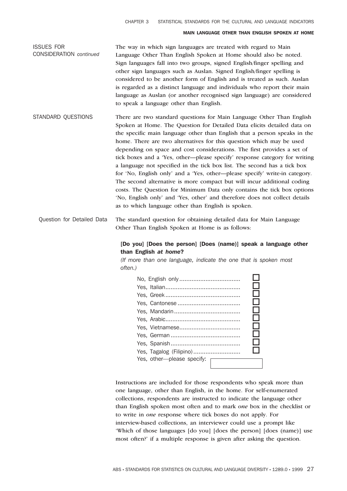ISSUES FOR CONSIDERATION *continued* The way in which sign languages are treated with regard to Main Language Other Than English Spoken at Home should also be noted. Sign languages fall into two groups, signed English/finger spelling and other sign languages such as Auslan. Signed English/finger spelling is considered to be another form of English and is treated as such. Auslan is regarded as a distinct language and individuals who report their main language as Auslan (or another recognised sign language) are considered to speak a language other than English.

STANDARD QUESTIONS There are two standard questions for Main Language Other Than English Spoken at Home. The Question for Detailed Data elicits detailed data on the specific main language other than English that a person speaks in the home. There are two alternatives for this question which may be used depending on space and cost considerations. The first provides a set of tick boxes and a 'Yes, other—please specify' response category for writing a language not specified in the tick box list. The second has a tick box for 'No, English only' and a 'Yes, other—please specify' write-in category. The second alternative is more compact but will incur additional coding costs. The Question for Minimum Data only contains the tick box options 'No, English only' and 'Yes, other' and therefore does not collect details as to which language other than English is spoken.

Question for Detailed Data The standard question for obtaining detailed data for Main Language Other Than English Spoken at Home is as follows:

# [Do you] [Does the person] [Does (name)] speak a language other than English *at home*?

*(If more than one language, indicate the one that is spoken most often.)*



Instructions are included for those respondents who speak more than one language, other than English, in the home. For self-enumerated collections, respondents are instructed to indicate the language other than English spoken most often and to mark *one* box in the checklist or to write in *one* response where tick boxes do not apply. For interview-based collections, an interviewer could use a prompt like 'Which of those languages [do you] [does the person] [does (name)] use most often?' if a multiple response is given after asking the question.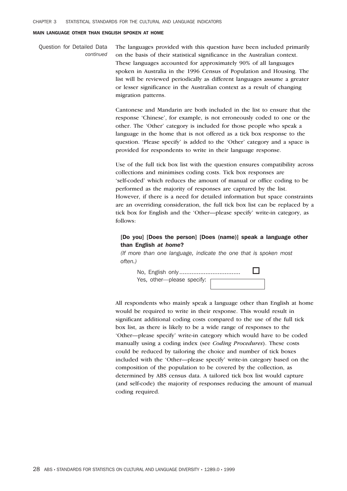Question for Detailed Data *continued* The languages provided with this question have been included primarily on the basis of their statistical significance in the Australian context. These languages accounted for approximately 90% of all languages spoken in Australia in the 1996 Census of Population and Housing. The list will be reviewed periodically as different languages assume a greater or lesser significance in the Australian context as a result of changing migration patterns.

> Cantonese and Mandarin are both included in the list to ensure that the response 'Chinese', for example, is not erroneously coded to one or the other. The 'Other' category is included for those people who speak a language in the home that is not offered as a tick box response to the question. 'Please specify' is added to the 'Other' category and a space is provided for respondents to write in their language response.

Use of the full tick box list with the question ensures compatibility across collections and minimises coding costs. Tick box responses are 'self-coded' which reduces the amount of manual or office coding to be performed as the majority of responses are captured by the list. However, if there is a need for detailed information but space constraints are an overriding consideration, the full tick box list can be replaced by a tick box for English and the 'Other—please specify' write-in category, as follows:

# [Do you] [Does the person] [Does (name)] speak a language other than English *at home*?

*(If more than one language, indicate the one that is spoken most often.)*

No, English only................................... o Yes, other—please specify:

All respondents who mainly speak a language other than English at home would be required to write in their response. This would result in significant additional coding costs compared to the use of the full tick box list, as there is likely to be a wide range of responses to the 'Other—please specify' write-in category which would have to be coded manually using a coding index (see *Coding Procedures*). These costs could be reduced by tailoring the choice and number of tick boxes included with the 'Other—please specify' write-in category based on the composition of the population to be covered by the collection, as determined by ABS census data. A tailored tick box list would capture (and self-code) the majority of responses reducing the amount of manual coding required.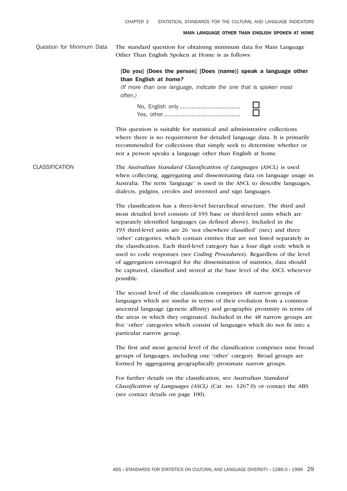Question for Minimum Data The standard question for obtaining minimum data for Main Language Other Than English Spoken at Home is as follows:

# [Do you] [Does the person] [Does (name)] speak a language other than English *at home?*

*(If more than one language, indicate the one that is spoken most often.)*

No, English only................................... o Yes, other............................................ o

This question is suitable for statistical and administrative collections where there is no requirement for detailed language data. It is primarily recommended for collections that simply seek to determine whether or not a person speaks a language other than English at home.

CLASSIFICATION The *Australian Standard Classification of Languages* (ASCL) is used when collecting, aggregating and disseminating data on language usage in Australia. The term 'language' is used in the ASCL to describe languages, dialects, pidgins, creoles and invented and sign languages.

> The classification has a three-level hierarchical structure. The third and most detailed level consists of 193 base or third-level units which are separately identified languages (as defined above). Included in the 193 third-level units are 26 'not elsewhere classified' (nec) and three 'other' categories, which contain entities that are not listed separately in the classification. Each third-level category has a four digit code which is used to code responses (see *Coding Procedures*). Regardless of the level of aggregation envisaged for the dissemination of statistics, data should be captured, classified and stored at the base level of the ASCL wherever possible.

> The second level of the classification comprises 48 narrow groups of languages which are similar in terms of their evolution from a common ancestral language (genetic affinity) and geographic proximity in terms of the areas in which they originated. Included in the 48 narrow groups are five 'other' categories which consist of languages which do not fit into a particular narrow group.

> The first and most general level of the classification comprises nine broad groups of languages, including one 'other' category. Broad groups are formed by aggregating geographically proximate narrow groups.

For further details on the classification, see *Australian Standard Classification of Languages (ASCL)* (Cat. no. 1267.0) or contact the ABS (see contact details on page 100).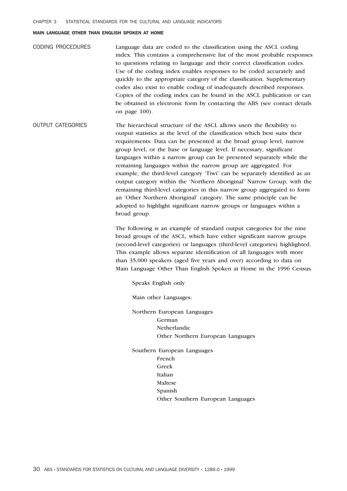| <b>CODING PROCEDURES</b> | Language data are coded to the classification using the ASCL coding       |
|--------------------------|---------------------------------------------------------------------------|
|                          | index. This contains a comprehensive list of the most probable responses  |
|                          | to questions relating to language and their correct classification codes. |
|                          | Use of the coding index enables responses to be coded accurately and      |
|                          | quickly to the appropriate category of the classification. Supplementary  |
|                          | codes also exist to enable coding of inadequately described responses.    |
|                          | Copies of the coding index can be found in the ASCL publication or can    |
|                          | be obtained in electronic form by contacting the ABS (see contact details |
|                          | on page 100).                                                             |

OUTPUT CATEGORIES The hierarchical structure of the ASCL allows users the flexibility to output statistics at the level of the classification which best suits their requirements. Data can be presented at the broad group level, narrow group level, or the base or language level. If necessary, significant languages within a narrow group can be presented separately while the remaining languages within the narrow group are aggregated. For example, the third-level category 'Tiwi' can be separately identified as an output category within the 'Northern Aboriginal' Narrow Group, with the remaining third-level categories in this narrow group aggregated to form an 'Other Northern Aboriginal' category. The same principle can be adopted to highlight significant narrow groups or languages within a broad group.

> The following is an example of standard output categories for the nine broad groups of the ASCL, which have either significant narrow groups (second-level categories) or languages (third-level categories) highlighted. This example allows separate identification of all languages with more than 35,000 speakers (aged five years and over) according to data on Main Language Other Than English Spoken at Home in the 1996 Census.

Speaks English only

Main other Languages:

Northern European Languages German Netherlandic Other Northern European Languages

Southern European Languages French Greek Italian Maltese Spanish Other Southern European Languages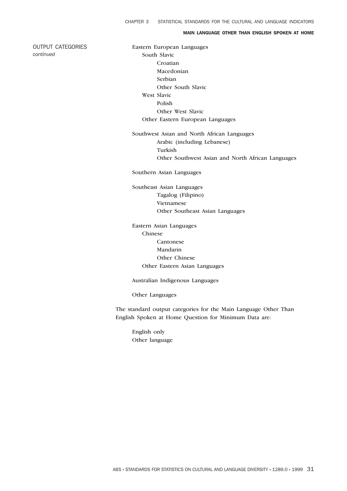## MAIN LANGUAGE OTHER THAN ENGLISH SPOKEN AT HOME

OUTPUT CATEGORIES *continued*

Eastern European Languages South Slavic Croatian Macedonian Serbian Other South Slavic West Slavic Polish Other West Slavic Other Eastern European Languages

Southwest Asian and North African Languages Arabic (including Lebanese) Turkish Other Southwest Asian and North African Languages

Southern Asian Languages

Southeast Asian Languages Tagalog (Filipino) Vietnamese Other Southeast Asian Languages

Eastern Asian Languages Chinese Cantonese Mandarin Other Chinese Other Eastern Asian Languages

Australian Indigenous Languages

Other Languages

The standard output categories for the Main Language Other Than English Spoken at Home Question for Minimum Data are:

English only Other language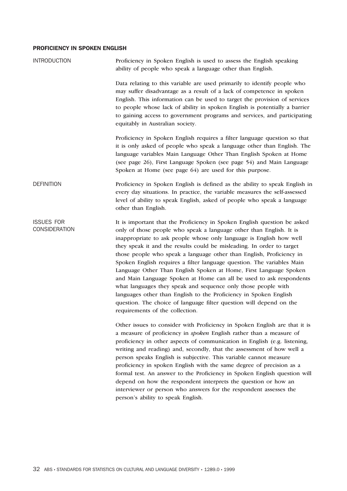# PROFICIENCY IN SPOKEN ENGLISH

| <b>INTRODUCTION</b>                       | Proficiency in Spoken English is used to assess the English speaking<br>ability of people who speak a language other than English.                                                                                                                                                                                                                                                                                                                                                                                                                                                                                                                                                                                                                                                                                                            |
|-------------------------------------------|-----------------------------------------------------------------------------------------------------------------------------------------------------------------------------------------------------------------------------------------------------------------------------------------------------------------------------------------------------------------------------------------------------------------------------------------------------------------------------------------------------------------------------------------------------------------------------------------------------------------------------------------------------------------------------------------------------------------------------------------------------------------------------------------------------------------------------------------------|
|                                           | Data relating to this variable are used primarily to identify people who<br>may suffer disadvantage as a result of a lack of competence in spoken<br>English. This information can be used to target the provision of services<br>to people whose lack of ability in spoken English is potentially a barrier<br>to gaining access to government programs and services, and participating<br>equitably in Australian society.                                                                                                                                                                                                                                                                                                                                                                                                                  |
|                                           | Proficiency in Spoken English requires a filter language question so that<br>it is only asked of people who speak a language other than English. The<br>language variables Main Language Other Than English Spoken at Home<br>(see page 26), First Language Spoken (see page 54) and Main Language<br>Spoken at Home (see page 64) are used for this purpose.                                                                                                                                                                                                                                                                                                                                                                                                                                                                                 |
| <b>DEFINITION</b>                         | Proficiency in Spoken English is defined as the ability to speak English in<br>every day situations. In practice, the variable measures the self-assessed<br>level of ability to speak English, asked of people who speak a language<br>other than English.                                                                                                                                                                                                                                                                                                                                                                                                                                                                                                                                                                                   |
| <b>ISSUES FOR</b><br><b>CONSIDERATION</b> | It is important that the Proficiency in Spoken English question be asked<br>only of those people who speak a language other than English. It is<br>inappropriate to ask people whose only language is English how well<br>they speak it and the results could be misleading. In order to target<br>those people who speak a language other than English, Proficiency in<br>Spoken English requires a filter language question. The variables Main<br>Language Other Than English Spoken at Home, First Language Spoken<br>and Main Language Spoken at Home can all be used to ask respondents<br>what languages they speak and sequence only those people with<br>languages other than English to the Proficiency in Spoken English<br>question. The choice of language filter question will depend on the<br>requirements of the collection. |
|                                           | Other issues to consider with Proficiency in Spoken English are that it is<br>a measure of proficiency in spoken English rather than a measure of<br>proficiency in other aspects of communication in English (e.g. listening,<br>writing and reading) and, secondly, that the assessment of how well a<br>person speaks English is subjective. This variable cannot measure<br>proficiency in spoken English with the same degree of precision as a<br>formal test. An answer to the Proficiency in Spoken English question will<br>depend on how the respondent interprets the question or how an<br>interviewer or person who answers for the respondent assesses the<br>person's ability to speak English.                                                                                                                                |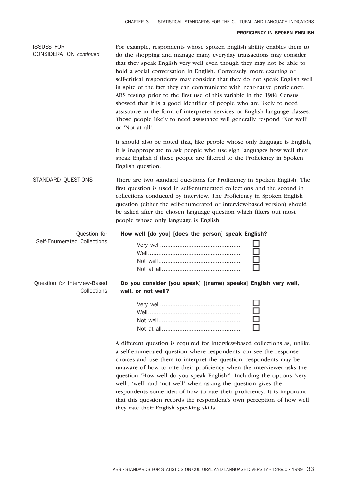#### PROFICIENCY IN SPOKEN ENGLISH

| <b>ISSUES FOR</b><br><b>CONSIDERATION</b> continued | For example, respondents whose spoken English ability enables them to<br>do the shopping and manage many everyday transactions may consider<br>that they speak English very well even though they may not be able to<br>hold a social conversation in English. Conversely, more exacting or<br>self-critical respondents may consider that they do not speak English well<br>in spite of the fact they can communicate with near-native proficiency.<br>ABS testing prior to the first use of this variable in the 1986 Census<br>showed that it is a good identifier of people who are likely to need<br>assistance in the form of interpreter services or English language classes.<br>Those people likely to need assistance will generally respond 'Not well'<br>or 'Not at all'. |  |
|-----------------------------------------------------|---------------------------------------------------------------------------------------------------------------------------------------------------------------------------------------------------------------------------------------------------------------------------------------------------------------------------------------------------------------------------------------------------------------------------------------------------------------------------------------------------------------------------------------------------------------------------------------------------------------------------------------------------------------------------------------------------------------------------------------------------------------------------------------|--|
|                                                     | It should also be noted that, like people whose only language is English,<br>it is inappropriate to ask people who use sign languages how well they<br>speak English if these people are filtered to the Proficiency in Spoken<br>English question.                                                                                                                                                                                                                                                                                                                                                                                                                                                                                                                                   |  |
| STANDARD QUESTIONS                                  | There are two standard questions for Proficiency in Spoken English. The<br>first question is used in self-enumerated collections and the second in<br>collections conducted by interview. The Proficiency in Spoken English<br>question (either the self-enumerated or interview-based version) should<br>be asked after the chosen language question which filters out most<br>people whose only language is English.                                                                                                                                                                                                                                                                                                                                                                |  |
| Question for<br>Self-Enumerated Collections         | How well [do you] [does the person] speak English?                                                                                                                                                                                                                                                                                                                                                                                                                                                                                                                                                                                                                                                                                                                                    |  |
| Question for Interview-Based<br>Collections         | Do you consider [you speak] [(name) speaks] English very well,<br>well, or not well?                                                                                                                                                                                                                                                                                                                                                                                                                                                                                                                                                                                                                                                                                                  |  |
|                                                     |                                                                                                                                                                                                                                                                                                                                                                                                                                                                                                                                                                                                                                                                                                                                                                                       |  |
|                                                     | A different question is required for interview-based collections as, unlike                                                                                                                                                                                                                                                                                                                                                                                                                                                                                                                                                                                                                                                                                                           |  |

a self-enumerated question where respondents can see the response choices and use them to interpret the question, respondents may be unaware of how to rate their proficiency when the interviewer asks the question 'How well do you speak English?'. Including the options 'very well', 'well' and 'not well' when asking the question gives the respondents some idea of how to rate their proficiency. It is important that this question records the respondent's own perception of how well they rate their English speaking skills.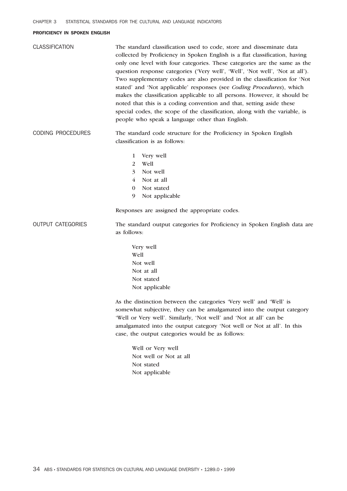## PROFICIENCY IN SPOKEN ENGLISH

| <b>CLASSIFICATION</b>    | The standard classification used to code, store and disseminate data<br>collected by Proficiency in Spoken English is a flat classification, having<br>only one level with four categories. These categories are the same as the<br>question response categories ('Very well', 'Well', 'Not well', 'Not at all').<br>Two supplementary codes are also provided in the classification for 'Not<br>stated' and 'Not applicable' responses (see Coding Procedures), which<br>makes the classification applicable to all persons. However, it should be<br>noted that this is a coding convention and that, setting aside these<br>special codes, the scope of the classification, along with the variable, is<br>people who speak a language other than English. |
|--------------------------|---------------------------------------------------------------------------------------------------------------------------------------------------------------------------------------------------------------------------------------------------------------------------------------------------------------------------------------------------------------------------------------------------------------------------------------------------------------------------------------------------------------------------------------------------------------------------------------------------------------------------------------------------------------------------------------------------------------------------------------------------------------|
| <b>CODING PROCEDURES</b> | The standard code structure for the Proficiency in Spoken English<br>classification is as follows:                                                                                                                                                                                                                                                                                                                                                                                                                                                                                                                                                                                                                                                            |
|                          | Very well<br>1<br>Well<br>2<br>Not well<br>3<br>Not at all<br>4<br>Not stated<br>$\bf{0}$<br>Not applicable<br>9<br>Responses are assigned the appropriate codes.                                                                                                                                                                                                                                                                                                                                                                                                                                                                                                                                                                                             |
| <b>OUTPUT CATEGORIES</b> | The standard output categories for Proficiency in Spoken English data are<br>as follows:                                                                                                                                                                                                                                                                                                                                                                                                                                                                                                                                                                                                                                                                      |
|                          | Very well<br>Well<br>Not well<br>Not at all<br>Not stated<br>Not applicable                                                                                                                                                                                                                                                                                                                                                                                                                                                                                                                                                                                                                                                                                   |
|                          | As the distinction between the categories 'Very well' and 'Well' is<br>somewhat subjective, they can be amalgamated into the output category<br>'Well or Very well'. Similarly, 'Not well' and 'Not at all' can be<br>amalgamated into the output category 'Not well or Not at all'. In this<br>case, the output categories would be as follows:                                                                                                                                                                                                                                                                                                                                                                                                              |
|                          | Well or Very well<br>Not well or Not at all<br>Not stated<br>Not applicable                                                                                                                                                                                                                                                                                                                                                                                                                                                                                                                                                                                                                                                                                   |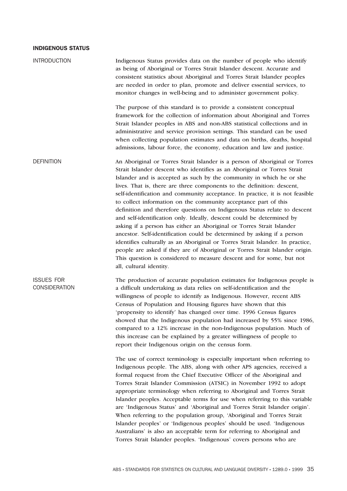| <b>INTRODUCTION</b>                       | Indigenous Status provides data on the number of people who identify<br>as being of Aboriginal or Torres Strait Islander descent. Accurate and<br>consistent statistics about Aboriginal and Torres Strait Islander peoples<br>are needed in order to plan, promote and deliver essential services, to<br>monitor changes in well-being and to administer government policy.                                                                                                                                                                                                                                                                                                                                                                                                                                                                                                                                                                                                                                                                 |
|-------------------------------------------|----------------------------------------------------------------------------------------------------------------------------------------------------------------------------------------------------------------------------------------------------------------------------------------------------------------------------------------------------------------------------------------------------------------------------------------------------------------------------------------------------------------------------------------------------------------------------------------------------------------------------------------------------------------------------------------------------------------------------------------------------------------------------------------------------------------------------------------------------------------------------------------------------------------------------------------------------------------------------------------------------------------------------------------------|
|                                           | The purpose of this standard is to provide a consistent conceptual<br>framework for the collection of information about Aboriginal and Torres<br>Strait Islander peoples in ABS and non-ABS statistical collections and in<br>administrative and service provision settings. This standard can be used<br>when collecting population estimates and data on births, deaths, hospital<br>admissions, labour force, the economy, education and law and justice.                                                                                                                                                                                                                                                                                                                                                                                                                                                                                                                                                                                 |
| <b>DEFINITION</b>                         | An Aboriginal or Torres Strait Islander is a person of Aboriginal or Torres<br>Strait Islander descent who identifies as an Aboriginal or Torres Strait<br>Islander and is accepted as such by the community in which he or she<br>lives. That is, there are three components to the definition: descent,<br>self-identification and community acceptance. In practice, it is not feasible<br>to collect information on the community acceptance part of this<br>definition and therefore questions on Indigenous Status relate to descent<br>and self-identification only. Ideally, descent could be determined by<br>asking if a person has either an Aboriginal or Torres Strait Islander<br>ancestor. Self-identification could be determined by asking if a person<br>identifies culturally as an Aboriginal or Torres Strait Islander. In practice,<br>people are asked if they are of Aboriginal or Torres Strait Islander origin.<br>This question is considered to measure descent and for some, but not<br>all, cultural identity. |
| <b>ISSUES FOR</b><br><b>CONSIDERATION</b> | The production of accurate population estimates for Indigenous people is<br>a difficult undertaking as data relies on self-identification and the<br>willingness of people to identify as Indigenous. However, recent ABS<br>Census of Population and Housing figures have shown that this<br>'propensity to identify' has changed over time. 1996 Census figures<br>showed that the Indigenous population had increased by 55% since 1986,<br>compared to a 12% increase in the non-Indigenous population. Much of<br>this increase can be explained by a greater willingness of people to<br>report their Indigenous origin on the census form.                                                                                                                                                                                                                                                                                                                                                                                            |
|                                           | The use of correct terminology is especially important when referring to<br>Indigenous people. The ABS, along with other APS agencies, received a<br>formal request from the Chief Executive Officer of the Aboriginal and<br>Torres Strait Islander Commission (ATSIC) in November 1992 to adopt<br>appropriate terminology when referring to Aboriginal and Torres Strait<br>Islander peoples. Acceptable terms for use when referring to this variable<br>are 'Indigenous Status' and 'Aboriginal and Torres Strait Islander origin'.<br>When referring to the population group, 'Aboriginal and Torres Strait<br>Islander peoples' or 'Indigenous peoples' should be used. 'Indigenous<br>Australians' is also an acceptable term for referring to Aboriginal and<br>Torres Strait Islander peoples. 'Indigenous' covers persons who are                                                                                                                                                                                                 |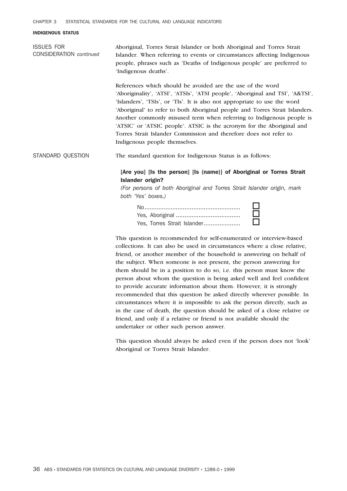ISSUES FOR CONSIDERATION *continued* Aboriginal, Torres Strait Islander or both Aboriginal and Torres Strait Islander. When referring to events or circumstances affecting Indigenous people, phrases such as 'Deaths of Indigenous people' are preferred to 'Indigenous deaths'.

> References which should be avoided are the use of the word 'Aboriginality', 'ATSI', 'ATSIs', 'ATSI people', 'Aboriginal and TSI', 'A&TSI', 'Islanders', 'TSIs', or 'TIs'. It is also not appropriate to use the word 'Aboriginal' to refer to both Aboriginal people and Torres Strait Islanders. Another commonly misused term when referring to Indigenous people is 'ATSIC' or 'ATSIC people'. ATSIC is the acronym for the Aboriginal and Torres Strait Islander Commission and therefore does not refer to Indigenous people themselves.

STANDARD QUESTION The standard question for Indigenous Status is as follows:

# [Are you] [Is the person] [Is (name)] of Aboriginal or Torres Strait Islander origin?

*(For persons of both Aboriginal and Torres Strait Islander origin, mark both 'Yes' boxes.)*



This question is recommended for self-enumerated or interview-based collections. It can also be used in circumstances where a close relative, friend, or another member of the household is answering on behalf of the subject. When someone is not present, the person answering for them should be in a position to do so, i.e. this person must know the person about whom the question is being asked well and feel confident to provide accurate information about them. However, it is strongly recommended that this question be asked directly wherever possible. In circumstances where it is impossible to ask the person directly, such as in the case of death, the question should be asked of a close relative or friend, and only if a relative or friend is not available should the undertaker or other such person answer.

This question should always be asked even if the person does not 'look' Aboriginal or Torres Strait Islander.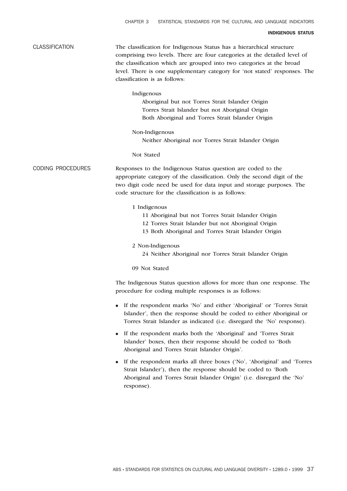| <b>CLASSIFICATION</b>    | The classification for Indigenous Status has a hierarchical structure<br>comprising two levels. There are four categories at the detailed level of<br>the classification which are grouped into two categories at the broad<br>level. There is one supplementary category for 'not stated' responses. The<br>classification is as follows: |
|--------------------------|--------------------------------------------------------------------------------------------------------------------------------------------------------------------------------------------------------------------------------------------------------------------------------------------------------------------------------------------|
|                          | Indigenous<br>Aboriginal but not Torres Strait Islander Origin<br>Torres Strait Islander but not Aboriginal Origin<br>Both Aboriginal and Torres Strait Islander Origin                                                                                                                                                                    |
|                          | Non-Indigenous<br>Neither Aboriginal nor Torres Strait Islander Origin                                                                                                                                                                                                                                                                     |
|                          | Not Stated                                                                                                                                                                                                                                                                                                                                 |
| <b>CODING PROCEDURES</b> | Responses to the Indigenous Status question are coded to the<br>appropriate category of the classification. Only the second digit of the<br>two digit code need be used for data input and storage purposes. The<br>code structure for the classification is as follows:                                                                   |
|                          | 1 Indigenous<br>11 Aboriginal but not Torres Strait Islander Origin<br>12 Torres Strait Islander but not Aboriginal Origin<br>13 Both Aboriginal and Torres Strait Islander Origin                                                                                                                                                         |
|                          | 2 Non-Indigenous<br>24 Neither Aboriginal nor Torres Strait Islander Origin                                                                                                                                                                                                                                                                |
|                          | 09 Not Stated                                                                                                                                                                                                                                                                                                                              |
|                          | The Indigenous Status question allows for more than one response. The<br>procedure for coding multiple responses is as follows:                                                                                                                                                                                                            |
|                          | If the respondent marks 'No' and either 'Aboriginal' or 'Torres Strait<br>Islander', then the response should be coded to either Aboriginal or<br>Torres Strait Islander as indicated (i.e. disregard the 'No' response).                                                                                                                  |
|                          | If the respondent marks both the 'Aboriginal' and 'Torres Strait<br>п<br>Islander' boxes, then their response should be coded to 'Both<br>Aboriginal and Torres Strait Islander Origin'.                                                                                                                                                   |
|                          | If the respondent marks all three boxes ('No', 'Aboriginal' and 'Torres<br>п<br>Strait Islander'), then the response should be coded to 'Both<br>Aboriginal and Torres Strait Islander Origin' (i.e. disregard the 'No'<br>response).                                                                                                      |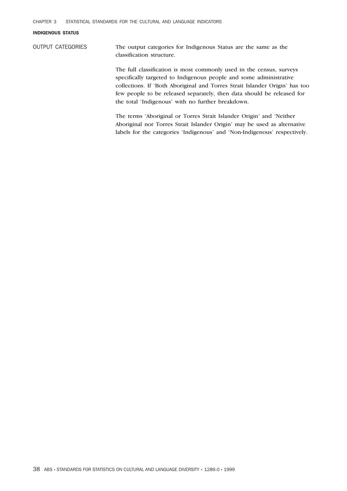OUTPUT CATEGORIES The output categories for Indigenous Status are the same as the classification structure.

> The full classification is most commonly used in the census, surveys specifically targeted to Indigenous people and some administrative collections. If 'Both Aboriginal and Torres Strait Islander Origin' has too few people to be released separately, then data should be released for the total 'Indigenous' with no further breakdown.

The terms 'Aboriginal or Torres Strait Islander Origin' and 'Neither Aboriginal nor Torres Strait Islander Origin' may be used as alternative labels for the categories 'Indigenous' and 'Non-Indigenous' respectively.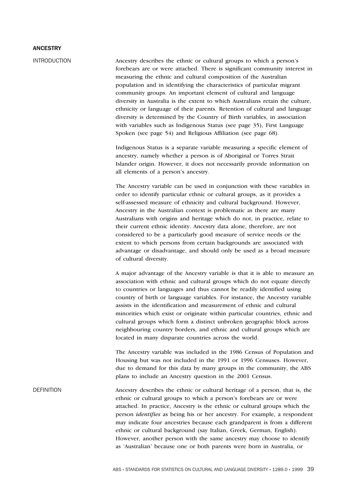## ANCESTRY

INTRODUCTION Ancestry describes the ethnic or cultural groups to which a person's forebears are or were attached. There is significant community interest in measuring the ethnic and cultural composition of the Australian population and in identifying the characteristics of particular migrant community groups. An important element of cultural and language diversity in Australia is the extent to which Australians retain the culture, ethnicity or language of their parents. Retention of cultural and language diversity is determined by the Country of Birth variables, in association with variables such as Indigenous Status (see page 35), First Language Spoken (see page 54) and Religious Affiliation (see page 68).

> Indigenous Status is a separate variable measuring a specific element of ancestry, namely whether a person is of Aboriginal or Torres Strait Islander origin. However, it does not necessarily provide information on all elements of a person's ancestry.

> The Ancestry variable can be used in conjunction with these variables in order to identify particular ethnic or cultural groups, as it provides a self-assessed measure of ethnicity and cultural background. However, Ancestry in the Australian context is problematic as there are many Australians with origins and heritage which do not, in practice, relate to their current ethnic identity. Ancestry data alone, therefore, are not considered to be a particularly good measure of service needs or the extent to which persons from certain backgrounds are associated with advantage or disadvantage, and should only be used as a broad measure of cultural diversity.

A major advantage of the Ancestry variable is that it is able to measure an association with ethnic and cultural groups which do not equate directly to countries or languages and thus cannot be readily identified using country of birth or language variables. For instance, the Ancestry variable assists in the identification and measurement of ethnic and cultural minorities which exist or originate within particular countries, ethnic and cultural groups which form a distinct unbroken geographic block across neighbouring country borders, and ethnic and cultural groups which are located in many disparate countries across the world.

The Ancestry variable was included in the 1986 Census of Population and Housing but was not included in the 1991 or 1996 Censuses. However, due to demand for this data by many groups in the community, the ABS plans to include an Ancestry question in the 2001 Census.

DEFINITION Ancestry describes the ethnic or cultural heritage of a person, that is, the ethnic or cultural groups to which a person's forebears are or were attached. In practice, Ancestry is the ethnic or cultural groups which the person *identifies* as being his or her ancestry. For example, a respondent may indicate four ancestries because each grandparent is from a different ethnic or cultural background (say Italian, Greek, German, English). However, another person with the same ancestry may choose to identify as 'Australian' because one or both parents were born in Australia, or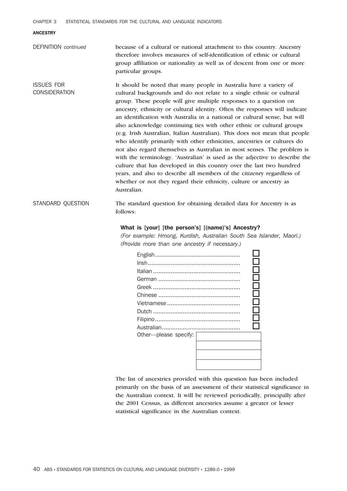CHAPTER 3 STATISTICAL STANDARDS FOR THE CULTURAL AND LANGUAGE INDICATORS

#### ANCESTRY

DEFINITION *continued* because of a cultural or national attachment to this country. Ancestry therefore involves measures of self-identification of ethnic or cultural group affiliation or nationality as well as of descent from one or more particular groups.

ISSUES FOR CONSIDERATION It should be noted that many people in Australia have a variety of cultural backgrounds and do not relate to a single ethnic or cultural group. These people will give multiple responses to a question on ancestry, ethnicity or cultural identity. Often the responses will indicate an identification with Australia in a national or cultural sense, but will also acknowledge continuing ties with other ethnic or cultural groups (e.g. Irish Australian, Italian Australian). This does not mean that people who identify primarily with other ethnicities, ancestries or cultures do not also regard themselves as Australian in most senses. The problem is with the terminology. 'Australian' is used as the adjective to describe the culture that has developed in this country over the last two hundred years, and also to describe all members of the citizenry regardless of whether or not they regard their ethnicity, culture or ancestry as Australian.

STANDARD QUESTION The standard question for obtaining detailed data for Ancestry is as follows:

# What is [your] [the person's] [(name)'s] Ancestry?

*(For example: Hmong, Kurdish, Australian South Sea Islander, Maori.) (Provide more than one ancestry if necessary.)*



The list of ancestries provided with this question has been included primarily on the basis of an assessment of their statistical significance in the Australian context. It will be reviewed periodically, principally after the 2001 Census, as different ancestries assume a greater or lesser statistical significance in the Australian context.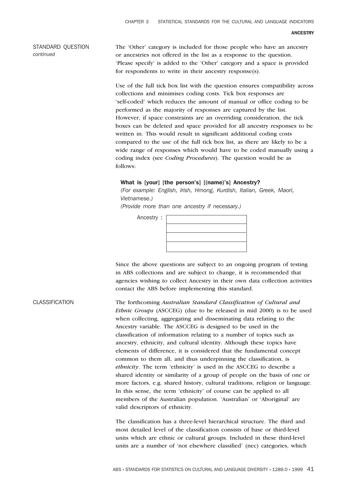STANDARD QUESTION *continued*

The 'Other' category is included for those people who have an ancestry or ancestries not offered in the list as a response to the question. 'Please specify' is added to the 'Other' category and a space is provided for respondents to write in their ancestry response(s).

Use of the full tick box list with the question ensures compatibility across collections and minimises coding costs. Tick box responses are 'self-coded' which reduces the amount of manual or office coding to be performed as the majority of responses are captured by the list. However, if space constraints are an overriding consideration, the tick boxes can be deleted and space provided for all ancestry responses to be written in. This would result in significant additional coding costs compared to the use of the full tick box list, as there are likely to be a wide range of responses which would have to be coded manually using a coding index (see *Coding Procedures*). The question would be as follows:

#### What is [your] [the person's] [(name)'s] Ancestry?

*(For example: English, Irish, Hmong, Kurdish, Italian, Greek, Maori, Vietnamese.)*

*(Provide more than one ancestry if necessary.)*

Ancestry :

Since the above questions are subject to an ongoing program of testing in ABS collections and are subject to change, it is recommended that agencies wishing to collect Ancestry in their own data collection activities contact the ABS before implementing this standard.

CLASSIFICATION The forthcoming *Australian Standard Classification of Cultural and Ethnic Groups* (ASCCEG) (due to be released in mid 2000) is to be used when collecting, aggregating and disseminating data relating to the Ancestry variable. The ASCCEG is designed to be used in the classification of information relating to a number of topics such as ancestry, ethnicity, and cultural identity. Although these topics have elements of difference, it is considered that the fundamental concept common to them all, and thus underpinning the classification, is *ethnicity*. The term 'ethnicity' is used in the ASCCEG to describe a shared identity or similarity of a group of people on the basis of one or more factors, e.g. shared history, cultural traditions, religion or language. In this sense, the term 'ethnicity' of course can be applied to all members of the Australian population. 'Australian' or 'Aboriginal' are valid descriptors of ethnicity.

> The classification has a three-level hierarchical structure. The third and most detailed level of the classification consists of base or third-level units which are ethnic or cultural groups. Included in these third-level units are a number of 'not elsewhere classified' (nec) categories, which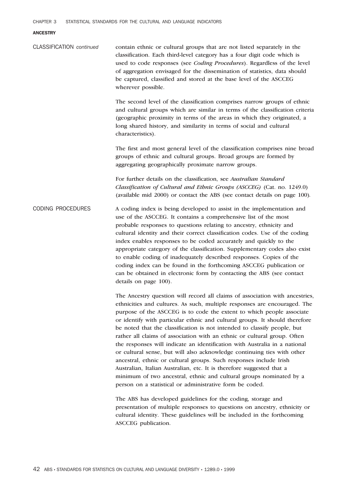## ANCESTRY

| <b>CLASSIFICATION</b> continued | contain ethnic or cultural groups that are not listed separately in the<br>classification. Each third-level category has a four digit code which is<br>used to code responses (see Coding Procedures). Regardless of the level<br>of aggregation envisaged for the dissemination of statistics, data should<br>be captured, classified and stored at the base level of the ASCCEG<br>wherever possible.                                                                                                                                                                                                                                                                                                                                                                                                                                                                                                              |
|---------------------------------|----------------------------------------------------------------------------------------------------------------------------------------------------------------------------------------------------------------------------------------------------------------------------------------------------------------------------------------------------------------------------------------------------------------------------------------------------------------------------------------------------------------------------------------------------------------------------------------------------------------------------------------------------------------------------------------------------------------------------------------------------------------------------------------------------------------------------------------------------------------------------------------------------------------------|
|                                 | The second level of the classification comprises narrow groups of ethnic<br>and cultural groups which are similar in terms of the classification criteria<br>(geographic proximity in terms of the areas in which they originated, a<br>long shared history, and similarity in terms of social and cultural<br>characteristics).                                                                                                                                                                                                                                                                                                                                                                                                                                                                                                                                                                                     |
|                                 | The first and most general level of the classification comprises nine broad<br>groups of ethnic and cultural groups. Broad groups are formed by<br>aggregating geographically proximate narrow groups.                                                                                                                                                                                                                                                                                                                                                                                                                                                                                                                                                                                                                                                                                                               |
|                                 | For further details on the classification, see Australian Standard<br>Classification of Cultural and Ethnic Groups (ASCCEG) (Cat. no. 1249.0)<br>(available mid 2000) or contact the ABS (see contact details on page 100).                                                                                                                                                                                                                                                                                                                                                                                                                                                                                                                                                                                                                                                                                          |
| <b>CODING PROCEDURES</b>        | A coding index is being developed to assist in the implementation and<br>use of the ASCCEG. It contains a comprehensive list of the most<br>probable responses to questions relating to ancestry, ethnicity and<br>cultural identity and their correct classification codes. Use of the coding<br>index enables responses to be coded accurately and quickly to the<br>appropriate category of the classification. Supplementary codes also exist<br>to enable coding of inadequately described responses. Copies of the<br>coding index can be found in the forthcoming ASCCEG publication or<br>can be obtained in electronic form by contacting the ABS (see contact<br>details on page 100).                                                                                                                                                                                                                     |
|                                 | The Ancestry question will record all claims of association with ancestries,<br>ethnicities and cultures. As such, multiple responses are encouraged. The<br>purpose of the ASCCEG is to code the extent to which people associate<br>or identify with particular ethnic and cultural groups. It should therefore<br>be noted that the classification is not intended to classify people, but<br>rather all claims of association with an ethnic or cultural group. Often<br>the responses will indicate an identification with Australia in a national<br>or cultural sense, but will also acknowledge continuing ties with other<br>ancestral, ethnic or cultural groups. Such responses include Irish<br>Australian, Italian Australian, etc. It is therefore suggested that a<br>minimum of two ancestral, ethnic and cultural groups nominated by a<br>person on a statistical or administrative form be coded. |
|                                 | The ABS has developed guidelines for the coding, storage and<br>presentation of multiple responses to questions on ancestry, ethnicity or<br>cultural identity. These guidelines will be included in the forthcoming<br>ASCCEG publication.                                                                                                                                                                                                                                                                                                                                                                                                                                                                                                                                                                                                                                                                          |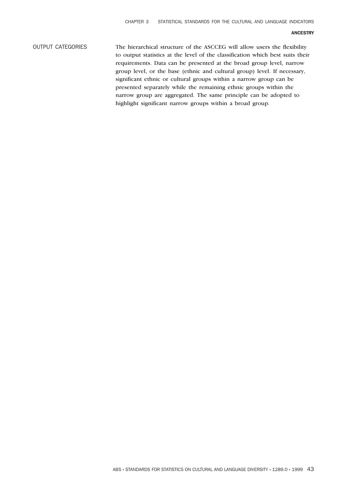#### ANCESTRY

OUTPUT CATEGORIES The hierarchical structure of the ASCCEG will allow users the flexibility to output statistics at the level of the classification which best suits their requirements. Data can be presented at the broad group level, narrow group level, or the base (ethnic and cultural group) level. If necessary, significant ethnic or cultural groups within a narrow group can be presented separately while the remaining ethnic groups within the narrow group are aggregated. The same principle can be adopted to highlight significant narrow groups within a broad group.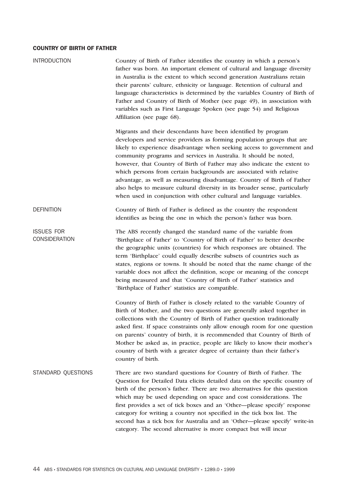| <b>INTRODUCTION</b>                       | Country of Birth of Father identifies the country in which a person's<br>father was born. An important element of cultural and language diversity<br>in Australia is the extent to which second generation Australians retain<br>their parents' culture, ethnicity or language. Retention of cultural and<br>language characteristics is determined by the variables Country of Birth of<br>Father and Country of Birth of Mother (see page 49), in association with<br>variables such as First Language Spoken (see page 54) and Religious<br>Affiliation (see page 68).                                                                                                      |
|-------------------------------------------|--------------------------------------------------------------------------------------------------------------------------------------------------------------------------------------------------------------------------------------------------------------------------------------------------------------------------------------------------------------------------------------------------------------------------------------------------------------------------------------------------------------------------------------------------------------------------------------------------------------------------------------------------------------------------------|
|                                           | Migrants and their descendants have been identified by program<br>developers and service providers as forming population groups that are<br>likely to experience disadvantage when seeking access to government and<br>community programs and services in Australia. It should be noted,<br>however, that Country of Birth of Father may also indicate the extent to<br>which persons from certain backgrounds are associated with relative<br>advantage, as well as measuring disadvantage. Country of Birth of Father<br>also helps to measure cultural diversity in its broader sense, particularly<br>when used in conjunction with other cultural and language variables. |
| <b>DEFINITION</b>                         | Country of Birth of Father is defined as the country the respondent<br>identifies as being the one in which the person's father was born.                                                                                                                                                                                                                                                                                                                                                                                                                                                                                                                                      |
| <b>ISSUES FOR</b><br><b>CONSIDERATION</b> | The ABS recently changed the standard name of the variable from<br>'Birthplace of Father' to 'Country of Birth of Father' to better describe<br>the geographic units (countries) for which responses are obtained. The<br>term 'Birthplace' could equally describe subsets of countries such as<br>states, regions or towns. It should be noted that the name change of the<br>variable does not affect the definition, scope or meaning of the concept<br>being measured and that 'Country of Birth of Father' statistics and<br>'Birthplace of Father' statistics are compatible.                                                                                            |
|                                           | Country of Birth of Father is closely related to the variable Country of<br>Birth of Mother, and the two questions are generally asked together in<br>collections with the Country of Birth of Father question traditionally<br>asked first. If space constraints only allow enough room for one question<br>on parents' country of birth, it is recommended that Country of Birth of<br>Mother be asked as, in practice, people are likely to know their mother's<br>country of birth with a greater degree of certainty than their father's<br>country of birth.                                                                                                             |
| STANDARD QUESTIONS                        | There are two standard questions for Country of Birth of Father. The<br>Question for Detailed Data elicits detailed data on the specific country of<br>birth of the person's father. There are two alternatives for this question<br>which may be used depending on space and cost considerations. The<br>first provides a set of tick boxes and an 'Other-please specify' response<br>category for writing a country not specified in the tick box list. The<br>second has a tick box for Australia and an 'Other-please specify' write-in<br>category. The second alternative is more compact but will incur                                                                 |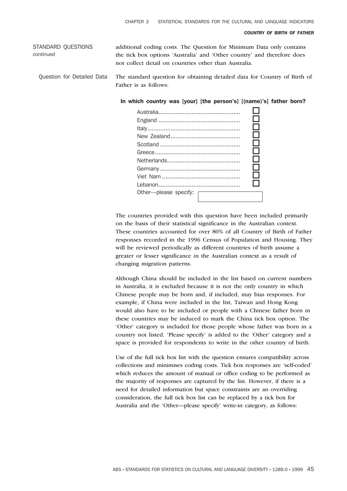STANDARD QUESTIONS *continued* additional coding costs. The Question for Minimum Data only contains the tick box options 'Australia' and 'Other country' and therefore does not collect detail on countries other than Australia.

Question for Detailed Data The standard question for obtaining detailed data for Country of Birth of Father is as follows:

In which country was [your] [the person's] [(name)'s] father born?

|                         |  | - 1 |
|-------------------------|--|-----|
|                         |  | - 1 |
|                         |  |     |
|                         |  |     |
|                         |  |     |
|                         |  |     |
| Other---please specify: |  |     |
|                         |  |     |

The countries provided with this question have been included primarily on the basis of their statistical significance in the Australian context. These countries accounted for over 80% of all Country of Birth of Father responses recorded in the 1996 Census of Population and Housing. They will be reviewed periodically as different countries of birth assume a greater or lesser significance in the Australian context as a result of changing migration patterns.

Although China should be included in the list based on current numbers in Australia, it is excluded because it is not the only country in which Chinese people may be born and, if included, may bias responses. For example, if China were included in the list, Taiwan and Hong Kong would also have to be included or people with a Chinese father born in these countries may be induced to mark the China tick box option. The 'Other' category is included for those people whose father was born in a country not listed. 'Please specify' is added to the 'Other' category and a space is provided for respondents to write in the other country of birth.

Use of the full tick box list with the question ensures compatibility across collections and minimises coding costs. Tick box responses are 'self-coded' which reduces the amount of manual or office coding to be performed as the majority of responses are captured by the list. However, if there is a need for detailed information but space constraints are an overriding consideration, the full tick box list can be replaced by a tick box for Australia and the 'Other—please specify' write-in category, as follows: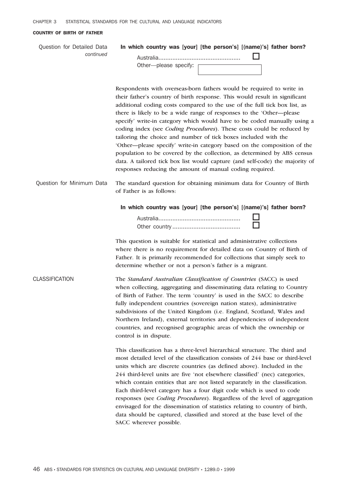Question for Detailed Data *continued* In which country was [your] [the person's] [(name)'s] father born?

| Other—please specify: |  |
|-----------------------|--|

Respondents with overseas-born fathers would be required to write in their father's country of birth response. This would result in significant additional coding costs compared to the use of the full tick box list, as there is likely to be a wide range of responses to the 'Other—please specify' write-in category which would have to be coded manually using a coding index (see *Coding Procedures*). These costs could be reduced by tailoring the choice and number of tick boxes included with the 'Other—please specify' write-in category based on the composition of the population to be covered by the collection, as determined by ABS census data. A tailored tick box list would capture (and self-code) the majority of responses reducing the amount of manual coding required.

Question for Minimum Data The standard question for obtaining minimum data for Country of Birth of Father is as follows:

In which country was [your] [the person's] [(name)'s] father born?

This question is suitable for statistical and administrative collections where there is no requirement for detailed data on Country of Birth of Father. It is primarily recommended for collections that simply seek to determine whether or not a person's father is a migrant.

CLASSIFICATION The *Standard Australian Classification of Countries* (SACC) is used when collecting, aggregating and disseminating data relating to Country of Birth of Father. The term 'country' is used in the SACC to describe fully independent countries (sovereign nation states), administrative subdivisions of the United Kingdom (i.e. England, Scotland, Wales and Northern Ireland), external territories and dependencies of independent countries, and recognised geographic areas of which the ownership or control is in dispute.

> This classification has a three-level hierarchical structure. The third and most detailed level of the classification consists of 244 base or third-level units which are discrete countries (as defined above). Included in the 244 third-level units are five 'not elsewhere classified' (nec) categories, which contain entities that are not listed separately in the classification. Each third-level category has a four digit code which is used to code responses (see *Coding Procedures*). Regardless of the level of aggregation envisaged for the dissemination of statistics relating to country of birth, data should be captured, classified and stored at the base level of the SACC wherever possible.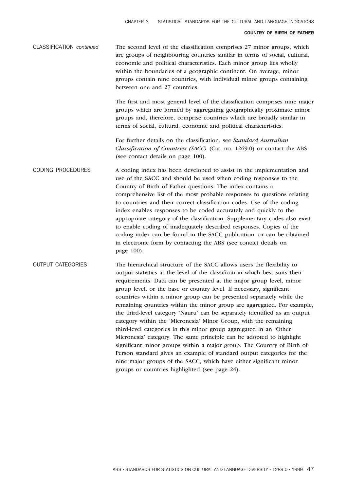| CLASSIFICATION continued | The second level of the classification comprises 27 minor groups, which    |
|--------------------------|----------------------------------------------------------------------------|
|                          | are groups of neighbouring countries similar in terms of social, cultural, |
|                          | economic and political characteristics. Each minor group lies wholly       |
|                          | within the boundaries of a geographic continent. On average, minor         |
|                          | groups contain nine countries, with individual minor groups containing     |
|                          | between one and 27 countries.                                              |

The first and most general level of the classification comprises nine major groups which are formed by aggregating geographically proximate minor groups and, therefore, comprise countries which are broadly similar in terms of social, cultural, economic and political characteristics.

For further details on the classification, see *Standard Australian Classification of Countries (SACC)* (Cat. no. 1269.0) or contact the ABS (see contact details on page 100).

CODING PROCEDURES A coding index has been developed to assist in the implementation and use of the SACC and should be used when coding responses to the Country of Birth of Father questions. The index contains a comprehensive list of the most probable responses to questions relating to countries and their correct classification codes. Use of the coding index enables responses to be coded accurately and quickly to the appropriate category of the classification. Supplementary codes also exist to enable coding of inadequately described responses. Copies of the coding index can be found in the SACC publication, or can be obtained in electronic form by contacting the ABS (see contact details on page 100).

OUTPUT CATEGORIES The hierarchical structure of the SACC allows users the flexibility to output statistics at the level of the classification which best suits their requirements. Data can be presented at the major group level, minor group level, or the base or country level. If necessary, significant countries within a minor group can be presented separately while the remaining countries within the minor group are aggregated. For example, the third-level category 'Nauru' can be separately identified as an output category within the 'Micronesia' Minor Group, with the remaining third-level categories in this minor group aggregated in an 'Other Micronesia' category. The same principle can be adopted to highlight significant minor groups within a major group. The Country of Birth of Person standard gives an example of standard output categories for the nine major groups of the SACC, which have either significant minor groups or countries highlighted (see page 24).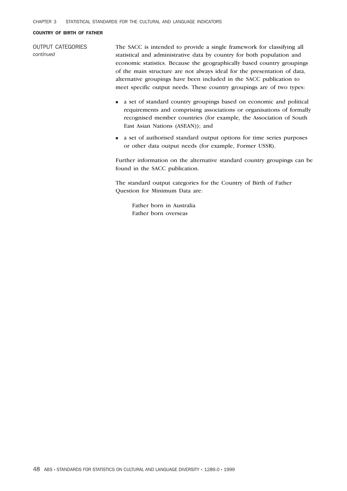OUTPUT CATEGORIES *continued* The SACC is intended to provide a single framework for classifying all statistical and administrative data by country for both population and economic statistics. Because the geographically based country groupings of the main structure are not always ideal for the presentation of data, alternative groupings have been included in the SACC publication to meet specific output needs. These country groupings are of two types:

- <sup>n</sup> a set of standard country groupings based on economic and political requirements and comprising associations or organisations of formally recognised member countries (for example, the Association of South East Asian Nations (ASEAN)); and
- <sup>n</sup> a set of authorised standard output options for time series purposes or other data output needs (for example, Former USSR).

Further information on the alternative standard country groupings can be found in the SACC publication.

The standard output categories for the Country of Birth of Father Question for Minimum Data are:

Father born in Australia Father born overseas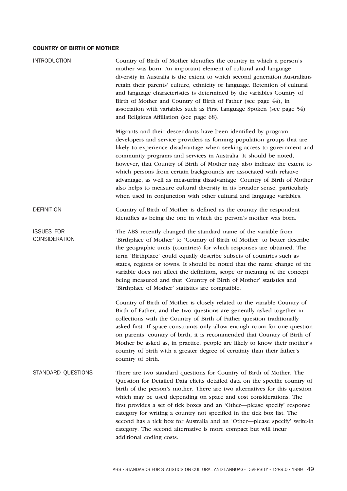| <b>INTRODUCTION</b>                       | Country of Birth of Mother identifies the country in which a person's<br>mother was born. An important element of cultural and language<br>diversity in Australia is the extent to which second generation Australians<br>retain their parents' culture, ethnicity or language. Retention of cultural<br>and language characteristics is determined by the variables Country of<br>Birth of Mother and Country of Birth of Father (see page 44), in<br>association with variables such as First Language Spoken (see page 54)<br>and Religious Affiliation (see page 68).                                                                                                      |
|-------------------------------------------|--------------------------------------------------------------------------------------------------------------------------------------------------------------------------------------------------------------------------------------------------------------------------------------------------------------------------------------------------------------------------------------------------------------------------------------------------------------------------------------------------------------------------------------------------------------------------------------------------------------------------------------------------------------------------------|
|                                           | Migrants and their descendants have been identified by program<br>developers and service providers as forming population groups that are<br>likely to experience disadvantage when seeking access to government and<br>community programs and services in Australia. It should be noted,<br>however, that Country of Birth of Mother may also indicate the extent to<br>which persons from certain backgrounds are associated with relative<br>advantage, as well as measuring disadvantage. Country of Birth of Mother<br>also helps to measure cultural diversity in its broader sense, particularly<br>when used in conjunction with other cultural and language variables. |
| <b>DEFINITION</b>                         | Country of Birth of Mother is defined as the country the respondent<br>identifies as being the one in which the person's mother was born.                                                                                                                                                                                                                                                                                                                                                                                                                                                                                                                                      |
| <b>ISSUES FOR</b><br><b>CONSIDERATION</b> | The ABS recently changed the standard name of the variable from<br>'Birthplace of Mother' to 'Country of Birth of Mother' to better describe<br>the geographic units (countries) for which responses are obtained. The<br>term 'Birthplace' could equally describe subsets of countries such as<br>states, regions or towns. It should be noted that the name change of the<br>variable does not affect the definition, scope or meaning of the concept<br>being measured and that 'Country of Birth of Mother' statistics and<br>'Birthplace of Mother' statistics are compatible.                                                                                            |
|                                           | Country of Birth of Mother is closely related to the variable Country of<br>Birth of Father, and the two questions are generally asked together in<br>collections with the Country of Birth of Father question traditionally<br>asked first. If space constraints only allow enough room for one question<br>on parents' country of birth, it is recommended that Country of Birth of<br>Mother be asked as, in practice, people are likely to know their mother's<br>country of birth with a greater degree of certainty than their father's<br>country of birth.                                                                                                             |
| STANDARD QUESTIONS                        | There are two standard questions for Country of Birth of Mother. The<br>Question for Detailed Data elicits detailed data on the specific country of<br>birth of the person's mother. There are two alternatives for this question<br>which may be used depending on space and cost considerations. The<br>first provides a set of tick boxes and an 'Other-please specify' response<br>category for writing a country not specified in the tick box list. The<br>second has a tick box for Australia and an 'Other-please specify' write-in<br>category. The second alternative is more compact but will incur<br>additional coding costs.                                     |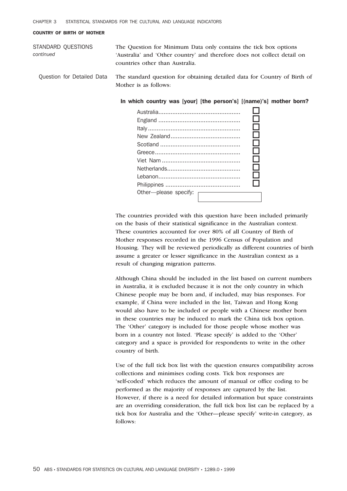STANDARD QUESTIONS *continued* The Question for Minimum Data only contains the tick box options 'Australia' and 'Other country' and therefore does not collect detail on countries other than Australia.

Question for Detailed Data The standard question for obtaining detailed data for Country of Birth of Mother is as follows:

In which country was [your] [the person's] [(name)'s] mother born?

| Other-please specify: |  |
|-----------------------|--|
|                       |  |

The countries provided with this question have been included primarily on the basis of their statistical significance in the Australian context. These countries accounted for over 80% of all Country of Birth of Mother responses recorded in the 1996 Census of Population and Housing. They will be reviewed periodically as different countries of birth assume a greater or lesser significance in the Australian context as a result of changing migration patterns.

Although China should be included in the list based on current numbers in Australia, it is excluded because it is not the only country in which Chinese people may be born and, if included, may bias responses. For example, if China were included in the list, Taiwan and Hong Kong would also have to be included or people with a Chinese mother born in these countries may be induced to mark the China tick box option. The 'Other' category is included for those people whose mother was born in a country not listed. 'Please specify' is added to the 'Other' category and a space is provided for respondents to write in the other country of birth.

Use of the full tick box list with the question ensures compatibility across collections and minimises coding costs. Tick box responses are 'self-coded' which reduces the amount of manual or office coding to be performed as the majority of responses are captured by the list. However, if there is a need for detailed information but space constraints are an overriding consideration, the full tick box list can be replaced by a tick box for Australia and the 'Other—please specify' write-in category, as follows: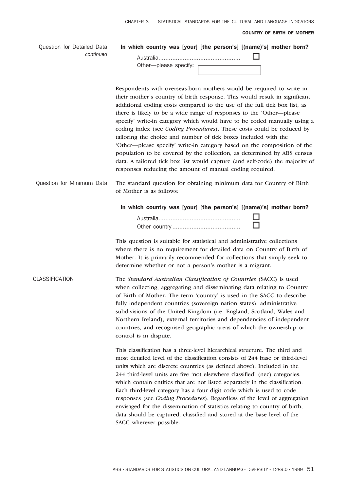| Question for Detailed Data<br>continued | In which country was [your] [the person's] [(name)'s] mother born?<br>Other-please specify:                                                                                                                                                                                                                                                                                                                                                                                                                                                                                                                                                                                                                                                                                                                                        |
|-----------------------------------------|------------------------------------------------------------------------------------------------------------------------------------------------------------------------------------------------------------------------------------------------------------------------------------------------------------------------------------------------------------------------------------------------------------------------------------------------------------------------------------------------------------------------------------------------------------------------------------------------------------------------------------------------------------------------------------------------------------------------------------------------------------------------------------------------------------------------------------|
|                                         | Respondents with overseas-born mothers would be required to write in<br>their mother's country of birth response. This would result in significant<br>additional coding costs compared to the use of the full tick box list, as<br>there is likely to be a wide range of responses to the 'Other-please<br>specify' write-in category which would have to be coded manually using a<br>coding index (see Coding Procedures). These costs could be reduced by<br>tailoring the choice and number of tick boxes included with the<br>'Other—please specify' write-in category based on the composition of the<br>population to be covered by the collection, as determined by ABS census<br>data. A tailored tick box list would capture (and self-code) the majority of<br>responses reducing the amount of manual coding required. |
| Question for Minimum Data               | The standard question for obtaining minimum data for Country of Birth<br>of Mother is as follows:                                                                                                                                                                                                                                                                                                                                                                                                                                                                                                                                                                                                                                                                                                                                  |
|                                         | In which country was [your] [the person's] [(name)'s] mother born?                                                                                                                                                                                                                                                                                                                                                                                                                                                                                                                                                                                                                                                                                                                                                                 |
|                                         | This question is suitable for statistical and administrative collections<br>where there is no requirement for detailed data on Country of Birth of<br>Mother. It is primarily recommended for collections that simply seek to<br>determine whether or not a person's mother is a migrant.                                                                                                                                                                                                                                                                                                                                                                                                                                                                                                                                          |
| CLASSIFICATION                          | The Standard Australian Classification of Countries (SACC) is used<br>when collecting, aggregating and disseminating data relating to Country<br>of Birth of Mother. The term 'country' is used in the SACC to describe<br>fully independent countries (sovereign nation states), administrative<br>subdivisions of the United Kingdom (i.e. England, Scotland, Wales and<br>Northern Ireland), external territories and dependencies of independent<br>countries, and recognised geographic areas of which the ownership or<br>control is in dispute.                                                                                                                                                                                                                                                                             |
|                                         | This classification has a three-level hierarchical structure. The third and<br>most detailed level of the classification consists of 244 base or third-level<br>units which are discrete countries (as defined above). Included in the<br>244 third-level units are five 'not elsewhere classified' (nec) categories,<br>which contain entities that are not listed separately in the classification.<br>Each third-level category has a four digit code which is used to code<br>responses (see Coding Procedures). Regardless of the level of aggregation<br>envisaged for the dissemination of statistics relating to country of birth,<br>data should be captured, classified and stored at the base level of the<br>SACC wherever possible.                                                                                   |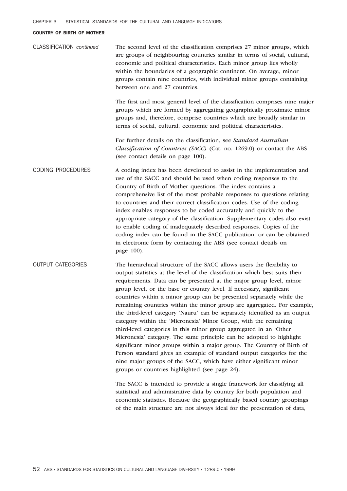| <b>CLASSIFICATION</b> continued | The second level of the classification comprises 27 minor groups, which<br>are groups of neighbouring countries similar in terms of social, cultural,<br>economic and political characteristics. Each minor group lies wholly<br>within the boundaries of a geographic continent. On average, minor<br>groups contain nine countries, with individual minor groups containing<br>between one and 27 countries.                                                                                                                                                                                                                                                                                                                                                                                                                                                                                                                                                                                                                      |
|---------------------------------|-------------------------------------------------------------------------------------------------------------------------------------------------------------------------------------------------------------------------------------------------------------------------------------------------------------------------------------------------------------------------------------------------------------------------------------------------------------------------------------------------------------------------------------------------------------------------------------------------------------------------------------------------------------------------------------------------------------------------------------------------------------------------------------------------------------------------------------------------------------------------------------------------------------------------------------------------------------------------------------------------------------------------------------|
|                                 | The first and most general level of the classification comprises nine major<br>groups which are formed by aggregating geographically proximate minor<br>groups and, therefore, comprise countries which are broadly similar in<br>terms of social, cultural, economic and political characteristics.                                                                                                                                                                                                                                                                                                                                                                                                                                                                                                                                                                                                                                                                                                                                |
|                                 | For further details on the classification, see Standard Australian<br>Classification of Countries (SACC) (Cat. no. 1269.0) or contact the ABS<br>(see contact details on page 100).                                                                                                                                                                                                                                                                                                                                                                                                                                                                                                                                                                                                                                                                                                                                                                                                                                                 |
| <b>CODING PROCEDURES</b>        | A coding index has been developed to assist in the implementation and<br>use of the SACC and should be used when coding responses to the<br>Country of Birth of Mother questions. The index contains a<br>comprehensive list of the most probable responses to questions relating<br>to countries and their correct classification codes. Use of the coding<br>index enables responses to be coded accurately and quickly to the<br>appropriate category of the classification. Supplementary codes also exist<br>to enable coding of inadequately described responses. Copies of the<br>coding index can be found in the SACC publication, or can be obtained<br>in electronic form by contacting the ABS (see contact details on<br>page 100).                                                                                                                                                                                                                                                                                    |
| <b>OUTPUT CATEGORIES</b>        | The hierarchical structure of the SACC allows users the flexibility to<br>output statistics at the level of the classification which best suits their<br>requirements. Data can be presented at the major group level, minor<br>group level, or the base or country level. If necessary, significant<br>countries within a minor group can be presented separately while the<br>remaining countries within the minor group are aggregated. For example,<br>the third-level category 'Nauru' can be separately identified as an output<br>category within the 'Micronesia' Minor Group, with the remaining<br>third-level categories in this minor group aggregated in an 'Other<br>Micronesia' category. The same principle can be adopted to highlight<br>significant minor groups within a major group. The Country of Birth of<br>Person standard gives an example of standard output categories for the<br>nine major groups of the SACC, which have either significant minor<br>groups or countries highlighted (see page 24). |
|                                 | The SACC is intended to provide a single framework for classifying all<br>statistical and administrative data by country for both population and<br>economic statistics. Because the geographically based country groupings<br>of the main structure are not always ideal for the presentation of data,                                                                                                                                                                                                                                                                                                                                                                                                                                                                                                                                                                                                                                                                                                                             |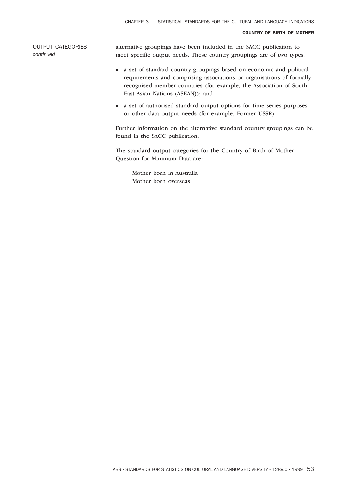OUTPUT CATEGORIES *continued*

alternative groupings have been included in the SACC publication to meet specific output needs. These country groupings are of two types:

- <sup>n</sup> a set of standard country groupings based on economic and political requirements and comprising associations or organisations of formally recognised member countries (for example, the Association of South East Asian Nations (ASEAN)); and
- <sup>n</sup> a set of authorised standard output options for time series purposes or other data output needs (for example, Former USSR).

Further information on the alternative standard country groupings can be found in the SACC publication.

The standard output categories for the Country of Birth of Mother Question for Minimum Data are:

Mother born in Australia Mother born overseas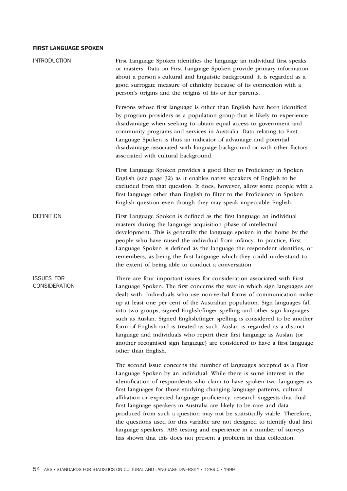| <b>INTRODUCTION</b>                | First Language Spoken identifies the language an individual first speaks<br>or masters. Data on First Language Spoken provide primary information<br>about a person's cultural and linguistic background. It is regarded as a<br>good surrogate measure of ethnicity because of its connection with a<br>person's origins and the origins of his or her parents.                                                                                                                                                                                                                                                                                                                                                                                                    |
|------------------------------------|---------------------------------------------------------------------------------------------------------------------------------------------------------------------------------------------------------------------------------------------------------------------------------------------------------------------------------------------------------------------------------------------------------------------------------------------------------------------------------------------------------------------------------------------------------------------------------------------------------------------------------------------------------------------------------------------------------------------------------------------------------------------|
|                                    | Persons whose first language is other than English have been identified<br>by program providers as a population group that is likely to experience<br>disadvantage when seeking to obtain equal access to government and<br>community programs and services in Australia. Data relating to First<br>Language Spoken is thus an indicator of advantage and potential<br>disadvantage associated with language background or with other factors<br>associated with cultural background.                                                                                                                                                                                                                                                                               |
|                                    | First Language Spoken provides a good filter to Proficiency in Spoken<br>English (see page 32) as it enables native speakers of English to be<br>excluded from that question. It does, however, allow some people with a<br>first language other than English to filter to the Proficiency in Spoken<br>English question even though they may speak impeccable English.                                                                                                                                                                                                                                                                                                                                                                                             |
| <b>DEFINITION</b>                  | First Language Spoken is defined as the first language an individual<br>masters during the language acquisition phase of intellectual<br>development. This is generally the language spoken in the home by the<br>people who have raised the individual from infancy. In practice, First<br>Language Spoken is defined as the language the respondent identifies, or<br>remembers, as being the first language which they could understand to<br>the extent of being able to conduct a conversation.                                                                                                                                                                                                                                                                |
| <b>ISSUES FOR</b><br>CONSIDERATION | There are four important issues for consideration associated with First<br>Language Spoken. The first concerns the way in which sign languages are<br>dealt with. Individuals who use non-verbal forms of communication make<br>up at least one per cent of the Australian population. Sign languages fall<br>into two groups, signed English/finger spelling and other sign languages<br>such as Auslan. Signed English/finger spelling is considered to be another<br>form of English and is treated as such. Auslan is regarded as a distinct<br>language and individuals who report their first language as Auslan (or<br>another recognised sign language) are considered to have a first language<br>other than English.                                      |
|                                    | The second issue concerns the number of languages accepted as a First<br>Language Spoken by an individual. While there is some interest in the<br>identification of respondents who claim to have spoken two languages as<br>first languages for those studying changing language patterns, cultural<br>affiliation or expected language proficiency, research suggests that dual<br>first language speakers in Australia are likely to be rare and data<br>produced from such a question may not be statistically viable. Therefore,<br>the questions used for this variable are not designed to identify dual first<br>language speakers. ABS testing and experience in a number of surveys<br>has shown that this does not present a problem in data collection. |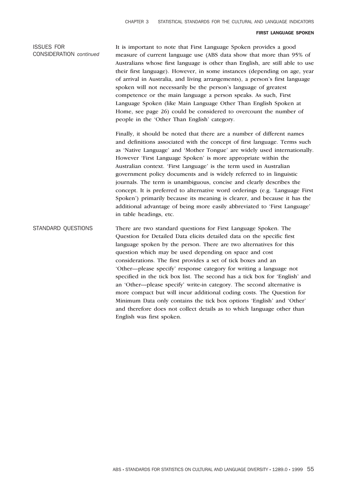## ISSUES FOR CONSIDERATION *continued*

It is important to note that First Language Spoken provides a good measure of current language use (ABS data show that more than 95% of Australians whose first language is other than English, are still able to use their first language). However, in some instances (depending on age, year of arrival in Australia, and living arrangements), a person's first language spoken will not necessarily be the person's language of greatest competence or the main language a person speaks. As such, First Language Spoken (like Main Language Other Than English Spoken at Home, see page 26) could be considered to overcount the number of people in the 'Other Than English' category.

Finally, it should be noted that there are a number of different names and definitions associated with the concept of first language. Terms such as 'Native Language' and 'Mother Tongue' are widely used internationally. However 'First Language Spoken' is more appropriate within the Australian context. 'First Language' is the term used in Australian government policy documents and is widely referred to in linguistic journals. The term is unambiguous, concise and clearly describes the concept. It is preferred to alternative word orderings (e.g. 'Language First Spoken') primarily because its meaning is clearer, and because it has the additional advantage of being more easily abbreviated to 'First Language' in table headings, etc.

# STANDARD QUESTIONS There are two standard questions for First Language Spoken. The Question for Detailed Data elicits detailed data on the specific first language spoken by the person. There are two alternatives for this question which may be used depending on space and cost considerations. The first provides a set of tick boxes and an 'Other—please specify' response category for writing a language not specified in the tick box list. The second has a tick box for 'English' and an 'Other—please specify' write-in category. The second alternative is more compact but will incur additional coding costs. The Question for Minimum Data only contains the tick box options 'English' and 'Other' and therefore does not collect details as to which language other than English was first spoken.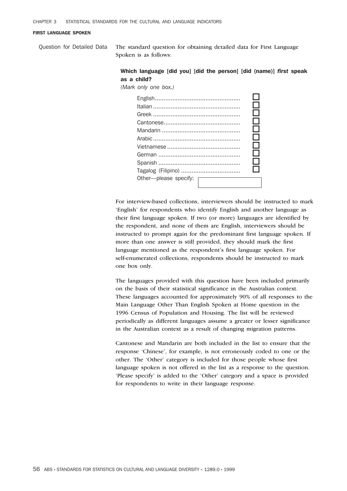Question for Detailed Data The standard question for obtaining detailed data for First Language Spoken is as follows:

## Which language [did you] [did the person] [did (name)] *first* speak as a child?

*(Mark only one box.)*



For interview-based collections, interviewers should be instructed to mark 'English' for respondents who identify English and another language as their first language spoken. If two (or more) languages are identified by the respondent, and none of them are English, interviewers should be instructed to prompt again for the predominant first language spoken. If more than one answer is still provided, they should mark the first language mentioned as the respondent's first language spoken. For self-enumerated collections, respondents should be instructed to mark one box only.

The languages provided with this question have been included primarily on the basis of their statistical significance in the Australian context. These languages accounted for approximately 90% of all responses to the Main Language Other Than English Spoken at Home question in the 1996 Census of Population and Housing. The list will be reviewed periodically as different languages assume a greater or lesser significance in the Australian context as a result of changing migration patterns.

Cantonese and Mandarin are both included in the list to ensure that the response 'Chinese', for example, is not erroneously coded to one or the other. The 'Other' category is included for those people whose first language spoken is not offered in the list as a response to the question. 'Please specify' is added to the 'Other' category and a space is provided for respondents to write in their language response.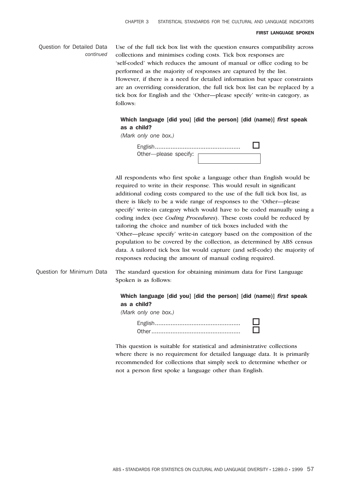Question for Detailed Data *continued* Use of the full tick box list with the question ensures compatibility across collections and minimises coding costs. Tick box responses are 'self-coded' which reduces the amount of manual or office coding to be performed as the majority of responses are captured by the list. However, if there is a need for detailed information but space constraints are an overriding consideration, the full tick box list can be replaced by a tick box for English and the 'Other—please specify' write-in category, as follows:

## Which language [did you] [did the person] [did (name)] *first* speak as a child?

*(Mark only one box.)*

| Other---please specify: |  |
|-------------------------|--|
|                         |  |

All respondents who first spoke a language other than English would be required to write in their response. This would result in significant additional coding costs compared to the use of the full tick box list, as there is likely to be a wide range of responses to the 'Other—please specify' write-in category which would have to be coded manually using a coding index (see *Coding Procedures*). These costs could be reduced by tailoring the choice and number of tick boxes included with the 'Other—please specify' write-in category based on the composition of the population to be covered by the collection, as determined by ABS census data. A tailored tick box list would capture (and self-code) the majority of responses reducing the amount of manual coding required.

Question for Minimum Data The standard question for obtaining minimum data for First Language Spoken is as follows:

# Which language [did you] [did the person] [did (name)] *first* speak as a child?

This question is suitable for statistical and administrative collections where there is no requirement for detailed language data. It is primarily recommended for collections that simply seek to determine whether or not a person first spoke a language other than English.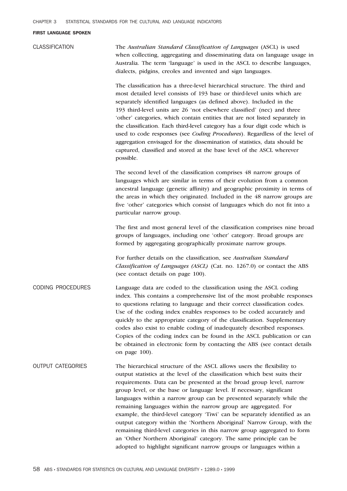CLASSIFICATION The *Australian Standard Classification of Languages* (ASCL) is used when collecting, aggregating and disseminating data on language usage in Australia. The term 'language' is used in the ASCL to describe languages, dialects, pidgins, creoles and invented and sign languages.

> The classification has a three-level hierarchical structure. The third and most detailed level consists of 193 base or third-level units which are separately identified languages (as defined above). Included in the 193 third-level units are 26 'not elsewhere classified' (nec) and three 'other' categories, which contain entities that are not listed separately in the classification. Each third-level category has a four digit code which is used to code responses (see *Coding Procedures*). Regardless of the level of aggregation envisaged for the dissemination of statistics, data should be captured, classified and stored at the base level of the ASCL wherever possible.

> The second level of the classification comprises 48 narrow groups of languages which are similar in terms of their evolution from a common ancestral language (genetic affinity) and geographic proximity in terms of the areas in which they originated. Included in the 48 narrow groups are five 'other' categories which consist of languages which do not fit into a particular narrow group.

> The first and most general level of the classification comprises nine broad groups of languages, including one 'other' category. Broad groups are formed by aggregating geographically proximate narrow groups.

For further details on the classification, see *Australian Standard Classification of Languages (ASCL)* (Cat. no. 1267.0) or contact the ABS (see contact details on page 100).

CODING PROCEDURES Language data are coded to the classification using the ASCL coding index. This contains a comprehensive list of the most probable responses to questions relating to language and their correct classification codes. Use of the coding index enables responses to be coded accurately and quickly to the appropriate category of the classification. Supplementary codes also exist to enable coding of inadequately described responses. Copies of the coding index can be found in the ASCL publication or can be obtained in electronic form by contacting the ABS (see contact details on page 100).

OUTPUT CATEGORIES The hierarchical structure of the ASCL allows users the flexibility to output statistics at the level of the classification which best suits their requirements. Data can be presented at the broad group level, narrow group level, or the base or language level. If necessary, significant languages within a narrow group can be presented separately while the remaining languages within the narrow group are aggregated. For example, the third-level category 'Tiwi' can be separately identified as an output category within the 'Northern Aboriginal' Narrow Group, with the remaining third-level categories in this narrow group aggregated to form an 'Other Northern Aboriginal' category. The same principle can be adopted to highlight significant narrow groups or languages within a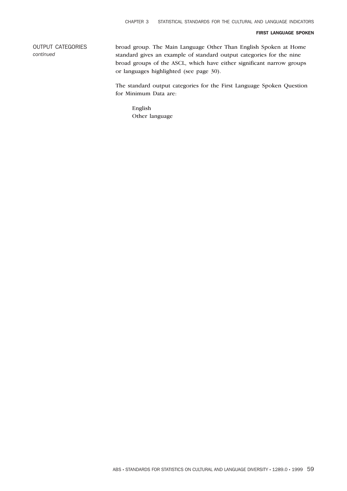OUTPUT CATEGORIES *continued*

broad group. The Main Language Other Than English Spoken at Home standard gives an example of standard output categories for the nine broad groups of the ASCL, which have either significant narrow groups or languages highlighted (see page 30).

The standard output categories for the First Language Spoken Question for Minimum Data are:

English Other language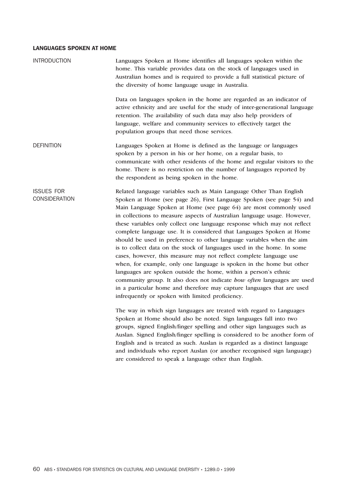| <b>INTRODUCTION</b>                | Languages Spoken at Home identifies all languages spoken within the<br>home. This variable provides data on the stock of languages used in<br>Australian homes and is required to provide a full statistical picture of<br>the diversity of home language usage in Australia.                                                                                                                                                                                                                                                                                                                                                                                                                                                                                                                                                                                                                                                                                                                                                   |
|------------------------------------|---------------------------------------------------------------------------------------------------------------------------------------------------------------------------------------------------------------------------------------------------------------------------------------------------------------------------------------------------------------------------------------------------------------------------------------------------------------------------------------------------------------------------------------------------------------------------------------------------------------------------------------------------------------------------------------------------------------------------------------------------------------------------------------------------------------------------------------------------------------------------------------------------------------------------------------------------------------------------------------------------------------------------------|
|                                    | Data on languages spoken in the home are regarded as an indicator of<br>active ethnicity and are useful for the study of inter-generational language<br>retention. The availability of such data may also help providers of<br>language, welfare and community services to effectively target the<br>population groups that need those services.                                                                                                                                                                                                                                                                                                                                                                                                                                                                                                                                                                                                                                                                                |
| <b>DEFINITION</b>                  | Languages Spoken at Home is defined as the language or languages<br>spoken by a person in his or her home, on a regular basis, to<br>communicate with other residents of the home and regular visitors to the<br>home. There is no restriction on the number of languages reported by<br>the respondent as being spoken in the home.                                                                                                                                                                                                                                                                                                                                                                                                                                                                                                                                                                                                                                                                                            |
| <b>ISSUES FOR</b><br>CONSIDERATION | Related language variables such as Main Language Other Than English<br>Spoken at Home (see page 26), First Language Spoken (see page 54) and<br>Main Language Spoken at Home (see page 64) are most commonly used<br>in collections to measure aspects of Australian language usage. However,<br>these variables only collect one language response which may not reflect<br>complete language use. It is considered that Languages Spoken at Home<br>should be used in preference to other language variables when the aim<br>is to collect data on the stock of languages used in the home. In some<br>cases, however, this measure may not reflect complete language use<br>when, for example, only one language is spoken in the home but other<br>languages are spoken outside the home, within a person's ethnic<br>community group. It also does not indicate how often languages are used<br>in a particular home and therefore may capture languages that are used<br>infrequently or spoken with limited proficiency. |
|                                    | The way in which sign languages are treated with regard to Languages<br>Spoken at Home should also be noted. Sign languages fall into two<br>groups, signed English/finger spelling and other sign languages such as<br>Auslan. Signed English/finger spelling is considered to be another form of<br>English and is treated as such. Auslan is regarded as a distinct language<br>and individuals who report Auslan (or another recognised sign language)<br>are considered to speak a language other than English.                                                                                                                                                                                                                                                                                                                                                                                                                                                                                                            |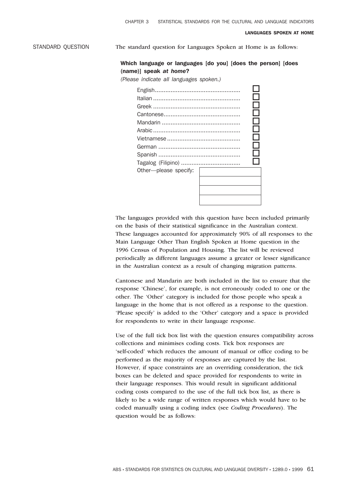STANDARD QUESTION The standard question for Languages Spoken at Home is as follows:

## Which language or languages [do you] [does the person] [does (name)] speak *at home*?

*(Please indicate all languages spoken.)*

|                       | ×. |  |
|-----------------------|----|--|
|                       |    |  |
| Other-please specify: |    |  |

The languages provided with this question have been included primarily on the basis of their statistical significance in the Australian context. These languages accounted for approximately 90% of all responses to the Main Language Other Than English Spoken at Home question in the 1996 Census of Population and Housing. The list will be reviewed periodically as different languages assume a greater or lesser significance in the Australian context as a result of changing migration patterns.

Cantonese and Mandarin are both included in the list to ensure that the response 'Chinese', for example, is not erroneously coded to one or the other. The 'Other' category is included for those people who speak a language in the home that is not offered as a response to the question. 'Please specify' is added to the 'Other' category and a space is provided for respondents to write in their language response.

Use of the full tick box list with the question ensures compatibility across collections and minimises coding costs. Tick box responses are 'self-coded' which reduces the amount of manual or office coding to be performed as the majority of responses are captured by the list. However, if space constraints are an overriding consideration, the tick boxes can be deleted and space provided for respondents to write in their language responses. This would result in significant additional coding costs compared to the use of the full tick box list, as there is likely to be a wide range of written responses which would have to be coded manually using a coding index (see *Coding Procedures*). The question would be as follows: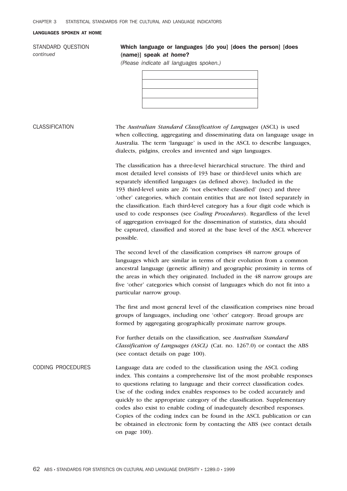STANDARD QUESTION *continued*

# Which language or languages [do you] [does the person] [does (name)] speak *at home*?

*(Please indicate all languages spoken.)*

CLASSIFICATION The *Australian Standard Classification of Languages* (ASCL) is used when collecting, aggregating and disseminating data on language usage in Australia. The term 'language' is used in the ASCL to describe languages, dialects, pidgins, creoles and invented and sign languages.

> The classification has a three-level hierarchical structure. The third and most detailed level consists of 193 base or third-level units which are separately identified languages (as defined above). Included in the 193 third-level units are 26 'not elsewhere classified' (nec) and three 'other' categories, which contain entities that are not listed separately in the classification. Each third-level category has a four digit code which is used to code responses (see *Coding Procedures*). Regardless of the level of aggregation envisaged for the dissemination of statistics, data should be captured, classified and stored at the base level of the ASCL wherever possible.

> The second level of the classification comprises 48 narrow groups of languages which are similar in terms of their evolution from a common ancestral language (genetic affinity) and geographic proximity in terms of the areas in which they originated. Included in the 48 narrow groups are five 'other' categories which consist of languages which do not fit into a particular narrow group.

> The first and most general level of the classification comprises nine broad groups of languages, including one 'other' category. Broad groups are formed by aggregating geographically proximate narrow groups.

For further details on the classification, see *Australian Standard Classification of Languages (ASCL)* (Cat. no. 1267.0) or contact the ABS (see contact details on page 100).

CODING PROCEDURES Language data are coded to the classification using the ASCL coding index. This contains a comprehensive list of the most probable responses to questions relating to language and their correct classification codes. Use of the coding index enables responses to be coded accurately and quickly to the appropriate category of the classification. Supplementary codes also exist to enable coding of inadequately described responses. Copies of the coding index can be found in the ASCL publication or can be obtained in electronic form by contacting the ABS (see contact details on page 100).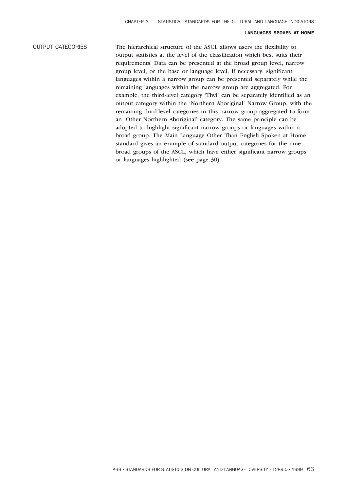# OUTPUT CATEGORIES The hierarchical structure of the ASCL allows users the flexibility to output statistics at the level of the classification which best suits their requirements. Data can be presented at the broad group level, narrow group level, or the base or language level. If necessary, significant languages within a narrow group can be presented separately while the remaining languages within the narrow group are aggregated. For example, the third-level category 'Tiwi' can be separately identified as an output category within the 'Northern Aboriginal' Narrow Group, with the remaining third-level categories in this narrow group aggregated to form an 'Other Northern Aboriginal' category. The same principle can be adopted to highlight significant narrow groups or languages within a broad group. The Main Language Other Than English Spoken at Home standard gives an example of standard output categories for the nine broad groups of the ASCL, which have either significant narrow groups or languages highlighted (see page 30).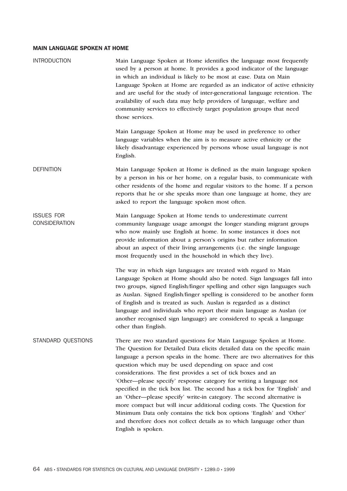# MAIN LANGUAGE SPOKEN AT HOME

| <b>INTRODUCTION</b>                       | Main Language Spoken at Home identifies the language most frequently<br>used by a person at home. It provides a good indicator of the language<br>in which an individual is likely to be most at ease. Data on Main<br>Language Spoken at Home are regarded as an indicator of active ethnicity<br>and are useful for the study of inter-generational language retention. The<br>availability of such data may help providers of language, welfare and<br>community services to effectively target population groups that need<br>those services.                                                                                                                                                                                                                                                                                         |
|-------------------------------------------|-------------------------------------------------------------------------------------------------------------------------------------------------------------------------------------------------------------------------------------------------------------------------------------------------------------------------------------------------------------------------------------------------------------------------------------------------------------------------------------------------------------------------------------------------------------------------------------------------------------------------------------------------------------------------------------------------------------------------------------------------------------------------------------------------------------------------------------------|
|                                           | Main Language Spoken at Home may be used in preference to other<br>language variables when the aim is to measure active ethnicity or the<br>likely disadvantage experienced by persons whose usual language is not<br>English.                                                                                                                                                                                                                                                                                                                                                                                                                                                                                                                                                                                                            |
| <b>DEFINITION</b>                         | Main Language Spoken at Home is defined as the main language spoken<br>by a person in his or her home, on a regular basis, to communicate with<br>other residents of the home and regular visitors to the home. If a person<br>reports that he or she speaks more than one language at home, they are<br>asked to report the language spoken most often.                                                                                                                                                                                                                                                                                                                                                                                                                                                                                  |
| <b>ISSUES FOR</b><br><b>CONSIDERATION</b> | Main Language Spoken at Home tends to underestimate current<br>community language usage amongst the longer standing migrant groups<br>who now mainly use English at home. In some instances it does not<br>provide information about a person's origins but rather information<br>about an aspect of their living arrangements (i.e. the single language<br>most frequently used in the household in which they live).                                                                                                                                                                                                                                                                                                                                                                                                                    |
|                                           | The way in which sign languages are treated with regard to Main<br>Language Spoken at Home should also be noted. Sign languages fall into<br>two groups, signed English/finger spelling and other sign languages such<br>as Auslan. Signed English/finger spelling is considered to be another form<br>of English and is treated as such. Auslan is regarded as a distinct<br>language and individuals who report their main language as Auslan (or<br>another recognised sign language) are considered to speak a language<br>other than English.                                                                                                                                                                                                                                                                                        |
| STANDARD QUESTIONS                        | There are two standard questions for Main Language Spoken at Home.<br>The Question for Detailed Data elicits detailed data on the specific main<br>language a person speaks in the home. There are two alternatives for this<br>question which may be used depending on space and cost<br>considerations. The first provides a set of tick boxes and an<br>'Other—please specify' response category for writing a language not<br>specified in the tick box list. The second has a tick box for 'English' and<br>an 'Other-please specify' write-in category. The second alternative is<br>more compact but will incur additional coding costs. The Question for<br>Minimum Data only contains the tick box options 'English' and 'Other'<br>and therefore does not collect details as to which language other than<br>English is spoken. |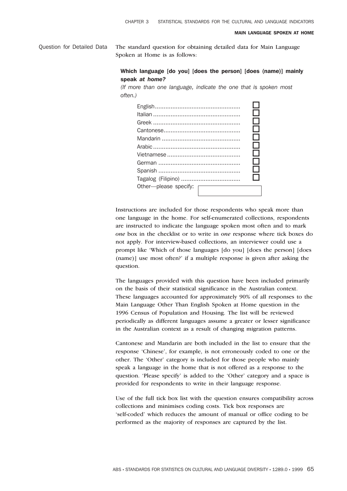#### MAIN LANGUAGE SPOKEN AT HOME

Question for Detailed Data The standard question for obtaining detailed data for Main Language Spoken at Home is as follows:

## Which language [do you] [does the person] [does (name)] mainly speak *at home?*

*(If more than one language, indicate the one that is spoken most often.)*



Instructions are included for those respondents who speak more than one language in the home. For self-enumerated collections, respondents are instructed to indicate the language spoken most often and to mark *one* box in the checklist or to write in *one* response where tick boxes do not apply. For interview-based collections, an interviewer could use a prompt like 'Which of those languages [do you] [does the person] [does (name)] use most often?' if a multiple response is given after asking the question.

The languages provided with this question have been included primarily on the basis of their statistical significance in the Australian context. These languages accounted for approximately 90% of all responses to the Main Language Other Than English Spoken at Home question in the 1996 Census of Population and Housing. The list will be reviewed periodically as different languages assume a greater or lesser significance in the Australian context as a result of changing migration patterns.

Cantonese and Mandarin are both included in the list to ensure that the response 'Chinese', for example, is not erroneously coded to one or the other. The 'Other' category is included for those people who mainly speak a language in the home that is not offered as a response to the question. 'Please specify' is added to the 'Other' category and a space is provided for respondents to write in their language response.

Use of the full tick box list with the question ensures compatibility across collections and minimises coding costs. Tick box responses are 'self-coded' which reduces the amount of manual or office coding to be performed as the majority of responses are captured by the list.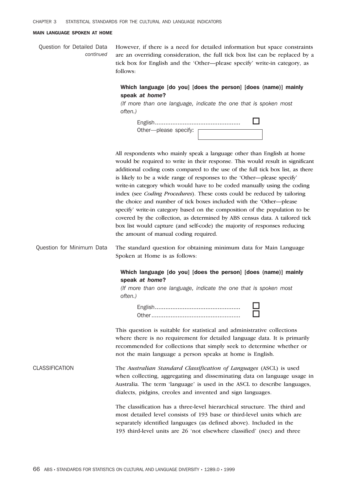#### MAIN LANGUAGE SPOKEN AT HOME

Question for Detailed Data *continued* However, if there is a need for detailed information but space constraints are an overriding consideration, the full tick box list can be replaced by a tick box for English and the 'Other—please specify' write-in category, as follows:

## Which language [do you] [does the person] [does (name)] mainly speak *at home*?

*(If more than one language, indicate the one that is spoken most often.)*

| Other---please specify: |  |
|-------------------------|--|
|                         |  |

All respondents who mainly speak a language other than English at home would be required to write in their response. This would result in significant additional coding costs compared to the use of the full tick box list, as there is likely to be a wide range of responses to the 'Other—please specify' write-in category which would have to be coded manually using the coding index (see *Coding Procedures*). These costs could be reduced by tailoring the choice and number of tick boxes included with the 'Other—please specify' write-in category based on the composition of the population to be covered by the collection, as determined by ABS census data. A tailored tick box list would capture (and self-code) the majority of responses reducing the amount of manual coding required.

Question for Minimum Data The standard question for obtaining minimum data for Main Language Spoken at Home is as follows:

## Which language [do you] [does the person] [does (name)] mainly speak *at home*?

*(If more than one language, indicate the one that is spoken most often.)*

> English................................................. o Other................................................... o

This question is suitable for statistical and administrative collections where there is no requirement for detailed language data. It is primarily recommended for collections that simply seek to determine whether or not the main language a person speaks at home is English.

CLASSIFICATION The *Australian Standard Classification of Languages* (ASCL) is used when collecting, aggregating and disseminating data on language usage in Australia. The term 'language' is used in the ASCL to describe languages, dialects, pidgins, creoles and invented and sign languages.

> The classification has a three-level hierarchical structure. The third and most detailed level consists of 193 base or third-level units which are separately identified languages (as defined above). Included in the 193 third-level units are 26 'not elsewhere classified' (nec) and three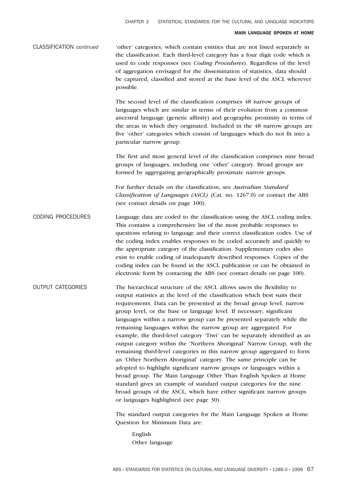#### MAIN LANGUAGE SPOKEN AT HOME

| <b>CLASSIFICATION</b> continued | 'other' categories, which contain entities that are not listed separately in    |
|---------------------------------|---------------------------------------------------------------------------------|
|                                 | the classification. Each third-level category has a four digit code which is    |
|                                 | used to code responses (see <i>Coding Procedures</i> ). Regardless of the level |
|                                 | of aggregation envisaged for the dissemination of statistics, data should       |
|                                 | be captured, classified and stored at the base level of the ASCL wherever       |
|                                 | possible.                                                                       |

The second level of the classification comprises 48 narrow groups of languages which are similar in terms of their evolution from a common ancestral language (genetic affinity) and geographic proximity in terms of the areas in which they originated. Included in the 48 narrow groups are five 'other' categories which consist of languages which do not fit into a particular narrow group.

The first and most general level of the classification comprises nine broad groups of languages, including one 'other' category. Broad groups are formed by aggregating geographically proximate narrow groups.

For further details on the classification, see *Australian Standard Classification of Languages (ASCL)* (Cat. no. 1267.0) or contact the ABS (see contact details on page 100).

- CODING PROCEDURES Language data are coded to the classification using the ASCL coding index. This contains a comprehensive list of the most probable responses to questions relating to language and their correct classification codes. Use of the coding index enables responses to be coded accurately and quickly to the appropriate category of the classification. Supplementary codes also exist to enable coding of inadequately described responses. Copies of the coding index can be found in the ASCL publication or can be obtained in electronic form by contacting the ABS (see contact details on page 100).
- OUTPUT CATEGORIES The hierarchical structure of the ASCL allows users the flexibility to output statistics at the level of the classification which best suits their requirements. Data can be presented at the broad group level, narrow group level, or the base or language level. If necessary, significant languages within a narrow group can be presented separately while the remaining languages within the narrow group are aggregated. For example, the third-level category 'Tiwi' can be separately identified as an output category within the 'Northern Aboriginal' Narrow Group, with the remaining third-level categories in this narrow group aggregated to form an 'Other Northern Aboriginal' category. The same principle can be adopted to highlight significant narrow groups or languages within a broad group. The Main Language Other Than English Spoken at Home standard gives an example of standard output categories for the nine broad groups of the ASCL, which have either significant narrow groups or languages highlighted (see page 30).

The standard output categories for the Main Language Spoken at Home Question for Minimum Data are:

English Other language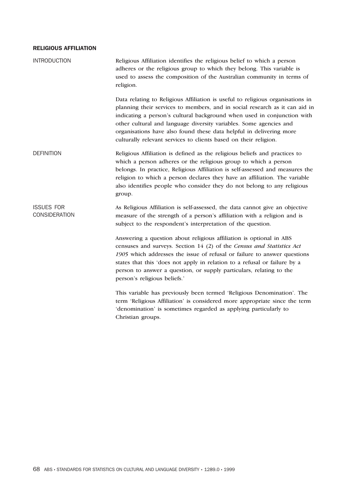# RELIGIOUS AFFILIATION

| <b>INTRODUCTION</b>                       | Religious Affiliation identifies the religious belief to which a person<br>adheres or the religious group to which they belong. This variable is<br>used to assess the composition of the Australian community in terms of<br>religion.                                                                                                                                                                                                                   |
|-------------------------------------------|-----------------------------------------------------------------------------------------------------------------------------------------------------------------------------------------------------------------------------------------------------------------------------------------------------------------------------------------------------------------------------------------------------------------------------------------------------------|
|                                           | Data relating to Religious Affiliation is useful to religious organisations in<br>planning their services to members, and in social research as it can aid in<br>indicating a person's cultural background when used in conjunction with<br>other cultural and language diversity variables. Some agencies and<br>organisations have also found these data helpful in delivering more<br>culturally relevant services to clients based on their religion. |
| <b>DEFINITION</b>                         | Religious Affiliation is defined as the religious beliefs and practices to<br>which a person adheres or the religious group to which a person<br>belongs. In practice, Religious Affiliation is self-assessed and measures the<br>religion to which a person declares they have an affiliation. The variable<br>also identifies people who consider they do not belong to any religious<br>group.                                                         |
| <b>ISSUES FOR</b><br><b>CONSIDERATION</b> | As Religious Affiliation is self-assessed, the data cannot give an objective<br>measure of the strength of a person's affiliation with a religion and is<br>subject to the respondent's interpretation of the question.                                                                                                                                                                                                                                   |
|                                           | Answering a question about religious affiliation is optional in ABS<br>censuses and surveys. Section 14 (2) of the Census and Statistics Act<br>1905 which addresses the issue of refusal or failure to answer questions<br>states that this 'does not apply in relation to a refusal or failure by a<br>person to answer a question, or supply particulars, relating to the<br>person's religious beliefs.'                                              |
|                                           | This variable has previously been termed 'Religious Denomination'. The<br>term 'Religious Affiliation' is considered more appropriate since the term<br>'denomination' is sometimes regarded as applying particularly to<br>Christian groups.                                                                                                                                                                                                             |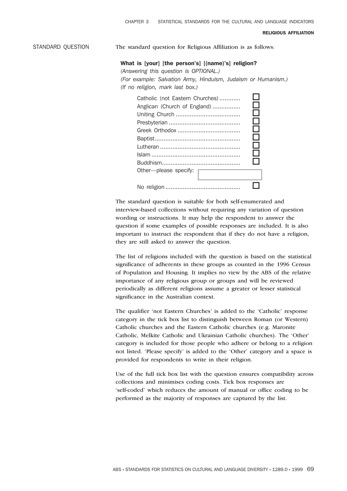#### RELIGIOUS AFFILIATION

STANDARD QUESTION The standard question for Religious Affiliation is as follows:

#### What is [your] [the person's] [(name)'s] religion?

*(Answering this question is OPTIONAL.) (For example: Salvation Army, Hinduism, Judaism or Humanism.) (If no religion, mark last box.)*

| Catholic (not Eastern Churches)<br>Anglican (Church of England)<br>Other-please specify: | H<br>- 1<br>ΙI<br>l I<br>l 1<br>l l<br>$\Box$ |
|------------------------------------------------------------------------------------------|-----------------------------------------------|
|                                                                                          |                                               |

The standard question is suitable for both self-enumerated and interview-based collections without requiring any variation of question wording or instructions. It may help the respondent to answer the question if some examples of possible responses are included. It is also important to instruct the respondent that if they do not have a religion, they are still asked to answer the question.

The list of religions included with the question is based on the statistical significance of adherents in these groups as counted in the 1996 Census of Population and Housing. It implies no view by the ABS of the relative importance of any religious group or groups and will be reviewed periodically as different religions assume a greater or lesser statistical significance in the Australian context.

The qualifier 'not Eastern Churches' is added to the 'Catholic' response category in the tick box list to distinguish between Roman (or Western) Catholic churches and the Eastern Catholic churches (e.g. Maronite Catholic, Melkite Catholic and Ukrainian Catholic churches). The 'Other' category is included for those people who adhere or belong to a religion not listed. 'Please specify' is added to the 'Other' category and a space is provided for respondents to write in their religion.

Use of the full tick box list with the question ensures compatibility across collections and minimises coding costs. Tick box responses are 'self-coded' which reduces the amount of manual or office coding to be performed as the majority of responses are captured by the list.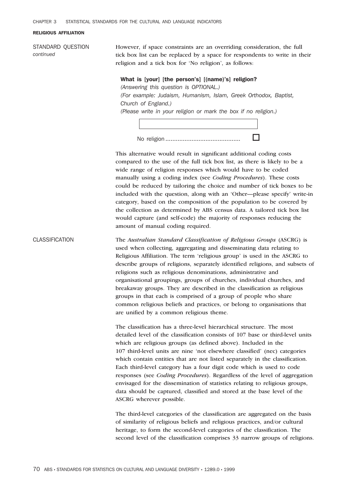$\Gamma$ 

#### RELIGIOUS AFFILIATION

STANDARD QUESTION *continued*

However, if space constraints are an overriding consideration, the full tick box list can be replaced by a space for respondents to write in their religion and a tick box for 'No religion', as follows:

#### What is [your] [the person's] [(name)'s] religion?

*(Answering this question is OPTIONAL.) (For example: Judaism, Humanism, Islam, Greek Orthodox, Baptist, Church of England.) (Please write in your religion or mark the box if no religion.)*

This alternative would result in significant additional coding costs compared to the use of the full tick box list, as there is likely to be a wide range of religion responses which would have to be coded manually using a coding index (see *Coding Procedures*). These costs could be reduced by tailoring the choice and number of tick boxes to be included with the question, along with an 'Other—please specify' write-in category, based on the composition of the population to be covered by the collection as determined by ABS census data. A tailored tick box list would capture (and self-code) the majority of responses reducing the amount of manual coding required.

CLASSIFICATION The *Australian Standard Classification of Religious Groups* (ASCRG) is used when collecting, aggregating and disseminating data relating to Religious Affiliation. The term 'religious group' is used in the ASCRG to describe groups of religions, separately identified religions, and subsets of religions such as religious denominations, administrative and organisational groupings, groups of churches, individual churches, and breakaway groups. They are described in the classification as religious groups in that each is comprised of a group of people who share common religious beliefs and practices, or belong to organisations that are unified by a common religious theme.

> The classification has a three-level hierarchical structure. The most detailed level of the classification consists of 107 base or third-level units which are religious groups (as defined above). Included in the 107 third-level units are nine 'not elsewhere classified' (nec) categories which contain entities that are not listed separately in the classification. Each third-level category has a four digit code which is used to code responses (see *Coding Procedures*). Regardless of the level of aggregation envisaged for the dissemination of statistics relating to religious groups, data should be captured, classified and stored at the base level of the ASCRG wherever possible.

> The third-level categories of the classification are aggregated on the basis of similarity of religious beliefs and religious practices, and/or cultural heritage, to form the second-level categories of the classification. The second level of the classification comprises 33 narrow groups of religions.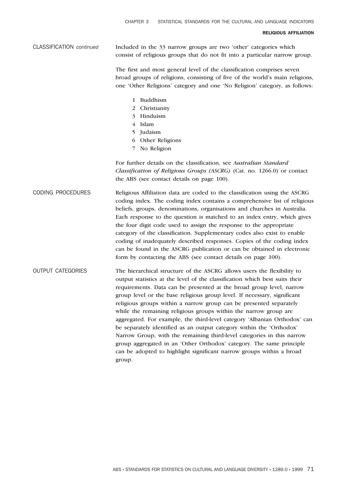#### RELIGIOUS AFFILIATION

CLASSIFICATION *continued* Included in the 33 narrow groups are two 'other' categories which consist of religious groups that do not fit into a particular narrow group.

> The first and most general level of the classification comprises seven broad groups of religions, consisting of five of the world's main religions, one 'Other Religions' category and one 'No Religion' category, as follows:

- 1 Buddhism
- 2 Christianity
- 3 Hinduism
- 4 Islam
- 5 Judaism
- 6 Other Religions
- 7 No Religion

For further details on the classification, see *Australian Standard Classification of Religious Groups (ASCRG)* (Cat. no. 1266.0) or contact the ABS (see contact details on page 100).

CODING PROCEDURES Religious Affiliation data are coded to the classification using the ASCRG coding index. The coding index contains a comprehensive list of religious beliefs, groups, denominations, organisations and churches in Australia. Each response to the question is matched to an index entry, which gives the four digit code used to assign the response to the appropriate category of the classification. Supplementary codes also exist to enable coding of inadequately described responses. Copies of the coding index can be found in the ASCRG publication or can be obtained in electronic form by contacting the ABS (see contact details on page 100).

OUTPUT CATEGORIES The hierarchical structure of the ASCRG allows users the flexibility to output statistics at the level of the classification which best suits their requirements. Data can be presented at the broad group level, narrow group level or the base religious group level. If necessary, significant religious groups within a narrow group can be presented separately while the remaining religious groups within the narrow group are aggregated. For example, the third-level category 'Albanian Orthodox' can be separately identified as an output category within the 'Orthodox' Narrow Group, with the remaining third-level categories in this narrow group aggregated in an 'Other Orthodox' category. The same principle can be adopted to highlight significant narrow groups within a broad group.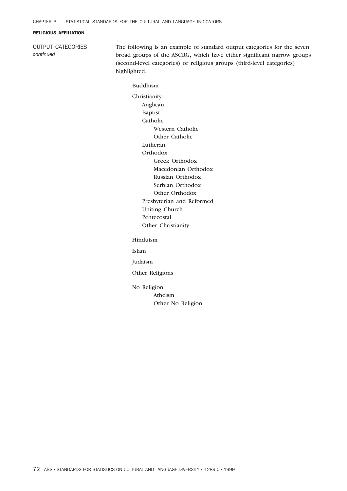#### RELIGIOUS AFFILIATION

OUTPUT CATEGORIES *continued*

The following is an example of standard output categories for the seven broad groups of the ASCRG, which have either significant narrow groups (second-level categories) or religious groups (third-level categories) highlighted.

#### Buddhism

Christianity Anglican Baptist Catholic Western Catholic Other Catholic Lutheran **Orthodox** Greek Orthodox Macedonian Orthodox Russian Orthodox Serbian Orthodox Other Orthodox Presbyterian and Reformed Uniting Church Pentecostal Other Christianity

Hinduism

Islam

Judaism

Other Religions

No Religion

Atheism Other No Religion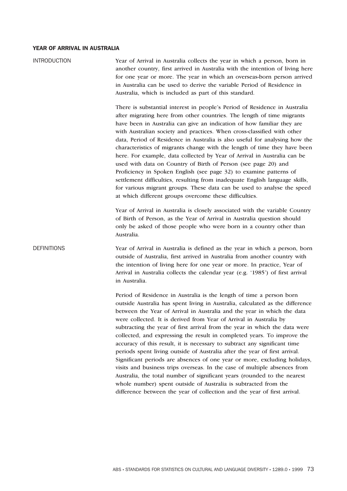# YEAR OF ARRIVAL IN AUSTRALIA

| <b>INTRODUCTION</b> | Year of Arrival in Australia collects the year in which a person, born in<br>another country, first arrived in Australia with the intention of living here<br>for one year or more. The year in which an overseas-born person arrived<br>in Australia can be used to derive the variable Period of Residence in<br>Australia, which is included as part of this standard.                                                                                                                                                                                                                                                                                                                                                                                                                                                                                                                                                                                                                                       |
|---------------------|-----------------------------------------------------------------------------------------------------------------------------------------------------------------------------------------------------------------------------------------------------------------------------------------------------------------------------------------------------------------------------------------------------------------------------------------------------------------------------------------------------------------------------------------------------------------------------------------------------------------------------------------------------------------------------------------------------------------------------------------------------------------------------------------------------------------------------------------------------------------------------------------------------------------------------------------------------------------------------------------------------------------|
|                     | There is substantial interest in people's Period of Residence in Australia<br>after migrating here from other countries. The length of time migrants<br>have been in Australia can give an indication of how familiar they are<br>with Australian society and practices. When cross-classified with other<br>data, Period of Residence in Australia is also useful for analysing how the<br>characteristics of migrants change with the length of time they have been<br>here. For example, data collected by Year of Arrival in Australia can be<br>used with data on Country of Birth of Person (see page 20) and<br>Proficiency in Spoken English (see page 32) to examine patterns of<br>settlement difficulties, resulting from inadequate English language skills,<br>for various migrant groups. These data can be used to analyse the speed<br>at which different groups overcome these difficulties.                                                                                                   |
|                     | Year of Arrival in Australia is closely associated with the variable Country<br>of Birth of Person, as the Year of Arrival in Australia question should<br>only be asked of those people who were born in a country other than<br>Australia.                                                                                                                                                                                                                                                                                                                                                                                                                                                                                                                                                                                                                                                                                                                                                                    |
| <b>DEFINITIONS</b>  | Year of Arrival in Australia is defined as the year in which a person, born<br>outside of Australia, first arrived in Australia from another country with<br>the intention of living here for one year or more. In practice, Year of<br>Arrival in Australia collects the calendar year (e.g. '1985') of first arrival<br>in Australia.                                                                                                                                                                                                                                                                                                                                                                                                                                                                                                                                                                                                                                                                         |
|                     | Period of Residence in Australia is the length of time a person born<br>outside Australia has spent living in Australia, calculated as the difference<br>between the Year of Arrival in Australia and the year in which the data<br>were collected. It is derived from Year of Arrival in Australia by<br>subtracting the year of first arrival from the year in which the data were<br>collected, and expressing the result in completed years. To improve the<br>accuracy of this result, it is necessary to subtract any significant time<br>periods spent living outside of Australia after the year of first arrival.<br>Significant periods are absences of one year or more, excluding holidays,<br>visits and business trips overseas. In the case of multiple absences from<br>Australia, the total number of significant years (rounded to the nearest<br>whole number) spent outside of Australia is subtracted from the<br>difference between the year of collection and the year of first arrival. |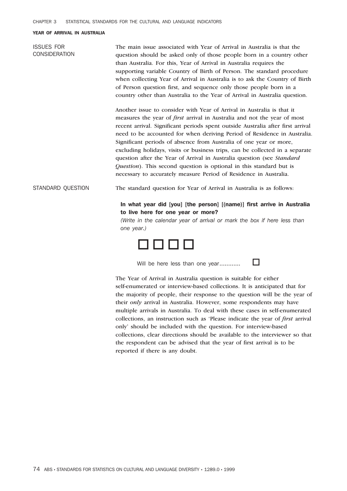#### YEAR OF ARRIVAL IN AUSTRALIA

| <b>ISSUES FOR</b><br><b>CONSIDERATION</b> | The main issue associated with Year of Arrival in Australia is that the<br>question should be asked only of those people born in a country other<br>than Australia. For this, Year of Arrival in Australia requires the<br>supporting variable Country of Birth of Person. The standard procedure<br>when collecting Year of Arrival in Australia is to ask the Country of Birth<br>of Person question first, and sequence only those people born in a<br>country other than Australia to the Year of Arrival in Australia question.                                                                                                                                                                        |
|-------------------------------------------|-------------------------------------------------------------------------------------------------------------------------------------------------------------------------------------------------------------------------------------------------------------------------------------------------------------------------------------------------------------------------------------------------------------------------------------------------------------------------------------------------------------------------------------------------------------------------------------------------------------------------------------------------------------------------------------------------------------|
|                                           | Another issue to consider with Year of Arrival in Australia is that it<br>measures the year of <i>first</i> arrival in Australia and not the year of most<br>recent arrival. Significant periods spent outside Australia after first arrival<br>need to be accounted for when deriving Period of Residence in Australia.<br>Significant periods of absence from Australia of one year or more,<br>excluding holidays, visits or business trips, can be collected in a separate<br>question after the Year of Arrival in Australia question (see <i>Standard</i><br>Question). This second question is optional in this standard but is<br>necessary to accurately measure Period of Residence in Australia. |
| STANDARD QUESTION                         | The standard question for Year of Arrival in Australia is as follows:                                                                                                                                                                                                                                                                                                                                                                                                                                                                                                                                                                                                                                       |
|                                           | In what year did [you] [the person] [(name)] first arrive in Australia<br>to live here for one year or more?<br>(Write in the calendar year of arrival or mark the box if here less than<br>one year.)                                                                                                                                                                                                                                                                                                                                                                                                                                                                                                      |
|                                           |                                                                                                                                                                                                                                                                                                                                                                                                                                                                                                                                                                                                                                                                                                             |



Will be here less than one year............. $\square$ 

The Year of Arrival in Australia question is suitable for either self-enumerated or interview-based collections. It is anticipated that for the majority of people, their response to the question will be the year of their *only* arrival in Australia. However, some respondents may have multiple arrivals in Australia. To deal with these cases in self-enumerated collections, an instruction such as 'Please indicate the year of *first* arrival only' should be included with the question. For interview-based collections, clear directions should be available to the interviewer so that the respondent can be advised that the year of first arrival is to be reported if there is any doubt.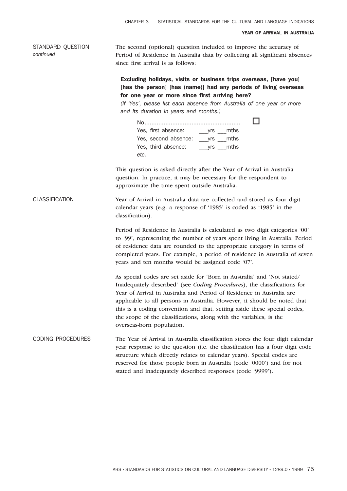STANDARD QUESTION *continued* The second (optional) question included to improve the accuracy of Period of Residence in Australia data by collecting all significant absences since first arrival is as follows: Excluding holidays, visits or business trips overseas, [have you] [has the person] [has (name)] had any periods of living overseas for one year or more since first arriving here? *(If 'Yes', please list each absence from Australia of one year or more and its duration in years and months.)* No....................................................... o Yes, first absence: \_\_\_yrs \_\_\_mths Yes, second absence: \_\_\_yrs \_\_\_mths Yes, third absence: \_\_\_\_\_\_\_\_\_ yrs \_\_\_\_mths *etc.* This question is asked directly after the Year of Arrival in Australia question. In practice, it may be necessary for the respondent to approximate the time spent outside Australia. CLASSIFICATION Year of Arrival in Australia data are collected and stored as four digit calendar years (e.g. a response of '1985' is coded as '1985' in the classification). Period of Residence in Australia is calculated as two digit categories '00' to '99', representing the number of years spent living in Australia. Period of residence data are rounded to the appropriate category in terms of completed years. For example, a period of residence in Australia of seven years and ten months would be assigned code '07'. CHAPTER 3 STATISTICAL STANDARDS FOR THE CULTURAL AND LANGUAGE INDICATORS YEAR OF ARRIVAL IN AUSTRALIA

> As special codes are set aside for 'Born in Australia' and 'Not stated/ Inadequately described' (see *Coding Procedures*), the classifications for Year of Arrival in Australia and Period of Residence in Australia are applicable to all persons in Australia. However, it should be noted that this is a coding convention and that, setting aside these special codes, the scope of the classifications, along with the variables, is the overseas-born population.

# CODING PROCEDURES The Year of Arrival in Australia classification stores the four digit calendar year response to the question (i.e. the classification has a four digit code structure which directly relates to calendar years). Special codes are reserved for those people born in Australia (code '0000') and for not stated and inadequately described responses (code '9999').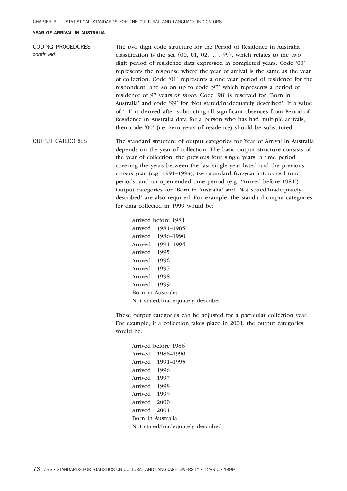#### YEAR OF ARRIVAL IN AUSTRALIA

| CODING PROCEDURES<br>continued | The two digit code structure for the Period of Residence in Australia<br>classification is the set $\{00, 01, 02, \ldots, 99\}$ , which relates to the two                                                                    |
|--------------------------------|-------------------------------------------------------------------------------------------------------------------------------------------------------------------------------------------------------------------------------|
|                                | digit period of residence data expressed in completed years. Code '00'<br>represents the response where the year of arrival is the same as the year                                                                           |
|                                | of collection. Code '01' represents a one year period of residence for the<br>respondent, and so on up to code '97' which represents a period of<br>residence of 97 years <i>or more</i> . Code '98' is reserved for 'Born in |
|                                | Australia' and code '99' for 'Not stated/Inadequately described'. If a value<br>of $-1$ is derived after subtracting all significant absences from Period of                                                                  |
|                                | Residence in Australia data for a person who has had multiple arrivals,<br>then code '00' (i.e. zero years of residence) should be substituted.                                                                               |

OUTPUT CATEGORIES The standard structure of output categories for Year of Arrival in Australia depends on the year of collection. The basic output structure consists of the year of collection, the previous four single years, a time period covering the years between the last single year listed and the previous census year (e.g. 1991–1994), two standard five-year intercensal time periods, and an open-ended time period (e.g. 'Arrived before 1981'). Output categories for 'Born in Australia' and 'Not stated/Inadequately described' are also required. For example, the standard output categories for data collected in 1999 would be:

> Arrived before 1981 Arrived 1981–1985 Arrived 1986–1990 Arrived 1991–1994 Arrived 1995 Arrived 1996 Arrived 1997 Arrived 1998 Arrived 1999 Born in Australia Not stated/Inadequately described

These output categories can be adjusted for a particular collection year. For example, if a collection takes place in 2001, the output categories would be:

| Arrived before 1986 |                                   |
|---------------------|-----------------------------------|
| Arrived 1986–1990   |                                   |
| Arrived 1991-1995   |                                   |
| Arrived 1996        |                                   |
| Arrived 1997        |                                   |
| Arrived 1998        |                                   |
| Arrived 1999        |                                   |
| Arrived 2000        |                                   |
| Arrived 2001        |                                   |
| Born in Australia   |                                   |
|                     | Not stated/Inadequately described |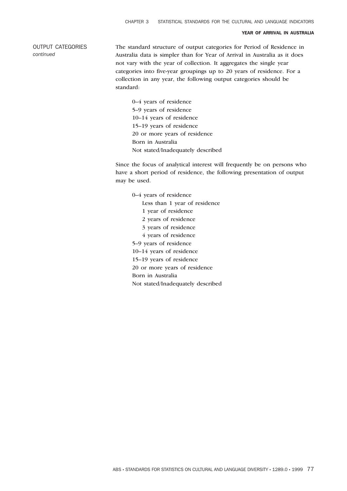#### YEAR OF ARRIVAL IN AUSTRALIA

OUTPUT CATEGORIES *continued*

The standard structure of output categories for Period of Residence in Australia data is simpler than for Year of Arrival in Australia as it does not vary with the year of collection. It aggregates the single year categories into five-year groupings up to 20 years of residence. For a collection in any year, the following output categories should be standard:

0–4 years of residence 5–9 years of residence 10–14 years of residence 15–19 years of residence 20 or more years of residence Born in Australia Not stated/Inadequately described

Since the focus of analytical interest will frequently be on persons who have a short period of residence, the following presentation of output may be used.

0–4 years of residence Less than 1 year of residence 1 year of residence 2 years of residence 3 years of residence 4 years of residence 5–9 years of residence 10–14 years of residence 15–19 years of residence 20 or more years of residence Born in Australia Not stated/Inadequately described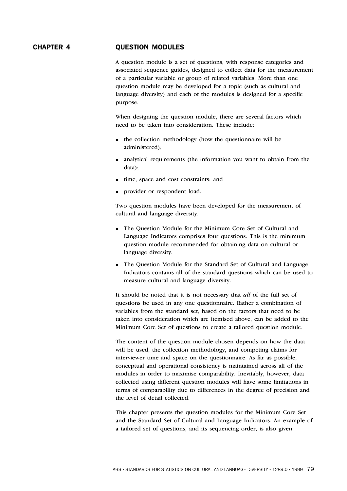# CHAPTER 4 QUESTION MODULES

A question module is a set of questions, with response categories and associated sequence guides, designed to collect data for the measurement of a particular variable or group of related variables. More than one question module may be developed for a topic (such as cultural and language diversity) and each of the modules is designed for a specific purpose.

When designing the question module, there are several factors which need to be taken into consideration. These include:

- **the collection methodology (how the questionnaire will be** administered);
- analytical requirements (the information you want to obtain from the data);
- time, space and cost constraints; and
- **provider or respondent load.**

Two question modules have been developed for the measurement of cultural and language diversity.

- The Question Module for the Minimum Core Set of Cultural and Language Indicators comprises four questions. This is the minimum question module recommended for obtaining data on cultural or language diversity.
- The Question Module for the Standard Set of Cultural and Language Indicators contains all of the standard questions which can be used to measure cultural and language diversity.

It should be noted that it is not necessary that *all* of the full set of questions be used in any one questionnaire. Rather a combination of variables from the standard set, based on the factors that need to be taken into consideration which are itemised above, can be added to the Minimum Core Set of questions to create a tailored question module.

The content of the question module chosen depends on how the data will be used, the collection methodology, and competing claims for interviewer time and space on the questionnaire. As far as possible, conceptual and operational consistency is maintained across all of the modules in order to maximise comparability. Inevitably, however, data collected using different question modules will have some limitations in terms of comparability due to differences in the degree of precision and the level of detail collected.

This chapter presents the question modules for the Minimum Core Set and the Standard Set of Cultural and Language Indicators. An example of a tailored set of questions, and its sequencing order, is also given.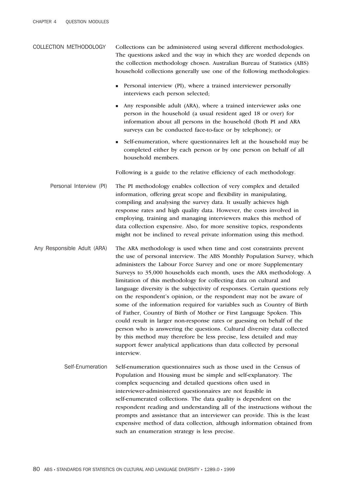- COLLECTION METHODOLOGY Collections can be administered using several different methodologies. The questions asked and the way in which they are worded depends on the collection methodology chosen. Australian Bureau of Statistics (ABS) household collections generally use one of the following methodologies:
	- Personal interview (PI), where a trained interviewer personally interviews each person selected;
	- n Any responsible adult (ARA), where a trained interviewer asks one person in the household (a usual resident aged 18 or over) for information about all persons in the household (Both PI and ARA surveys can be conducted face-to-face or by telephone); or
	- <sup>n</sup> Self-enumeration, where questionnaires left at the household may be completed either by each person or by one person on behalf of all household members.

Following is a guide to the relative efficiency of each methodology.

- Personal Interview (PI) The PI methodology enables collection of very complex and detailed information, offering great scope and flexibility in manipulating, compiling and analysing the survey data. It usually achieves high response rates and high quality data. However, the costs involved in employing, training and managing interviewers makes this method of data collection expensive. Also, for more sensitive topics, respondents might not be inclined to reveal private information using this method.
- Any Responsible Adult (ARA) The ARA methodology is used when time and cost constraints prevent the use of personal interview. The ABS Monthly Population Survey, which administers the Labour Force Survey and one or more Supplementary Surveys to 35,000 households each month, uses the ARA methodology. A limitation of this methodology for collecting data on cultural and language diversity is the subjectivity of responses. Certain questions rely on the respondent's opinion, or the respondent may not be aware of some of the information required for variables such as Country of Birth of Father, Country of Birth of Mother or First Language Spoken. This could result in larger non-response rates or guessing on behalf of the person who is answering the questions. Cultural diversity data collected by this method may therefore be less precise, less detailed and may support fewer analytical applications than data collected by personal interview.
	- Self-Enumeration Self-enumeration questionnaires such as those used in the Census of Population and Housing must be simple and self-explanatory. The complex sequencing and detailed questions often used in interviewer-administered questionnaires are not feasible in self-enumerated collections. The data quality is dependent on the respondent reading and understanding all of the instructions without the prompts and assistance that an interviewer can provide. This is the least expensive method of data collection, although information obtained from such an enumeration strategy is less precise.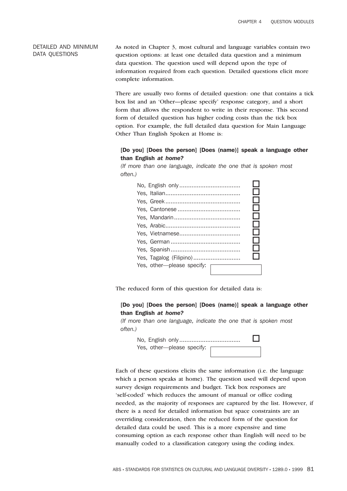#### DETAILED AND MINIMUM DATA QUESTIONS

As noted in Chapter 3, most cultural and language variables contain two question options: at least one detailed data question and a minimum data question. The question used will depend upon the type of information required from each question. Detailed questions elicit more complete information.

There are usually two forms of detailed question: one that contains a tick box list and an 'Other—please specify' response category, and a short form that allows the respondent to write in their response. This second form of detailed question has higher coding costs than the tick box option. For example, the full detailed data question for Main Language Other Than English Spoken at Home is:

#### [Do you] [Does the person] [Does (name)] speak a language other than English *at home?*

*(If more than one language, indicate the one that is spoken most often.)*



The reduced form of this question for detailed data is:

#### [Do you] [Does the person] [Does (name)] speak a language other than English *at home?*

*(If more than one language, indicate the one that is spoken most often.)*

No, English only................................... o Yes, other—please specify:

Each of these questions elicits the same information (i.e. the language which a person speaks at home). The question used will depend upon survey design requirements and budget. Tick box responses are 'self-coded' which reduces the amount of manual or office coding needed, as the majority of responses are captured by the list. However, if there is a need for detailed information but space constraints are an overriding consideration, then the reduced form of the question for detailed data could be used. This is a more expensive and time consuming option as each response other than English will need to be manually coded to a classification category using the coding index.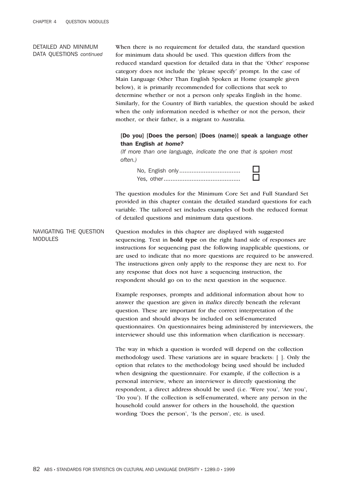#### DETAILED AND MINIMUM DATA QUESTIONS *continued*

When there is no requirement for detailed data, the standard question for minimum data should be used. This question differs from the reduced standard question for detailed data in that the 'Other' response category does not include the 'please specify' prompt. In the case of Main Language Other Than English Spoken at Home (example given below), it is primarily recommended for collections that seek to determine whether or not a person only speaks English in the home. Similarly, for the Country of Birth variables, the question should be asked when the only information needed is whether or not the person, their mother, or their father, is a migrant to Australia.

#### [Do you] [Does the person] [Does (name)] speak a language other than English *at home?*

*(If more than one language, indicate the one that is spoken most often.)*

No, English only................................... o Yes, other............................................ o

The question modules for the Minimum Core Set and Full Standard Set provided in this chapter contain the detailed standard questions for each variable. The tailored set includes examples of both the reduced format of detailed questions and minimum data questions.

NAVIGATING THE QUESTION MODULES Question modules in this chapter are displayed with suggested sequencing. Text in **bold type** on the right hand side of responses are instructions for sequencing past the following inapplicable questions, or are used to indicate that no more questions are required to be answered. The instructions given only apply to the response they are next to. For any response that does not have a sequencing instruction, the respondent should go on to the next question in the sequence.

> Example responses, prompts and additional information about how to answer the question are given in *italics* directly beneath the relevant question. These are important for the correct interpretation of the question and should always be included on self-enumerated questionnaires. On questionnaires being administered by interviewers, the interviewer should use this information when clarification is necessary.

The way in which a question is worded will depend on the collection methodology used. These variations are in square brackets: [ ]. Only the option that relates to the methodology being used should be included when designing the questionnaire. For example, if the collection is a personal interview, where an interviewer is directly questioning the respondent, a direct address should be used (i.e. 'Were you', 'Are you', 'Do you'). If the collection is self-enumerated, where any person in the household could answer for others in the household, the question wording 'Does the person', 'Is the person', etc. is used.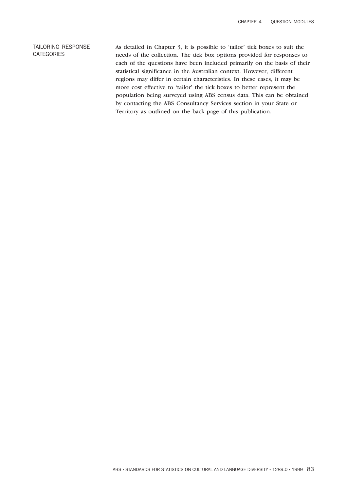#### TAILORING RESPONSE **CATEGORIES**

As detailed in Chapter 3, it is possible to 'tailor' tick boxes to suit the needs of the collection. The tick box options provided for responses to each of the questions have been included primarily on the basis of their statistical significance in the Australian context. However, different regions may differ in certain characteristics. In these cases, it may be more cost effective to 'tailor' the tick boxes to better represent the population being surveyed using ABS census data. This can be obtained by contacting the ABS Consultancy Services section in your State or Territory as outlined on the back page of this publication.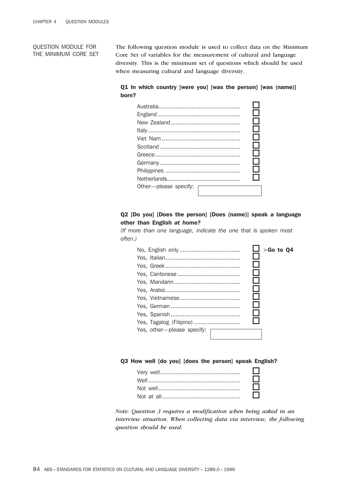QUESTION MODULE FOR THE MINIMUM CORE SET The following question module is used to collect data on the Minimum Core Set of variables for the measurement of cultural and language diversity. This is the minimum set of questions which should be used when measuring cultural and language diversity.

# Q1 In which country [were you] [was the person] [was (name)] born?

|                       | ΙI  |
|-----------------------|-----|
|                       | . I |
|                       | - 1 |
|                       | - 1 |
|                       | H   |
|                       | . I |
|                       | - 1 |
|                       | - 1 |
|                       | - 1 |
| Other-please specify: |     |
|                       |     |

# Q2 [Do you] [Does the person] [Does (name)] speak a language other than English *at home?*

*(If more than one language, indicate the one that is spoken most often.)*

|                             | $>$ Go to Q4 |
|-----------------------------|--------------|
|                             |              |
|                             |              |
|                             |              |
|                             |              |
|                             |              |
|                             |              |
|                             |              |
| Yes, Tagalog (Filipino)     |              |
| Yes, other--please specify: |              |

#### Q3 How well [do you] [does the person] speak English?

| $\Box$ |
|--------|
| □      |
| □      |
| $\Box$ |

*Note: Question 3 requires a modification when being asked in an interview situation. When collecting data via interview, the following question should be used:*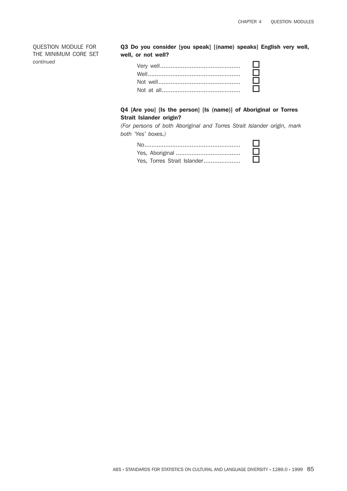QUESTION MODULE FOR THE MINIMUM CORE SET *continued*

Q3 Do you consider [you speak] [(name) speaks] English very well, well, or not well?

| $\Box$ |
|--------|
| $\Box$ |
| $\Box$ |
| $\Box$ |

# Q4 [Are you] [Is the person] [Is (name)] of Aboriginal or Torres Strait Islander origin?

*(For persons of both Aboriginal and Torres Strait Islander origin, mark both 'Yes' boxes.)*

|                             | ப      |
|-----------------------------|--------|
|                             | Ш      |
| Yes, Torres Strait Islander | $\Box$ |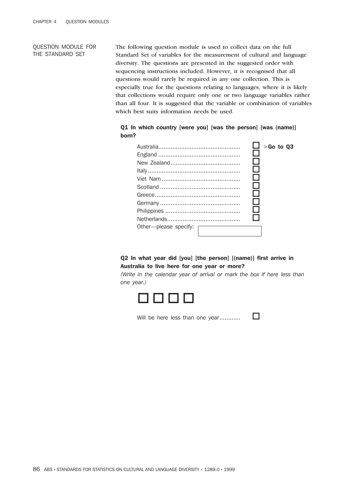#### QUESTION MODULE FOR THE STANDARD SET

The following question module is used to collect data on the full Standard Set of variables for the measurement of cultural and language diversity. The questions are presented in the suggested order with sequencing instructions included. However, it is recognised that all questions would rarely be required in any one collection. This is especially true for the questions relating to languages, where it is likely that collections would require only one or two language variables rather than all four. It is suggested that the variable or combination of variables which best suits information needs be used.

# Q1 In which country [were you] [was the person] [was (name)] born?

|                       | $\Box$ > Go to Q3 |
|-----------------------|-------------------|
|                       |                   |
|                       |                   |
|                       |                   |
|                       |                   |
|                       |                   |
|                       |                   |
|                       |                   |
|                       |                   |
| Other-please specify: |                   |

#### Q2 In what year did [you] [the person] [(name)] first arrive in Australia to live here for one year or more?

*(Write in the calendar year of arrival or mark the box if here less than one year.)*



Will be here less than one year............. $\square$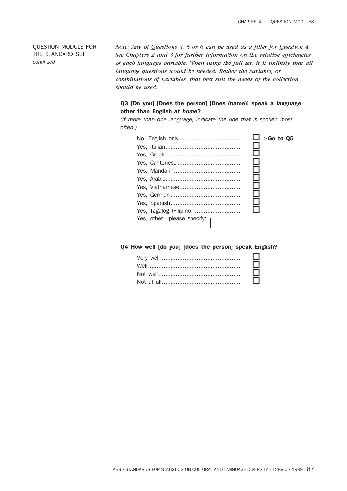*Note: Any of Questions 3, 5 or 6 can be used as a filter for Question 4. See Chapters 2 and 3 for further information on the relative efficiencies of each language variable. When using the full set, it is unlikely that all language questions would be needed. Rather the variable, or combinations of variables, that best suit the needs of the collection should be used.*

# Q3 [Do you] [Does the person] [Does (name)] speak a language other than English *at home*?

*(If more than one language, indicate the one that is spoken most often.)*

|                              | $>$ Go to Q5 |
|------------------------------|--------------|
|                              |              |
|                              |              |
|                              |              |
|                              |              |
|                              |              |
|                              |              |
|                              |              |
|                              |              |
|                              |              |
| Yes, other---please specify: |              |

Q4 How well [do you] [does the person] speak English?

| $\Box$ |
|--------|
| $\Box$ |
| □      |
| $\Box$ |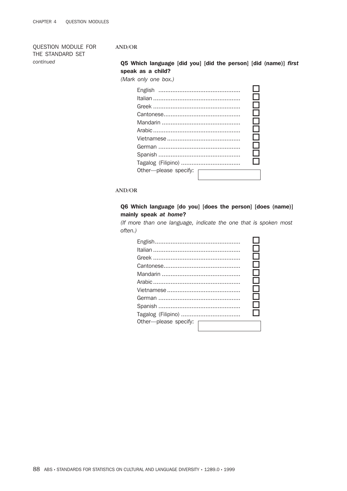#### AND/OR

Q5 Which language [did you] [did the person] [did (name)] *first* speak as a child?

*(Mark only one box.)*

| Other-please specify: |  |
|-----------------------|--|
|                       |  |

#### AND/OR

#### Q6 Which language [do you] [does the person] [does (name)] mainly speak *at home*?

*(If more than one language, indicate the one that is spoken most often.)*

|                       |  | . I          |
|-----------------------|--|--------------|
|                       |  | - 1          |
|                       |  |              |
|                       |  | $\mathbf{I}$ |
|                       |  | - 1          |
|                       |  | - 1          |
|                       |  |              |
|                       |  |              |
| Other-please specify: |  |              |
|                       |  |              |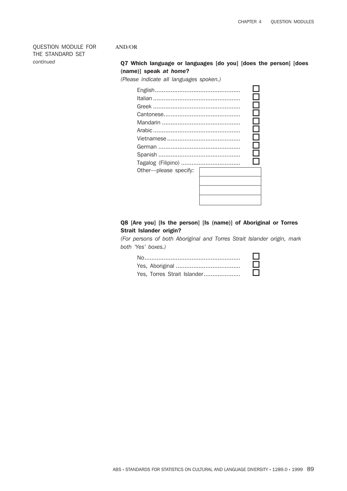#### AND/OR

# Q7 Which language or languages [do you] [does the person] [does (name)] speak *at home*?

*(Please indicate all languages spoken.)*

| Other-please specify: |  |
|-----------------------|--|

# Q8 [Are you] [Is the person] [Is (name)] of Aboriginal or Torres Strait Islander origin?

*(For persons of both Aboriginal and Torres Strait Islander origin, mark both 'Yes' boxes.)*

|                             | ப      |
|-----------------------------|--------|
| Yes, Torres Strait Islander | $\Box$ |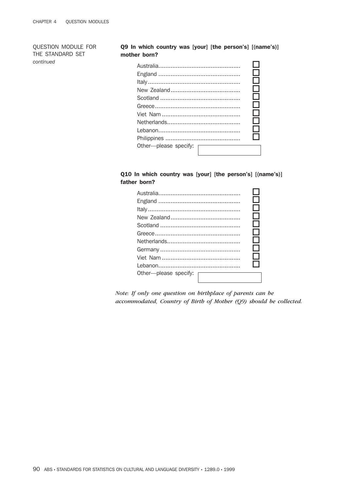## Q9 In which country was [your] [the person's] [(name's)] mother born?

|                       |  | $\mathbb{R}^n$ |
|-----------------------|--|----------------|
|                       |  |                |
|                       |  |                |
| Other-please specify: |  |                |
|                       |  |                |

# Q10 In which country was [your] [the person's] [(name's)] father born?

| Other-please specify: |  |
|-----------------------|--|

*Note: If only one question on birthplace of parents can be accommodated, Country of Birth of Mother (Q9) should be collected.*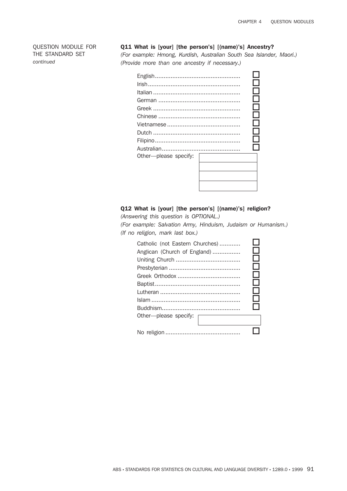#### Q11 What is [your] [the person's] [(name)'s] Ancestry?

*(For example: Hmong, Kurdish, Australian South Sea Islander, Maori.) (Provide more than one ancestry if necessary.)*

| Other-please specify: |  |
|-----------------------|--|
|                       |  |
|                       |  |
|                       |  |
|                       |  |

# Q12 What is [your] [the person's] [(name)'s] religion?

*(Answering this question is OPTIONAL.)*

*(For example: Salvation Army, Hinduism, Judaism or Humanism.) (If no religion, mark last box.)*

| Catholic (not Eastern Churches)<br>Anglican (Church of England) | $\Box$<br>$\Box$<br>$\Box$<br>П<br>□<br>П |
|-----------------------------------------------------------------|-------------------------------------------|
| Other-please specify:                                           | П<br>⊓                                    |
|                                                                 |                                           |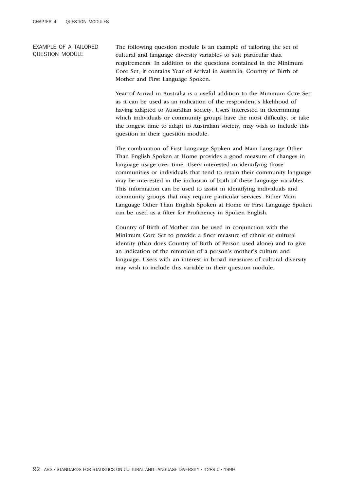#### EXAMPLE OF A TAILORED QUESTION MODULE

The following question module is an example of tailoring the set of cultural and language diversity variables to suit particular data requirements. In addition to the questions contained in the Minimum Core Set, it contains Year of Arrival in Australia, Country of Birth of Mother and First Language Spoken.

Year of Arrival in Australia is a useful addition to the Minimum Core Set as it can be used as an indication of the respondent's likelihood of having adapted to Australian society. Users interested in determining which individuals or community groups have the most difficulty, or take the longest time to adapt to Australian society, may wish to include this question in their question module.

The combination of First Language Spoken and Main Language Other Than English Spoken at Home provides a good measure of changes in language usage over time. Users interested in identifying those communities or individuals that tend to retain their community language may be interested in the inclusion of both of these language variables. This information can be used to assist in identifying individuals and community groups that may require particular services. Either Main Language Other Than English Spoken at Home or First Language Spoken can be used as a filter for Proficiency in Spoken English.

Country of Birth of Mother can be used in conjunction with the Minimum Core Set to provide a finer measure of ethnic or cultural identity (than does Country of Birth of Person used alone) and to give an indication of the retention of a person's mother's culture and language. Users with an interest in broad measures of cultural diversity may wish to include this variable in their question module.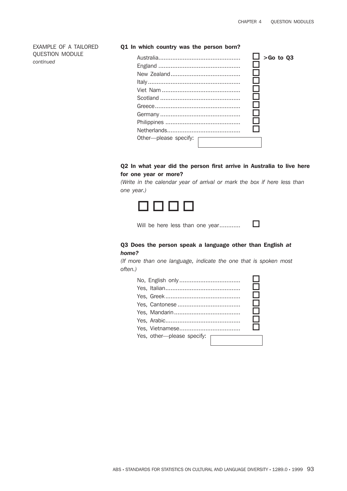#### EXAMPLE OF A TAILORED QUESTION MODULE *continued*

#### Q1 In which country was the person born?

|                       | $>$ Go to Q3 |
|-----------------------|--------------|
|                       |              |
|                       |              |
|                       |              |
|                       |              |
|                       |              |
|                       |              |
|                       |              |
|                       |              |
|                       |              |
| Other-please specify: |              |
|                       |              |

# Q2 In what year did the person first arrive in Australia to live here for one year or more?

*(Write in the calendar year of arrival or mark the box if here less than one year.)*



Will be here less than one year.............. $\square$ 

# Q3 Does the person speak a language other than English *at home?*

*(If more than one language, indicate the one that is spoken most often.)*

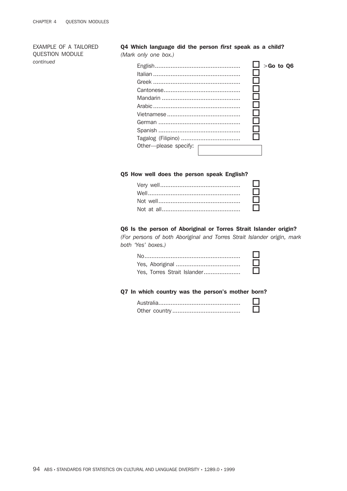EXAMPLE OF A TAILORED QUESTION MODULE *continued*

#### Q4 Which language did the person *first* speak as a child? *(Mark only one box.)*

| Other-please specify: | $\Box$ > Go to Q6 |
|-----------------------|-------------------|
|                       |                   |

#### Q5 How well does the person speak English?

| $\Box$ |
|--------|
| □      |
| $\Box$ |
| $\Box$ |

#### Q6 Is the person of Aboriginal or Torres Strait Islander origin?

*(For persons of both Aboriginal and Torres Strait Islander origin, mark both 'Yes' boxes.)*

|                             | Ш      |
|-----------------------------|--------|
| Yes, Torres Strait Islander | $\Box$ |

#### Q7 In which country was the person's mother born?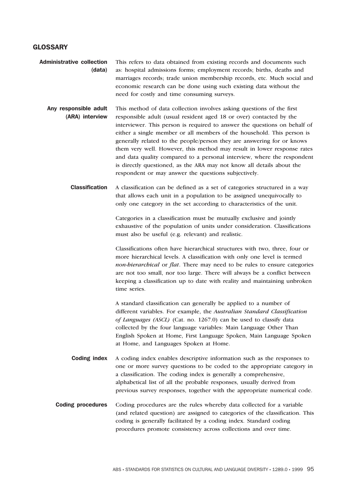# **GLOSSARY**

| <b>Administrative collection</b> | This refers to data obtained from existing records and documents such   |  |
|----------------------------------|-------------------------------------------------------------------------|--|
| (data)                           | as: hospital admissions forms; employment records; births, deaths and   |  |
|                                  | marriages records; trade union membership records, etc. Much social and |  |
|                                  | economic research can be done using such existing data without the      |  |
|                                  | need for costly and time consuming surveys.                             |  |

- Any responsible adult (ARA) interview This method of data collection involves asking questions of the first responsible adult (usual resident aged 18 or over) contacted by the interviewer. This person is required to answer the questions on behalf of either a single member or all members of the household. This person is generally related to the people/person they are answering for or knows them very well. However, this method may result in lower response rates and data quality compared to a personal interview, where the respondent is directly questioned, as the ARA may not know all details about the respondent or may answer the questions subjectively.
	- Classification A classification can be defined as a set of categories structured in a way that allows each unit in a population to be assigned unequivocally to only one category in the set according to characteristics of the unit.

Categories in a classification must be mutually exclusive and jointly exhaustive of the population of units under consideration. Classifications must also be useful (e.g. relevant) and realistic.

Classifications often have hierarchical structures with two, three, four or more hierarchical levels. A classification with only one level is termed *non-hierarchical* or *flat*. There may need to be rules to ensure categories are not too small, nor too large. There will always be a conflict between keeping a classification up to date with reality and maintaining unbroken time series.

A standard classification can generally be applied to a number of different variables. For example, the *Australian Standard Classification of Languages (ASCL)* (Cat. no. 1267.0) can be used to classify data collected by the four language variables: Main Language Other Than English Spoken at Home, First Language Spoken, Main Language Spoken at Home, and Languages Spoken at Home.

- **Coding index** A coding index enables descriptive information such as the responses to one or more survey questions to be coded to the appropriate category in a classification. The coding index is generally a comprehensive, alphabetical list of all the probable responses, usually derived from previous survey responses, together with the appropriate numerical code.
- Coding procedures Coding procedures are the rules whereby data collected for a variable (and related question) are assigned to categories of the classification. This coding is generally facilitated by a coding index. Standard coding procedures promote consistency across collections and over time.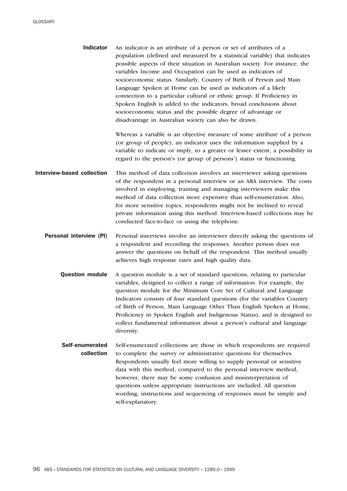Indicator An indicator is an attribute of a person or set of attributes of a population (defined and measured by a statistical variable) that indicates possible aspects of their situation in Australian society. For instance, the variables Income and Occupation can be used as indicators of socioeconomic status. Similarly, Country of Birth of Person and Main Language Spoken at Home can be used as indicators of a likely connection to a particular cultural or ethnic group. If Proficiency in Spoken English is added to the indicators, broad conclusions about socioeconomic status and the possible degree of advantage or disadvantage in Australian society can also be drawn.

> Whereas a variable is an objective measure of some attribute of a person (or group of people), an indicator uses the information supplied by a variable to indicate or imply, to a greater or lesser extent, a possibility in regard to the person's (or group of persons') status or functioning.

- Interview-based collection This method of data collection involves an interviewer asking questions of the respondent in a personal interview or an ARA interview. The costs involved in employing, training and managing interviewers make this method of data collection more expensive than self-enumeration. Also, for more sensitive topics, respondents might not be inclined to reveal private information using this method. Interview-based collections may be conducted face-to-face or using the telephone.
	- **Personal interview (PI)** Personal interviews involve an interviewer directly asking the questions of a respondent and recording the responses. Another person does not answer the questions on behalf of the respondent. This method usually achieves high response rates and high quality data.
		- **Question module** A question module is a set of standard questions, relating to particular variables, designed to collect a range of information. For example, the question module for the Minimum Core Set of Cultural and Language Indicators consists of four standard questions (for the variables Country of Birth of Person, Main Language Other Than English Spoken at Home, Proficiency in Spoken English and Indigenous Status), and is designed to collect fundamental information about a person's cultural and language diversity.
		- Self-enumerated collection Self-enumerated collections are those in which respondents are required to complete the survey or administrative questions for themselves. Respondents usually feel more willing to supply personal or sensitive data with this method, compared to the personal interview method, however, there may be some confusion and misinterpretation of questions unless appropriate instructions are included. All question wording, instructions and sequencing of responses must be simple and self-explanatory.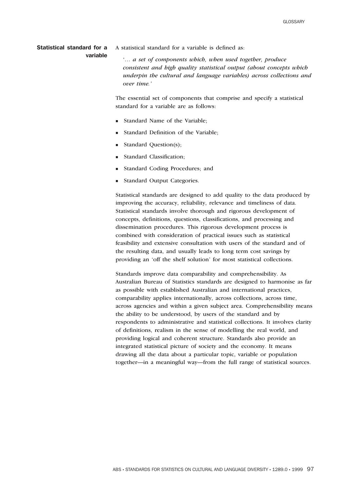#### Statistical standard for a variable

A statistical standard for a variable is defined as:

'… *a set of components which, when used together, produce consistent and high quality statistical output (about concepts which underpin the cultural and language variables) across collections and over time.'*

The essential set of components that comprise and specify a statistical standard for a variable are as follows:

- Standard Name of the Variable:
- Standard Definition of the Variable:
- Standard Question(s);
- <sup>n</sup> Standard Classification;
- <sup>n</sup> Standard Coding Procedures; and
- Standard Output Categories.

Statistical standards are designed to add quality to the data produced by improving the accuracy, reliability, relevance and timeliness of data. Statistical standards involve thorough and rigorous development of concepts, definitions, questions, classifications, and processing and dissemination procedures. This rigorous development process is combined with consideration of practical issues such as statistical feasibility and extensive consultation with users of the standard and of the resulting data, and usually leads to long term cost savings by providing an 'off the shelf solution' for most statistical collections.

Standards improve data comparability and comprehensibility. As Australian Bureau of Statistics standards are designed to harmonise as far as possible with established Australian and international practices, comparability applies internationally, across collections, across time, across agencies and within a given subject area. Comprehensibility means the ability to be understood, by users of the standard and by respondents to administrative and statistical collections. It involves clarity of definitions, realism in the sense of modelling the real world, and providing logical and coherent structure. Standards also provide an integrated statistical picture of society and the economy. It means drawing all the data about a particular topic, variable or population together—in a meaningful way—from the full range of statistical sources.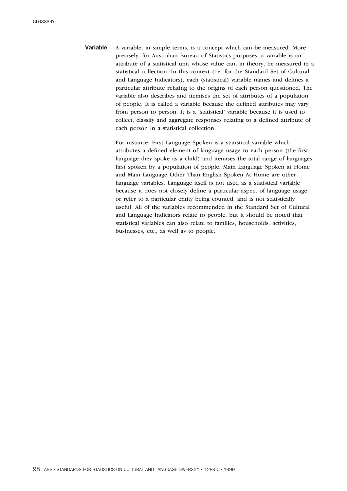Variable A variable, in simple terms, is a concept which can be measured. More precisely, for Australian Bureau of Statistics purposes, a variable is an attribute of a statistical unit whose value can, in theory, be measured in a statistical collection. In this context (i.e. for the Standard Set of Cultural and Language Indicators), each (statistical) variable names and defines a particular attribute relating to the origins of each person questioned. The variable also describes and itemises the set of attributes of a population of people. It is called a variable because the defined attributes may vary from person to person. It is a 'statistical' variable because it is used to collect, classify and aggregate responses relating to a defined attribute of each person in a statistical collection.

> For instance, First Language Spoken is a statistical variable which attributes a defined element of language usage to each person (the first language they spoke as a child) and itemises the total range of languages first spoken by a population of people. Main Language Spoken at Home and Main Language Other Than English Spoken At Home are other language variables. Language itself is not used as a statistical variable because it does not closely define a particular aspect of language usage or refer to a particular entity being counted, and is not statistically useful. All of the variables recommended in the Standard Set of Cultural and Language Indicators relate to people, but it should be noted that statistical variables can also relate to families, households, activities, businesses, etc., as well as to people.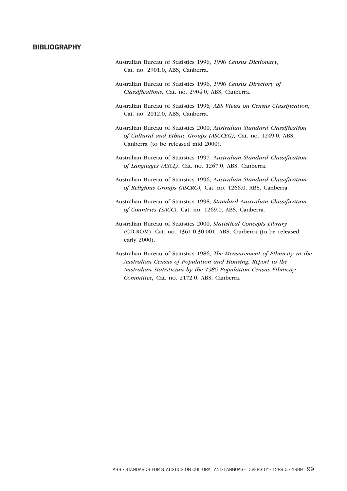#### **BIBLIOGRAPHY**

- Australian Bureau of Statistics 1996, *1996 Census Dictionary,* Cat. no. 2901.0, ABS, Canberra.
- Australian Bureau of Statistics 1996, *1996 Census Directory of Classifications,* Cat. no. 2904.0, ABS, Canberra.
- Australian Bureau of Statistics 1996*, ABS Views on Census Classification,* Cat. no. 2012.0, ABS, Canberra.
- Australian Bureau of Statistics 2000, *Australian Standard Classification of Cultural and Ethnic Groups (ASCCEG),* Cat. no. 1249.0, ABS, Canberra (to be released mid 2000).
- Australian Bureau of Statistics 1997*, Australian Standard Classification of Languages (ASCL)*, Cat. no. 1267.0, ABS, Canberra.
- Australian Bureau of Statistics 1996, *Australian Standard Classification of Religious Groups (ASCRG),* Cat. no. 1266.0, ABS, Canberra.
- Australian Bureau of Statistics 1998, *Standard Australian Classification of Countries (SACC),* Cat. no. 1269.0, ABS, Canberra.
- Australian Bureau of Statistics 2000, *Statistical Concepts Library* (CD-ROM), Cat. no. 1361.0.30.001, ABS, Canberra (to be released early 2000).
- Australian Bureau of Statistics 1986, *The Measurement of Ethnicity in the Australian Census of Population and Housing: Report to the Australian Statistician by the 1986 Population Census Ethnicity Committee,* Cat. no. 2172.0, ABS, Canberra.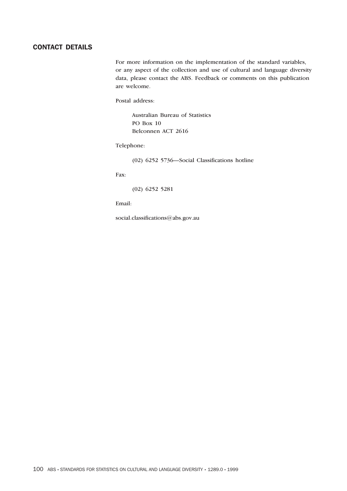# CONTACT DETAILS

For more information on the implementation of the standard variables, or any aspect of the collection and use of cultural and language diversity data, please contact the ABS. Feedback or comments on this publication are welcome.

#### Postal address:

Australian Bureau of Statistics PO Box 10 Belconnen ACT 2616

#### Telephone:

(02) 6252 5736—Social Classifications hotline

Fax:

(02) 6252 5281

Email:

social.classifications@abs.gov.au